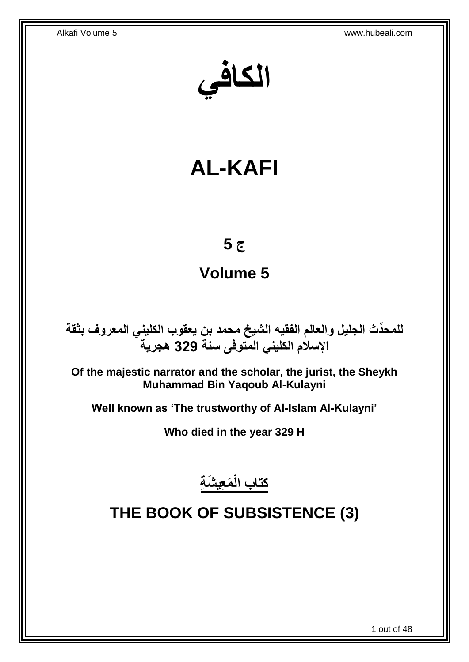**الكافي**

# **AL-KAFI**

## **ج 5**

## **Volume 5**

**دث الجليل والعالم الفقيه الشيخ محمد بن يعقوب الكليني المعروف بثقة للمح ِّ اإلسالم الكليني المتوفى سنة 329 هجرية**

**Of the majestic narrator and the scholar, the jurist, the Sheykh Muhammad Bin Yaqoub Al-Kulayni**

**Well known as 'The trustworthy of Al-Islam Al-Kulayni'**

**Who died in the year 329 H**

**َم ِعي َش ِة كتاب الْ**

## <span id="page-0-0"></span>**THE BOOK OF SUBSISTENCE (3)**

1 out of 48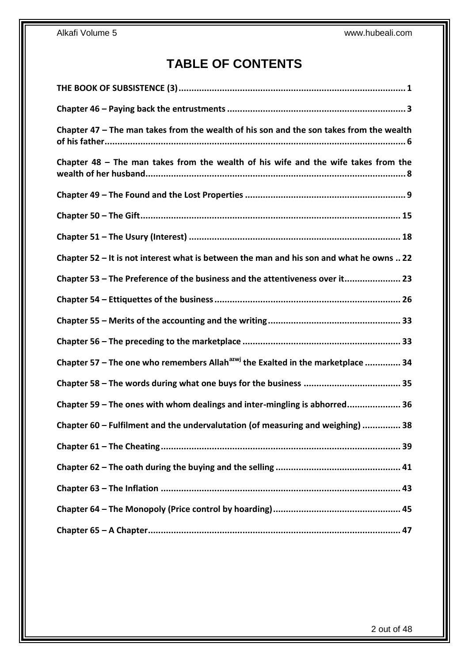## **TABLE OF CONTENTS**

| Chapter 47 - The man takes from the wealth of his son and the son takes from the wealth     |
|---------------------------------------------------------------------------------------------|
| Chapter $48$ – The man takes from the wealth of his wife and the wife takes from the        |
|                                                                                             |
|                                                                                             |
|                                                                                             |
| Chapter 52 - It is not interest what is between the man and his son and what he owns  22    |
| Chapter 53 - The Preference of the business and the attentiveness over it 23                |
|                                                                                             |
|                                                                                             |
|                                                                                             |
| Chapter 57 – The one who remembers Allah <sup>azwj</sup> the Exalted in the marketplace  34 |
|                                                                                             |
| Chapter 59 - The ones with whom dealings and inter-mingling is abhorred 36                  |
| Chapter 60 - Fulfilment and the undervalutation (of measuring and weighing)  38             |
|                                                                                             |
|                                                                                             |
|                                                                                             |
|                                                                                             |
|                                                                                             |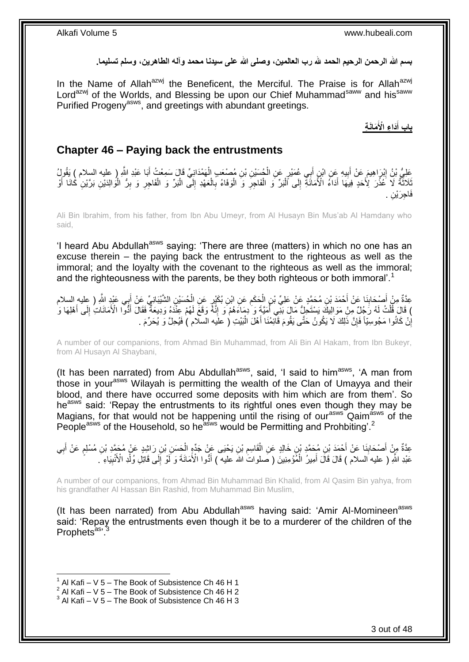بسم الله الرحمن الرحيم الحمد لله رب العالمين، وصلى الله على سيدنا محمد وآله الطاهرين، وسلم تسليما<sub>.</sub>

In the Name of Allah<sup>azwj</sup> the Beneficent, the Merciful. The Praise is for Allah<sup>azwj</sup> Lord<sup>azwj</sup> of the Worlds, and Blessing be upon our Chief Muhammad<sup>saww</sup> and his<sup>saww</sup> Purified Progeny<sup>asws</sup>, and greetings with abundant greetings.

> **َماَن ِة َدا ِء اْْلَ باب أ َ**

### <span id="page-2-0"></span>**Chapter 46 – Paying back the entrustments**

عَلِيُّ بْنُ إِبْرَاهِيمَ عَنْ أَبِيهِ عَنِ ابْنٍ أَبِي عُمَيْرٍ عَنِ الْجُسَيْنِ بْنِ مُصْنِعَبِ الْهَمْدَانِيِّ قَالَ سَمِعْتُ أَبَا عَبْدِ اللَّهِ ( عليه السلام ) يَقُولُ ْ ْ َ ِ َ ِ َ نَادَنَّهُ لَا كُثْرَ لِأَحَدٍ فِيهَا أَدَاءُ الْأَمَانَةِ إِلَى أَلْبَرِّ وَ الْفَاجِرِ وَ الْوَفَاءُ بِالْعَهْدِ إِلَى الْبَرِّ وَ الْفَاجِرِ وَ بِرُّ الْوَالِدَيْنِ بَرَّيْنِ كَانَا أَوْ ْ ِ ْ **∶** ْ **∶** ْ ْ ِ َ <u>ّ</u>  $\ddot{\phantom{0}}$ َ ْ ِ ِ ْ فَاجِرَيْنِ .

Ali Bin Ibrahim, from his father, from Ibn Abu Umeyr, from Al Husayn Bin Mus'ab Al Hamdany who said,

'I heard Abu Abdullah<sup>asws</sup> saying: 'There are three (matters) in which no one has an excuse therein – the paying back the entrustment to the righteous as well as the immoral; and the loyalty with the covenant to the righteous as well as the immoral; and the righteousness with the parents, be they both righteous or both immoral'.<sup>1</sup>

ِن ال هش ُح َسْي ٍر َع ِن ال ِن ُب َاْي َع ِن اْب َح َام ِن ال ِن ُم َح همٍد َع ْن َعلِ ِّي ْب ْح َمَد ْب َنا َع ْن أ ْص َحاب ِ ) عليه السالم ِم ْن أ ِي َعْبِد هَّللا ِعهدةٌ ب ْيَباِن ِّي َع ْن أ ْ ِ ْ َ **∣** َ َ ) قَالَ قُلْتُ لَهُ رَجُلٌ مِنْ مَوَالِيكَ يَسْتَحِلُّ مَالَ بَنِّي أُمَيَّةٍ وَ ٰدِمَاءَهُمْ ۖ وَ إِنَّهُ وَقَعَ لَهُمْ عِنْدَهُ وَدِيعَةٌ فَقَالَ أَذُّوا الْأَمَانَاتِ إِلَى أَهْلِهَا وَ ا<br>ا ْ َ ِ َ ِ إِنْ كَانُوا مَجُوسِيّاً فَإِنَّ ذَلِكَ لَا يَكُونُ حَتَّى يَقُومَ قَالِمُنَا أَهْلَ الْبَيْتِ ( علَيه السلّام ) فَيُحِلَّ وَ يُحَرِّمَ . ْ َ ِ ا

A number of our companions, from Ahmad Bin Muhammad, from Ali Bin Al Hakam, from Ibn Bukeyr, from Al Husayn Al Shaybani,

(It has been narrated) from Abu Abdullah $a$ sws, said, 'I said to him $a$ sws, 'A man from those in yourasws Wilayah is permitting the wealth of the Clan of Umayya and their blood, and there have occurred some deposits with him which are from them'. So he<sup>asws</sup> said: 'Repay the entrustments to its rightful ones even though they may be Magians, for that would not be happening until the rising of our<sup>asws</sup> Qaim<sup>asws</sup> of the People<sup>asws</sup> of the Household, so he<sup>asws</sup> would be Permitting and Prohbiting'.<sup>2</sup>

عِدَّةٌ مِنْ أَصْحَابِذَا عَنْ أَحْمَدَ بْنِ مُحَمَّدِ بْنِ خَالِدٍ عَنِ الْقَاسِمِ بْنِ يَحْيَى عَنْ جَدِّهٍ الْحَسَنِ بْنِ رَاشِدٍ عَنْ مُحَمَّدِ بْنِ مُسْلِمٍ عَنْ أَبِي ْ ِ ْ َ ِ َ ِ َ ֧֖֧֦֧֦֧֦֧֦֚֝֝֝֝֝ عَبْدِ اللَّهِ ( عليه السلام ) قَالَ قَالَ أَمِيرُ الْمُؤْمِنِينَ ( صَلواتُ الله عليه ) أَدُّوا الْأَمَانَةَ وَ لَوْ إَلَى قَاتِلِ وُلْدِ الْأَنْبِيَاءِ ۖ. ِ َ ْ َ ِ ْ

A number of our companions, from Ahmad Bin Muhammad Bin Khalid, from Al Qasim Bin yahya, from his grandfather Al Hassan Bin Rashid, from Muhammad Bin Muslim,

(It has been narrated) from Abu Abdullah<sup>asws</sup> having said: 'Amir Al-Momineen<sup>asws</sup> said: 'Repay the entrustments even though it be to a murderer of the children of the Prophets<sup>as</sup>'.<sup>3</sup>

 $1$  Al Kafi – V 5 – The Book of Subsistence Ch 46 H 1

 $2$  Al Kafi – V 5 – The Book of Subsistence Ch 46 H 2

 $3$  Al Kafi – V 5 – The Book of Subsistence Ch 46 H 3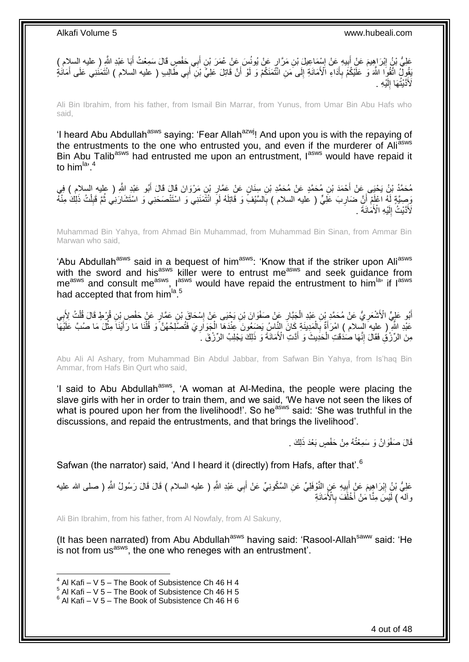عَلِيُّ بْنُ إِبْرَاهِيمَ عَنْ أَبِيهِ عَنْ إِسْمَاعِيلَ بْنِ مَرَّارٍ عَنْ يُونُسَ عَنْ عُمَرَ بْنِ أَبِي حَفْصٍ قَالَ سَمِعْتُ أَبَا عَبْدِ النَّهِ ( عليه السلام ) ِ َ َ ِ **!** َ ِّقُولُ اتَّقُوَا اللَّهَ وَ عَلَّيْكُمْ بِأَدَاءِ الْأَمَانَةِ إِلَى مَنِ انْتُمَنَكُمْ وَ لَوْ أَنَّ قَاتِلَ عَلِيٍّ بْنِ ۖ أَبِي طَالِبِ ( عليه السلام ) انْتَمَنَنِي عَلَى أَمَانَةٍ َ ∣∣<br>∶ َ **∶** َ َ لَأَذَّنْتُهَا إِلَيْهِ لَ יִי (ו

Ali Bin Ibrahim, from his father, from Ismail Bin Marrar, from Yunus, from Umar Bin Abu Hafs who said,

'I heard Abu Abdullah<sup>asws</sup> saying: 'Fear Allah<sup>azwj</sup>! And upon you is with the repaying of the entrustments to the one who entrusted you, and even if the murderer of Ali<sup>asws</sup> Bin Abu Talib<sup>asws</sup> had entrusted me upon an entrustment, lasws would have repaid it to him $\mathrm{^{la, 4}}$ 

مُحَمَّدُ بْنُ يَحْيَى عَنْ أَحْمَدَ بْنِ مُحَمَّدٍ عَنْ مُحَمَّدِ بْنِ سِنَانٍ عَنْ عَمَّارِ بْنِ مَرْوَانَ قَالَ أَبُو عَبْدِ اللَّهِ ( عليه السلام ) فِي َ **ٍ** وَصِيَّةٍ لَهُ اعْلَمْ أَنَّ ضَارِبَ عَلِّيٍّ ( عليه السلام ) بِالسَّيْفِ وَ قَاتِلَهُ لَوِ ائْتَمَنَنِي وَ اسْتَنْصَحَنِي وَ اسْتَشَارَنِي ثُمَّ قَبِلْتُ ذَلِكَ مِنْهُ ِ ِ ِ ْ ِ ُ لَأَدَّيْثُ إِلَيْهِ الْأَمَانَةَ . لَ  $\frac{1}{2}$ 

Muhammad Bin Yahya, from Ahmad Bin Muhammad, from Muhammad Bin Sinan, from Ammar Bin Marwan who said,

'Abu Abdullah<sup>asws</sup> said in a bequest of him<sup>asws</sup>: 'Know that if the striker upon Ali<sup>asws</sup> with the sword and his<sup>asws</sup> killer were to entrust me<sup>asws</sup> and seek guidance from me<sup>asws</sup> and consult me<sup>asws</sup>, l<sup>asws</sup> would have repaid the entrustment to him<sup>la,</sup> if l<sup>asws</sup> had accepted that from him<sup>la 5</sup>

أَبُو عَلِيٍّ الْأَشْعَرِيُّ عَنْ مُحَمَّدٍ بْنِ عَبْدِ الْجَبَّارِ عَنْ صَفْوَانَ بْنِ يَجْيَى عَنْ إِسْحَاقَ بْنِ عَمَّارٍ عَنْ حَفْصِ بِْنِ قُرْطٍ قَالَ قُلْتُ لِأَبِي ِ ِ ْ ∣l<br>∶ **∶** ْ عَبْدِ اللَّهِ ۖ ( عليه الْسلام ) امْرَأَةٌ بِالْمَدِينَةِ كَانَ النِّاسُ يَضِعُونَ عِنْدَهَا الْجَوَارِيَ فَتُصْلِحُهُنَّ وَ قُلْنَا مَا رَأَيْنَا مِثْلَ مَا صُبَّ عَلَيْهَاْ **ٍ** ْ ْ ِ َ ْ **ٔ** مِنَ الرِّرْفُِ فَقَالَ إِنَّهَا صُنْدَقَتِ الْحَدِيثَ وَ أَدَّتِ الْأَمَانَةَ وَ ذَلِكَ يَجْلِبُ الرِّرْقَ ۚ أَ َ ْ ِ

Abu Ali Al Ashary, from Muhammad Bin Abdul Jabbar, from Safwan Bin Yahya, from Is'haq Bin Ammar, from Hafs Bin Qurt who said,

'I said to Abu Abdullah<sup>asws</sup>, 'A woman at Al-Medina, the people were placing the slave girls with her in order to train them, and we said, 'We have not seen the likes of what is poured upon her from the livelihood!'. So he<sup>asws</sup> said: 'She was truthful in the discussions, and repaid the entrustments, and that brings the livelihood'.

قَالَ صَفْوَانُ وَ سَمِعْتُهُ مِنْ حَفْصٍ بَعْدَ ذَلِكَ .

Safwan (the narrator) said, 'And I heard it (directly) from Hafs, after that'.<sup>6</sup>

عَلِيُّ بْنُ إِبْرَاهِيمَ عَنٍْ أَبِيهِ عَنٍ النَّوْفَلِيِّ عَنِ السَّكُونِيِّ عَنْ أَبِي عَبْدِ اللَّهِ ( عليه السلام ) قَالَ قَالَ رَسُولُ اللَّهِ ( صلى الله عليه َ ِ יִין<br>∶ وآللَه ) لََيْسَ مِنَّا مَنْ أَخْلَفَ بِالْأَمَانَةِ **∶** َ

Ali Bin Ibrahim, from his father, from Al Nowfaly, from Al Sakuny,

(It has been narrated) from Abu Abdullah<sup>asws</sup> having said: 'Rasool-Allah<sup>saww</sup> said: 'He is not from us<sup>asws</sup>, the one who reneges with an entrustment'.

 $4$  Al Kafi – V 5 – The Book of Subsistence Ch 46 H 4

 $5$  Al Kafi – V 5 – The Book of Subsistence Ch 46 H 5

 $6$  Al Kafi – V 5 – The Book of Subsistence Ch 46 H 6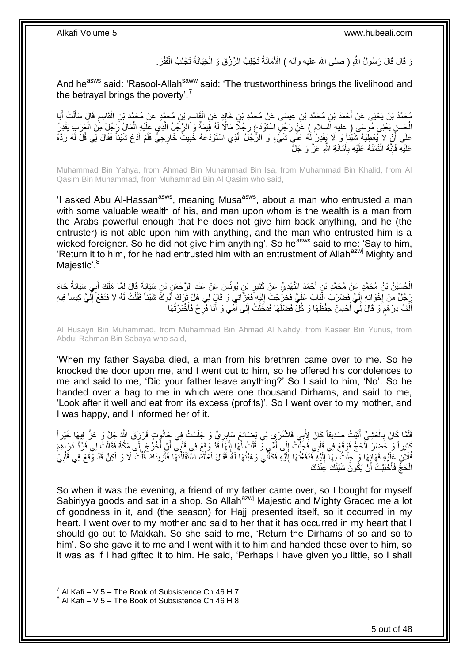وَ قَالَ قَالَ رَسُولُ اللَّهِ ( صلى الله عليه وآله ) الْأَمَانَةُ تَجْلِبُ الرِّزْقَ وَ الْخِيَانَةُ تَجْلِبُ الْفَقْرَ ْ ْ

And he<sup>asws</sup> said: 'Rasool-Allah<sup>saww</sup> said: 'The trustworthiness brings the livelihood and the betrayal brings the poverty'.<sup>7</sup>

ِن ُم َح همٍد َع ْب َقا ِسم ِن َخالٍِد َع ِن ال ِن ِعي َسى َع ْن ُم َح همِد ْب ِن ُم َح همِد ْب ْح َمَد ْب ُم َح همُد ْب ُن َي ْحَيى َع ْن أ َبا ُت أ ل َقا َل َسأ َقا ِسم ِن ال ْن ُم َح همِد ْب ِ ْ َ َ ْ َ ِ ْ الْحَسَنِ يَعْنِي مُوسَى ( عليهِ اَلسلام ) عََلْ رَجُلٍّ اسْتَوْدَعِ رَجُلَاً مَالًا لَهُ قِيمَةٌ وَ الرَّجُلُ الَّذِي عَلَيْهِ الْمَالُ رَجُلٌ مِنَ الْعَرَبِ يَقْدِرُ ْ ْ ْ ه عَلَى أَنْ لَا يُعْطِيَهُ شَيْئاً وَ لَا يَقْدِرُ لَٰهُ عَلَى شَيْءٍ وَ الرَّجُلُ الَّذِي اسْنَوْدَعَهُ خَبِيث<br>يَقَعَ تَبَعُوا تَجَعُلُوا فَقَالَ لِي قُلْ لَهُ رَبِّعَ الْمَجْمَعِ وَ الرَّجُلُ الَّذِي اسْنَوْدَعَهُ خَبِيث اً ِ ه َ لَ عَلَيْهِ فَإِنَّهُ ائْتَمَنَهُ عَلَيْهِ بِأَمَانَةِ اللَّهِ عَزَّ وَ جَلَّ َ **∶** ِ

Muhammad Bin Yahya, from Ahmad Bin Muhammad Bin Isa, from Muhammad Bin Khalid, from Al Qasim Bin Muhammad, from Muhammad Bin Al Qasim who said,

'I asked Abu Al-Hassan<sup>asws</sup>, meaning Musa<sup>asws</sup>, about a man who entrusted a man with some valuable wealth of his, and man upon whom is the wealth is a man from the Arabs powerful enough that he does not give him back anything, and he (the entruster) is not able upon him with anything, and the man who entrusted him is a wicked foreigner. So he did not give him anything'. So he<sup>asws</sup> said to me: 'Say to him, 'Return it to him, for he had entrusted him with an entrustment of Allah<sup>azwj</sup> Mighty and Majestic'.<sup>8</sup>

الْحُسَيْنُ بْنُ مُحَمَّدٍ عَنْ مُحَمَّدِ بْنِ أَحْمَدَ النَّهْدِيِّ عَنْ كَثِيرِ بْنِ يُونُسَ عَنْ عَبْدِ الرَّحْمَنِ بْنِ سَيَابَةً قَالَ لَمَّا هَلَكَ أَبِي سَيَابَةُ جَاءَ<br>الْحُسَيْنُ بْنُ مُحَمَّدٍ عَنْ مُحَمَّدِ بْنِ ِ َ َ ِ رَ جُلٌ مِنْ إِخْوَانِهِ إِلَيَّ فَضَرَبَ الْبَابَ عَلَيَّ فَخَرَجْتُ إِلَيْهِ فَعَزَّانِي وَ قَالَ لِي هَلْ تَرَكَ أَبُوكَ شَيْئاً فَقُلْتُ لَهُ لَا فَدَفَعَ إِلَيَّ كِيساً فِيهِ ْ لَ  $\frac{1}{2}$ **·** لَ ِ ْ َ لَ أَلْفُ دِرْهَمَ وَ قَالَ لَِي أَحْسِنْ حِفْظَهَا وَ كُلّْ فَضْلَهَا فَدَخَلْتُ إِلَى أُمِّي وَ أَنَا فَرِ حٌ فَأَخْبَرْتُهَا َ **ٍ** َ ا<br>ا ِ ْ َ م ْ َ

Al Husayn Bin Muhammad, from Muhammad Bin Ahmad Al Nahdy, from Kaseer Bin Yunus, from Abdul Rahman Bin Sabaya who said,

'When my father Sayaba died, a man from his brethren came over to me. So he knocked the door upon me, and I went out to him, so he offered his condolences to me and said to me, 'Did your father leave anything?' So I said to him, 'No'. So he handed over a bag to me in which were one thousand Dirhams, and said to me, 'Look after it well and eat from its excess (profits)'. So I went over to my mother, and I was happy, and I informed her of it.

َفَلَمَّا كَانَ بِالْعَشِيِّ أَتَيْتُ صَدِيقاً كَانَ لِأَبِي فَاشْتَرَى لِي بَضَائِعَ سَابِرِيٍّ وَ جَلَسْتُ فِي جَانُوتٍ فَرَزَقَ الثَّهُ جَلَّ وَ عَزَّ فِيهَا خَيْراً ِ َ ْ ِ كَثِيراً وَ حَضِرَ ٱلْحَجُّ فَوَقَعَ فِي قَلْبِي فَجِئْتُ إِلَى أُمِّي وَ قُلْتُ لَّهَا إِنَّهَا قُدْ وَقَعَ فِي قَلْبِي أَنْ أُخْرُجَ إِلَى مَكَّةَ فَقَالَتْ لِي فَرُدَّ دَرَاهِمَ ْ ْ ∣∣<br>ِ َ اُ ْ ِ ْ ا<br>ا  $\frac{1}{2}$ فُلَانٍ غَلْيْهِ فَهَاتِِهَا وَ حِئْثٌ بِهَآ إِلَيْهِ ۚ فَدَفَعْتُهَا إِلَيْهِ فَكَأَنِّي وَهَبْتُهَا لَهُ فَقَالَ لَعَلَّكَ اسْتَقْلَلْتَهَا فَأُزِيدَكَ فُلْتُ لَا وَ لَكِنْ قَدْ وَقَعَ فِي قَلْبِيَ ه َ لَ ِ لَ ∣∣<br>∶ ِ ْ لَ ِ ْ ْ ِ َ الْحَجُّ فَأَحْبَبْتُ أَنْ يَكُونَ شَيْئُكَ عِنْدَكَ َ َ ْ

So when it was the evening, a friend of my father came over, so I bought for myself Sabiriyya goods and sat in a shop. So Allah<sup>azwj</sup> Majestic and Mighty Graced me a lot of goodness in it, and (the season) for Hajj presented itself, so it occurred in my heart. I went over to my mother and said to her that it has occurred in my heart that I should go out to Makkah. So she said to me, 'Return the Dirhams of so and so to him'. So she gave it to me and I went with it to him and handed these over to him, so it was as if I had gifted it to him. He said, 'Perhaps I have given you little, so I shall

 $^7$  Al Kafi – V 5 – The Book of Subsistence Ch 46 H 7

 $^8$  Al Kafi – V 5 – The Book of Subsistence Ch 46 H 8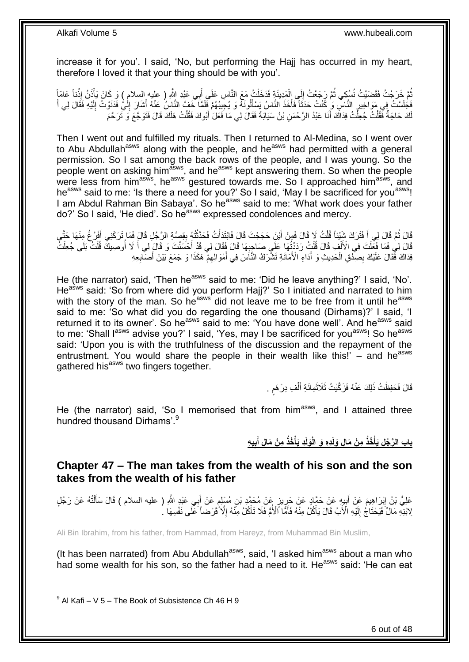increase it for you'. I said, 'No, but performing the Hajj has occurred in my heart, therefore I loved it that your thing should be with you'.

ثُمَّ خَرَجْتُ فَقَصَيْتُ نُسُكِي ثُمَّ رَجَعْتُ إِلَي الْمَدِينَةِ فَدَخَلْتُ مَعَ النَّاسِ عَلَى أَبِي عَيْدِ اللَّهِ ( عليه السلام ) وَ كَانَ يَأْذَنُ إِذْناً عَامّاً َ ْ ْ  $\frac{1}{2}$ ٔ.<br>ـ **ٔ ٔ** فَجَلَسْتُ فِي مَوَاخِيرٍ النَّاسِ وَ كُنْتُ حَدَثَاً فَأَخَذَ النَّاسُ يَسْأَلُونَهُ وَ يُجِيبُهُمْ فَلَمَّا خَفَّ النَّاسُ عَنْهُ أَشَارَ إِلَٰيُّ فَذَنِوْتُ إِلَيْهِ فَقَالَ لِي أَ َ َ ِ َ لَ ِ لَ ِ َ لَكَ حَاجَةٌ فَقُلْتُ جُعِلْتُ فِدَاكَ أَنَا عَبْدُ الرَّحْمَنِ بْنُ سَيَابَةَ فَقَالَ لِي مَا فَعَلَ أَبُوكَ فَقُلْتُ هَلَكَ قَالَ فَتَوَجَّعَ وَ تَرَحَّمَ َ ْ ْ ْ َ

Then I went out and fulfilled my rituals. Then I returned to Al-Medina, so I went over to Abu Abdullah<sup>asws</sup> along with the people, and he<sup>asws</sup> had permitted with a general permission. So I sat among the back rows of the people, and I was young. So the people went on asking him<sup>asws</sup>, and he<sup>asws</sup> kept answering them. So when the people were less from him<sup>asws</sup>, he<sup>asws</sup> gestured towards me. So I approached him<sup>asws</sup>, and heasws said to me: 'Is there a need for you?' So I said, 'May I be sacrificed for you<sup>asws</sup>! I am Abdul Rahman Bin Sabaya'. So he<sup>asws</sup> said to me: 'What work does your father do?' So I said, 'He died'. So he<sup>asws</sup> expressed condolences and mercy.

قَالَ ثُمَّ فَالَ لِي أَ فَتَرَكَ شَيْئِنًا قُلْتُ لَا فَالَ فَمِنْ أَيْنَ حَجَجْتَ قَالَ فَابْتَدَأْتُ فَحَدَّثْتُهُ بِقِصِّةِ الرَّجُلِ قَالَ فَمَا تَرَكَنِي أَفْرُجُ مِنْهَا حَتَّى ِ **ٔ** ْ َ ْ َ َ قَالَ لِي فَمَا فَعِّلْتَ فِي الْأَلْفِ قَالَ قُلْتُ رَدَدْتُهَا عَلَى صَاحِبِهَا قَالَ فِقَالَ لِي قَدْ أَحْسَنْتَ وَ قَالَ لِي أَ لَا أُوصِيكَ قُلْتُ بَلَى جُعِلْتُ ْ ْ ْ ْ ْ اُ َ َ **∶** فِدَاكَ فَّقَالَ عَلَيْكَ بِصِدْقِ الْحَدِيثِ وَ أَدَاءِ الْأَمَانَةِ تَشْرَكُ النَّاسَ فِي أَمْوَالِهِمْ ۖ هَكَذَا وَ جَمَعَ بَيْنَ أَصَابِعِهِ ِ َ َ ْ ِ ِ َ

He (the narrator) said, 'Then he<sup>asws</sup> said to me: 'Did he leave anything?' I said, 'No'. Heasws said: 'So from where did you perform Hajj?' So I initiated and narrated to him with the story of the man. So he<sup>asws</sup> did not leave me to be free from it until he<sup>asws</sup> said to me: 'So what did you do regarding the one thousand (Dirhams)?' I said, 'I returned it to its owner'. So he<sup>asws</sup> said to me: 'You have done well'. And he<sup>asws</sup> said to me: 'Shall lasws advise you?' I said, 'Yes, may I be sacrificed for you<sup>asws</sup>! So he<sup>asws</sup> said: 'Upon you is with the truthfulness of the discussion and the repayment of the entrustment. You would share the people in their wealth like this!'  $-$  and he<sup>asws</sup> gathered his<sup>asws</sup> two fingers together.

> قَالَ فَحَفِظْتُ ذَلِكَ عَنْهُ فَزَكَّيْتُ ثَلَاثَمِائَةِ أَلْفِ دِرْ هَم . ْ َ َ ٍ

He (the narrator) said, 'So I memorised that from him<sup>asws</sup>, and I attained three hundred thousand Dirhams'.<sup>9</sup>

> باب الرَّجُلِ يَأْخُذُ مِنْ مَالٍ وَلَدِهِ وَ الْوَلَدِ يَأْخُذُ مِنْ مَالِ أَبِيهِ **ِ َ ْ ْ**

<span id="page-5-0"></span>**Chapter 47 – The man takes from the wealth of his son and the son takes from the wealth of his father**

عَلِيُّ بْنُ إِبْرَاهِيمَ عَنْ أَبِيهِ عَنْ حَمَّادٍ عَنْ حَمَّدٍ بِنِ مُتَمَّدٍ بْنِ مُسْلِمٍ عَنْ أَبِي عَبْدٍ اللَّهِ ( عليه السلام ) قَالَ سَأَلْتُهُ عَنْ رَجُلٍ<br>عَلِيُّ بْنُ إِبْرَاهِيمَ عَنْ أَبِيهِ عَنْ حَمَّادٍ عَن َ ٍ ِ **∣** َ ْ َ لِابْنِهِ مَالٌ ۚ فَيَحْتَآجُ ۚ إِلَيْهِ الْأَبُ قَالَ يَأْكُلُ مِنْهُ فَأَمَّا ٱلْأُمُّ فَلَا تَأْكُلُ مِنَّهُ إِلَّا ۢ قَرْ صَاً ۡ عَلَى نَفْسِهَا ۢ لَ ِ ِ **ٔ** َ **ٔ** 

Ali Bin Ibrahim, from his father, from Hammad, from Hareyz, from Muhammad Bin Muslim,

(It has been narrated) from Abu Abdullah<sup>asws</sup>, said, 'I asked him<sup>asws</sup> about a man who had some wealth for his son, so the father had a need to it. He<sup>asws</sup> said: 'He can eat

 9 Al Kafi – V 5 – The Book of Subsistence Ch 46 H 9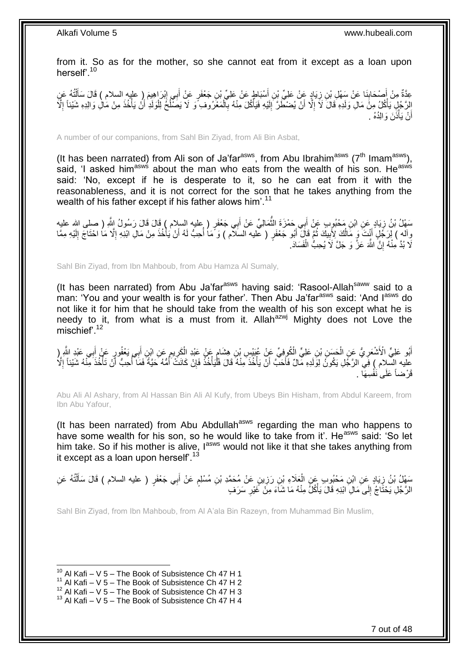from it. So as for the mother, so she cannot eat from it except as a loan upon herself'.<sup>10</sup>

عِدَّةٌ مِنْ أُصْحَابِذَا عَنْ سَهْلِ بْنِ زِيَادٍ عَنْ عَلِيِّ بْنِ أَسْبَاطٍ عَنْ عَلِيٍّ بْنِ جَعْفَرٍ عَنْ أَبِي إِبْرَاهِيمَ ( عليه السلام ) قَالَ سَأَلْتُهُ عَنِ<br>حَقَّدُ مِنْ أُمُدُ وَالِمَّاسِمَا لَّذَا وَالْقَدِيْ ِ ِ َ ْ َ  $\frac{1}{2}$ َ َ ُ الِرَّجُلِ يَأْكُلُ مِنَّ مَالِ وَلَدِهِ قَالَ لَاَ إِلَّا أَنْ يُضْطَّرَ إِلَيْهِ فَيَأْكُلَ مِنْهُ بِٱلْمَعْرُوفِ وَ لَا يَصَلْحُ لِلْوَلَدِ أَنْ يَأْخُذَ مِنْ مَالِ وَالِدِهِ شَيْئاً إِلَّا ْ **∶** ْ لَ ∣∣<br>∶ َ ِ ْ ؙ<br>أ َ ْ ِ أَنْ يَأْذَنَ وَالِدُهُ . :<br>ا اً

A number of our companions, from Sahl Bin Ziyad, from Ali Bin Asbat,

(It has been narrated) from Ali son of Ja'far<sup>asws</sup>, from Abu Ibrahim<sup>asws</sup> ( $7<sup>th</sup>$  Imam<sup>asws</sup>), said, 'I asked him<sup>asws</sup> about the man who eats from the wealth of his son. He<sup>asws</sup> said: 'No, except if he is desperate to it, so he can eat from it with the reasonableness, and it is not correct for the son that he takes anything from the wealth of his father except if his father alows him<sup>'.11</sup>

سَهْلُ بْنُ زِيَادٍ عَنِ ابْنِ مَحْبُوبٍ عَنْ أَبِي حَمْزَةَ النَّمَالِيِّ عَنْ أَبِي جَعْفَرٍ ( عِليه السلام ) قَالَ زَسُولُ اللَّهِ ( صلى الله عليه َ ُّ َ ِ وآله ) لِٓرَجُۡلٍۢ أَنْتَ َوَ مَالُكَ لِأَبِيكَ ثُمَّ قَالَ ۖ أَبُو جَعْفَرٍ ( عليه السلام ) وَ مَا أُحِبُّ لَهُ أَنْ يَأْخُذَ مِنْ مَالِ ابْنِهِ إِلَّا مَا احْتَاجَ إِلَيْهِ مِمَّا ا<br>أ َ ا دیگر **!** اُ ا<br>ا ِ ْ َ لَ لَا بُدَّ مِنْهُ إِنَّ اللَّهَ عَزَّ وَ جَلَّ لَاَ يُحِبُّ الْفَسَادَ. ْ ِ

Sahl Bin Ziyad, from Ibn Mahboub, from Abu Hamza Al Sumaly,

(It has been narrated) from Abu Ja'far $a<sup>asws</sup>$  having said: 'Rasool-Allah $<sup>saww</sup>$  said to a</sup> man: 'You and your wealth is for your father'. Then Abu Ja'far<sup>asws</sup> said: 'And I<sup>asws</sup> do not like it for him that he should take from the wealth of his son except what he is needy to it, from what is a must from it. Allah<sup>azwj</sup> Mighty does not Love the mischief'.<sup>12</sup>

أَبُو عَلِيٍّ الْأَشْعَرِيُّ عَنِ الْحَسَنِ بْنِ عَلِيٍّ الْكُوفِيِّ عَنْ عُبَيْسٍ بْنِ هِشَامٍ عَنْ عَبْدِ الْكَرِيمِ عَنِ ابْنِ أَبِي يَعْفُورٍ عَنْ أَبِي عَبْدِ الثَّمِ ِ ِ ْ ֧֖֚֚֚֝֝֝֝֝ ْ ِ َ َ َ عليه السّلام ) فِي الرَّجُلِ يَكُونَۢ لِوَلَدِهِ مَالٌ فَأَحَبَّ أَنْ يَأْخُذَ مِنْهُ قَالَ فَلْيَأْخُذْ فَإِنْ كَانَتْ أَمُّهُ حَيَّةً فَمَا أُحِبُّ أَنْ تَأْخُذَ مِنْهُ شَيْئاً إِلَّا ا<br>المعالم اُ َ ِ **ٔ** َ ُ ا<br>ا ِ **ٔ** ْ :<br>ا قَرْضاً عَلَى نَفْسِهَا .

Abu Ali Al Ashary, from Al Hassan Bin Ali Al Kufy, from Ubeys Bin Hisham, from Abdul Kareem, from Ibn Abu Yafour,

(It has been narrated) from Abu Abdullah<sup>asws</sup> regarding the man who happens to have some wealth for his son, so he would like to take from it'. He<sup>asws</sup> said: 'So let him take. So if his mother is alive, last would not like it that she takes anything from it except as a loan upon herself'. $^{13}$ 

سَهْلُ بْنُ زِيَادٍ عَنِ ابْنِ مَحْبُوبٍ عَنِ الْعَلَاءِ بْنِ رَزِينٍ عَنْ مُحَمَّدِ بْنِ مُسْلِمٍ عَنْ أَبِي جَعْفَرٍ ( عليه السلام ) قَالَ سَأَلْتُهُ عَنِ<br>مَسَمِّلُ بِنُ زِيَادٍ عَنِ ابْنِ مَحْبُوبٍ عُمْنٍ فَعُمْنٍ فَيْ َ ֧֧֧֧֧֧֧֧֓֝֓֝֓֝֓֝֬֟֓֟֓֓֓֟֓֓֟֓֓<del>֛</del> ِ ْ ِ ْ ĺ الرَّجُلِ يَحْثَاجُ إِلَى مَالِ ابْنِهِ قَالَ يَأْكُلُّ مِنْهُ مَا شَاَءَ مِنْ غَيْرِ سَرَفٍ ِ ة<br>أ  $\frac{1}{2}$ 

Sahl Bin Ziyad, from Ibn Mahboub, from Al A'ala Bin Razeyn, from Muhammad Bin Muslim,

<sup>1</sup>  $10$  Al Kafi – V 5 – The Book of Subsistence Ch 47 H 1

 $11$  Al Kafi – V 5 – The Book of Subsistence Ch 47 H 2

 $12$  Al Kafi – V  $5$  – The Book of Subsistence Ch 47 H 3

 $13$  Al Kafi – V 5 – The Book of Subsistence Ch 47 H 4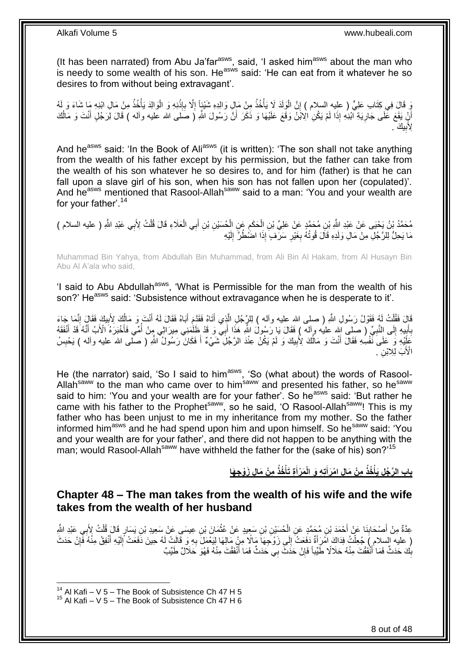(It has been narrated) from Abu Ja'far $a$ <sup>asws</sup>, said, 'I asked him $a$ <sup>asws</sup> about the man who is needy to some wealth of his son. He<sup>asws</sup> said: 'He can eat from it whatever he so desires to from without being extravagant'.

وَ قَالَ فِي كِتَابِ عَلِيٍّ ( عليه السلام ) إِنَّ الْوَلَدَ لَا يَأْخُذُ مِنْ مَالٍ وَالِدِهِ شَيْئٍاً إِلَّا بِإِنْنِهِ وَ الْوَالِدَ يَأْخُذُ مِنْ مَالِ ابْنِهِ مَا شَاءَ وَ لَهُ **ٔ** ِ ا<br>ا ْ ْ ِ ْ ْ أَنِّ يَقَعَ عَلَى جَارِيَةِ ٱلْنِـٰهِ إِذَا لَمْ يَكُنِ الْاَبْنُ وَقَعَ عَلَيْهَا وَ ذَكَرَ أَنَّ رَسُولَ اللَّهِ ( صَلَى اللہ عليه وأله ) قَالَ لِرَجُلٍ أَنْتَ وَ مَالُكَ ِ ُ َ َ ِلِأَبِيكَ . **!** 

And he<sup>asws</sup> said: 'In the Book of Ali<sup>asws</sup> (it is written): 'The son shall not take anything from the wealth of his father except by his permission, but the father can take from the wealth of his son whatever he so desires to, and for him (father) is that he can fall upon a slave girl of his son, when his son has not fallen upon her (copulated)'. And he<sup>asws</sup> mentioned that Rasool-Allah<sup>saww</sup> said to a man: 'You and your wealth are for your father'.<sup>14</sup>

َعَالِء ِي ال ب ِن أ ِن ْب ُح َسْي َع ِن ال َح َام ِن ال ِن ُم َح همٍد َع ْن َعلِ ِّي ْب ِي َعْبِد هَّللا ُم َح همُد ْب ُن َي ْحَيى َع ْن َعْبِد ِ ) عليه السالم ( هَّللاِ ْب ب ُت ِِلَ ل َقا َل قُ ْ َ ْ ِ ْ ْ مَا يَحِلُّ لِلرَّجُلِّ مِنْ مَالِ وَلَدِهِ قَالَ قُوتُهُ بِغَيْرِ سَرَّفٍ إِذَا اضَٰطُرَّ إِلَيْهِ **∶ ∶** لَ ∣∣<br>∶

Muhammad Bin Yahya, from Abdullah Bin Muhammad, from Ali Bin Al Hakam, from Al Husayn Bin Abu Al A'ala who said,

'I said to Abu Abdullah<sup>asws</sup>, 'What is Permissible for the man from the wealth of his son?' He<sup>asws</sup> said: 'Subsistence without extravagance when he is desperate to it'.

قَالَ فَقُلْتُ لَمُ فَقَوْلُ رَسُولِ اللَّهِ ( صلى الله عليه وآله ) لِلرَّ جُلِ الَّذِي أَنَاهُ فَقَدِّعَ أَبَاهُ فَقَالَ لَمُ أَنْتَ وَ مَالُكَ لِأَبِيكَ فَقَالَ إِنَّمَا جَاءَ َ َ ه ْ ِ ِ اُ َ بِأَبِيهِ إِلَى النَّبِيِّ ( صلى الله عليه وآله ) فَقَالَ يَا رَسُولُ اللَّهِ هَذَا أَبِي وَ قَدْ ظَلَمَنِي مِيرَاثِي مِنْ أُمِّي فَأَخْبَرَهُ الْأَبُ أَنَّهُ قَدْ أَنْفَقَهُ ِ  $\frac{1}{2}$ **∣** َ ِ َ َ ا<br>ا َ **ٔ** َ َعَلِّيْهِ وَ حَلَى َنَّفْسِهِ فَقَالَ أَنْتَ وَ مَالُكَ لِأَبِيكَ وَ لَمْ يَكُنْ عِنْدَ الرَّجُلِّ شَيْءٌ أَ فَكَانَ رَسُولُ اللَّهِ ( صلّحى الله عليه وآله ) يَحْبِسُ **!** اُ َ ِ الْأَبَ لِلِابْنِ ۖ.<br>ا

He (the narrator) said, 'So I said to him<sup>asws</sup>, 'So (what about) the words of Rasool-Allahsamw to the man who came over to him<sup>samw</sup> and presented his father, so he<sup>saww</sup> and presented his father, so he<sup>saww</sup> said to him: 'You and your wealth are for your father'. So he<sup>asws</sup> said: 'But rather he came with his father to the Prophet<sup>saww</sup>, so he said, 'O Rasool-Allah<sup>saww</sup>! This is my father who has been unjust to me in my inheritance from my mother. So the father informed him<sup>asws</sup> and he had spend upon him and upon himself. So he<sup>saww</sup> said: 'You and your wealth are for your father', and there did not happen to be anything with the man; would Rasool-Allah<sup>saww</sup> have withheld the father for the (sake of his) son?'<sup>15</sup>

> باب الرَّجُلِ يَأْخُذُ مِنْ مَالِ امْرَأَتِهِ وَ الْمَرْأَةِ تَأْخُذُ مِنْ مَالِ زَوْجِهَا **ْ َ َ ْ**

### <span id="page-7-0"></span>**Chapter 48 – The man takes from the wealth of his wife and the wife takes from the wealth of her husband**

عِدَّةٌ مِنْ أَصْحَابِنَا عَنْ أَحْمَدَ بْنِ مُحَمَّدٍ عَنِ الْحُسَيْنِ بْنِ سَعِيدٍ عَنْ عُثْمَانَ بْنِ عِيسَى عَنْ سَعِيدِ بْنِ يَسَارٍ قَالَ قُلْتُ لِأَبِي عَبْدِ اللَّهِ َ ِ َ ْ ْ ْ ( عليه السلام ) جُعِلْتُ فِدَاكَ اَمْرَأَةٌ دَفَعَتْ إِلَى زَوْجِهَا مَالًا مِنْ مَالِهَا لِيَعْمَلَ بِهِ وَ قَالَتْ لَهُ حِينَ دَفَعَتْ إَلَيْهِ أَنْفِقْ مِنْهُ فَإِنْ حَدَثَ ِ  $\frac{1}{2}$ َ ْ ।।<br>़ َ بِكَ حَدَثٌ فَمَا أَنْفَقْتَ مِنْهُ حَلَالًا طَيِّباً فَإِنْ حَدَثٌ بِي حَدَثٌ فَمَا أَنْفَقْتَ مِنْهُ فَهُوَ حَلَالٌ طَيِّبٌ َ ِ ِ

 $14$  Al Kafi – V 5 – The Book of Subsistence Ch 47 H 5

 $15$  Al Kafi – V 5 – The Book of Subsistence Ch 47 H 6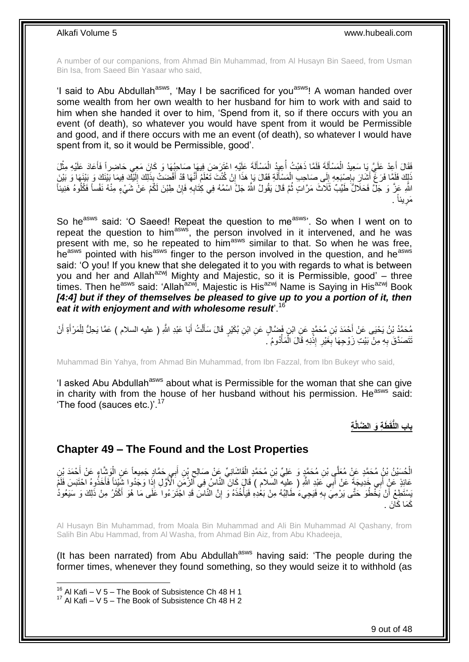A number of our companions, from Ahmad Bin Muhammad, from Al Husayn Bin Saeed, from Usman Bin Isa, from Saeed Bin Yasaar who said,

'I said to Abu Abdullah<sup>asws</sup>, 'May I be sacrificed for you<sup>asws</sup>! A woman handed over some wealth from her own wealth to her husband for him to work with and said to him when she handed it over to him, 'Spend from it, so if there occurs with you an event (of death), so whatever you would have spent from it would be Permissible and good, and if there occurs with me an event (of death), so whatever I would have spent from it, so it would be Permissible, good'.

فَقَالَ أَعِدْ عَلَيَّ بِا سَعِيدُ الْمَسْأَلَةَ فَلَمَّا ذَهَبْتُ أُعِيدُ الْمَسْأَلَةَ عَلِيْهِ اعْتَزَضَ فِيهَا صَاحِبُهَا وَ كَانَ مَعِي حَاضِراً فَأَعَادَ عَلَيْهِ مِثْلَ Í ْ المستقبل المستقبل المستقبل المستقبل المستقبل المستقبل المستقبل المستقبل المستقبل المستقبل المستقبل المستقبل ال<br>المستقبل َ ْ ا<br>السياسي<br>السياسي **ٔ** َ نَاكَ فَلَمَّا فَرَغٌ أَشَارَ بِإِصْبَعِهِ إِلَى صَاحِبِ الْمَسْأَلَةِ فَقَالَ يَا هَذَا إِنْ كُنْتَ تَعْلَمُ أَنَّهَا قَدْ أَفْضَتْ بِذَلِكَ إِلَيْكَ فِيمَا بَيْنَاكَ وَ بَيْنَهَا وَ بَيْنَ<br>وَيَجْمَعُونَ بِأَنْ الْمَارَ ف لَ Í ْ ∣l<br>∶ ِ ¦ َ َ َ ِ اللَّهِ عَزَّ وَ جَلَّ فَحَلالٌ طَيِّبٌ ثَلَاثَ مَرَّاتٍ ثُمَّ قَالَ يَقُولُ اللَّهُ جَلَّ اسْمُهُ فِي كِتَابِهِ فَإِنْ طِبْنَ لَكُمْ عَنْ شَيْءٍ مِنْهُ نَفْساً فَكُلُوهُ هَنِنِئَا ∣lٍ ِ ُ . يئاً َمر **∶** 

So he<sup>asws</sup> said: 'O Saeed! Repeat the question to me<sup>asws</sup>'. So when I went on to repeat the question to him<sup>asws</sup>, the person involved in it intervened, and he was present with me, so he repeated to him<sup>asws</sup> similar to that. So when he was free, heasws pointed with his<sup>asws</sup> finger to the person involved in the question, and he<sup>asws</sup> said: 'O you! If you knew that she delegated it to you with regards to what is between you and her and Allah<sup>azwj</sup> Mighty and Majestic, so it is Permissible, good' – three times. Then he<sup>asws</sup> said: 'Allah<sup>azwj</sup>, Majestic is His<sup>azwj</sup> Name is Saying in His<sup>azwj</sup> Book [4:4] but if they of themselves be pleased to give up to you a portion of it, then *eat it with enjoyment and with wholesome result*'.<sup>16</sup>

مُحَمَّدُ بْنُ يَحْيَى عَنْ أَحْمَدَ بْنِ مُحَمَّدٍ عَنِ ابْنٍ فَضَّالٍ عَنِ ابْنِ بُكَيْرٍ قَالَ سَأَلْتُ أَبَا عَبْدِ اللَّهِ ( عليه السلام ) عَمَّا يَحِلُّ لِلْمَرْ أَةِ أَنْ َ ْ َ َ َ ْ ُنَتَصَدَّقَ بِهِ مِنْ بَيْتِ زَوْجِهَا بِغَيْرِ إِذْنِهِ قَالَ الْمَأْدُومُ ۚ. ْ ؟<br>∶ٌ **∶** ِ ِ

Muhammad Bin Yahya, from Ahmad Bin Muhammad, from Ibn Fazzal, from Ibn Bukeyr who said,

'I asked Abu Abdullah<sup>asws</sup> about what is Permissible for the woman that she can give in charity with from the house of her husband without his permission. He<sup>asws</sup> said: The food (sauces etc.)<sup>'.17</sup>

**ِة باب اللُّقَ َط ِة َو ال َّضالَّ**

### <span id="page-8-0"></span>**Chapter 49 – The Found and the Lost Properties**

الْحُسَيْنُ يْنُ مُحَمَّدٍ عَنْ مُعَلَّي بْنِ مُحَمَّدٍ وَ عَلِيِّ بْنِ مُحَمَّدٍ الْقَاشَانِيِّ عَنْ صَالِحِ يْنِ أَبِي حَمَّادٍ جَمِيعاً عَنِ الْوَشَّاءِ عَنْ أَحْمَدَ بْنِ َ ِ ْ ْ َ ْ عَائِذٍ عَنْ أَبِي خَدِيجَةً عَنْ أَبِّي عَنْدِ اللَّهِ ( عِليه السَّلام ) قَالَ كَانَ النَّاسُ فِي الْزَمَنِ الْأَوَّلِ إِذَا وَجُدُوا شَيِّئاً فَأَخَذُوهُ احْتَبَسَ فَلَمْ َ َ َبِسْتَطِعْ أَنْ يَخْطُوَ حَتَّى يَرْمِيَ بِهِ فَيَجِيءَ طَالِبُهُ مِنْ بَعْٰدِهِ فَيَأْخُذَهُ وَ إِنَّ الَّنَّاسَ قَدِ اجْتَرَ ءُوا عَلَى مَا هُوَ أَكْثَرُ مِنْ ذَٰلِكَ وَ سَيَعُودُ ِ اُ ْ َ َ ِ كَمَا كَانَ .

Al Husayn Bin Muhammad, from Moala Bin Muhammad and Ali Bin Muhammad Al Qashany, from Salih Bin Abu Hammad, from Al Washa, from Ahmad Bin Aiz, from Abu Khadeeja,

(It has been narrated) from Abu Abdullah<sup>asws</sup> having said: 'The people during the former times, whenever they found something, so they would seize it to withhold (as

 $16$  Al Kafi – V 5 – The Book of Subsistence Ch 48 H 1

 $17$  Al Kafi – V 5 – The Book of Subsistence Ch 48 H 2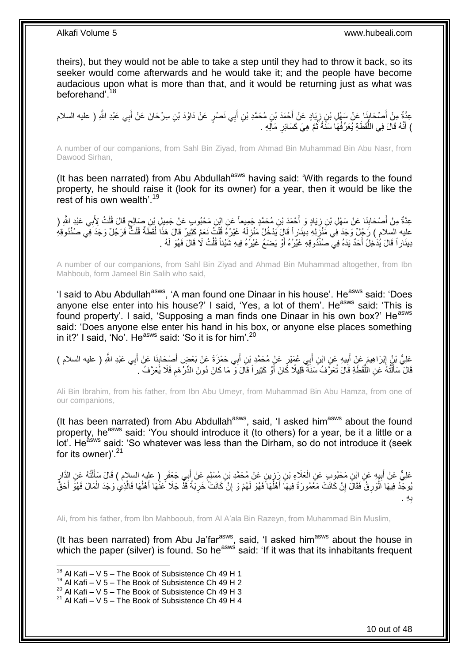theirs), but they would not be able to take a step until they had to throw it back, so its seeker would come afterwards and he would take it; and the people have become audacious upon what is more than that, and it would be returning just as what was beforehand<sup>'18</sup>

عِدَّةٌ مِنْ أَصْحَابِذَا عَنْ سَهْلِ بْنِ زِيَادٍ عَنْ أَحْمَدَ بْنِ مُحَمَّدِ بْنِ أَبِي نَصْرٍ عَنْ دَاوُدَ بْنِ سِرْحَانَ عَنْ أَبِي عَبْدِ اللَّهِ ( عليه السلام<br>حَقَّةٌ مِنْ أَصْحَابِهَ َ ِ ِ َ َ ) أَنَّهُ قَالَ فِي اللُّقَطَةِ يُعَرِّ فُهَا سَنَّةً ثُمَّ هِيَ كَسَائِرِ مَالَهِ . ِ ُ ُّ َ

A number of our companions, from Sahl Bin Ziyad, from Ahmad Bin Muhammad Bin Abu Nasr, from Dawood Sirhan,

(It has been narrated) from Abu Abdullah<sup>asws</sup> having said: 'With regards to the found property, he should raise it (look for its owner) for a year, then it would be like the rest of his own wealth'.<sup>19</sup>

عِدَّةٌ مِنْ أَصْحَابِنَا عَنْ سَهْلِ بْنِ زِيَادٍ وَ أَحْمَدَ بْنِ مُحَمَّدٍ جَمِيعاً عَنِ ابْنِ مَحْبُوبٍ عَنْ جَمِيلِ بْنِ صَالِحٍ قَالَ قُلْتُ لِأَبِي عَبْدٍ اللَّهِ ( َ **∶** ِ ْ ٍ عليه السلام ) رَجُلٌ وَجَدَ فِي مَنْزَلِهِ دِينَاراً قَالَ يَدْخُلُ مَنْزِلَهُ غَيْرُهُ قُلْتُ نَعَمْ كَثِيرٌ قَالَ هَذَا لَقَطَةٌ قُلْتٌ فَرَجُلٌ وَجَدَ فِي صُنْدُوقِهِ لَ ِ ¦ ُ دِينَار أَ قَالَ يُدْخِلُ أَحَدٌ يَدَهُ فِي صُنْذُوقِهِ غَيْرُهُ أَوْ يَضَعُ غَيْرُهُ فِيهِ شَيْئاً قُلْتُ لَا قَالَ فَهُوَ لَهُ . ْ َ

A number of our companions, from Sahl Bin Ziyad and Ahmad Bin Muhammad altogether, from Ibn Mahboub, form Jameel Bin Salih who said,

'I said to Abu Abdullah<sup>asws</sup>, 'A man found one Dinaar in his house'. He<sup>asws</sup> said: 'Does anyone else enter into his house?' I said, 'Yes, a lot of them'. He<sup>asws</sup> said: 'This is found property'. I said, 'Supposing a man finds one Dinaar in his own box?' He<sup>asws</sup> said: 'Does anyone else enter his hand in his box, or anyone else places something in it?' I said, 'No'. He<sup>asws</sup> said: 'So it is for him'.<sup>20</sup>

عَلِيُّ بْنُ إِبْرَاهِيمَ عَنْ أَبِيهِ عَنِ ابْنِ أَبِي عُمَيْرٍ عَنْ مُحَمَّدٍ بْنِ أَبِي حَمْزَةَ عَنْ بَعْضٍ أَصْبِحَابِنَا عَنْ أَبِي عَبْدِ اللَّهِ ( عليه السلام ) ِ َ َ َ **!** َ ِ َ قَالَ ۚ سَأَلْتُهُ عَنِ الْلُّقَطَةِ قَالَ تُعَرَّفُ سَنَةً قَلِيلًا كَانَ أَوْ كَثِيراً قَالَ َو ۖ مَا كَانَ دُونَ الدِّرْهَمِ فَلَا يُعَرَّفُ . َ ُّ ֦֖֖֦֧֦֦֦֖֦֧֦֦֖֦֧֦֦֧֦֦֧֦֪֦֪֪֦֧֦֪֦֧֦֧֦֪֦֧֦֪֪֦֧֦֧֦֪֪֦֧֦֧֦֧֦֧֦֧֟֟֟֟֟֟֟֟֟֟֟֟֟֟֟֟֟֟֟֟֟֬֟֟֟֟֟֓֞֟֟֟֟֬֟֟֓֞֟֟֩֕֟֟֩֞֟֟֓֞֟֟֟֟֟֝֟ َ **∶** 

Ali Bin Ibrahim, from his father, from Ibn Abu Umeyr, from Muhammad Bin Abu Hamza, from one of our companions,

(It has been narrated) from Abu Abdullah<sup>asws</sup>, said, 'I asked him<sup>asws</sup> about the found property, he<sup>asws</sup> said: 'You should introduce it (to others) for a year, be it a little or a lot'. He<sup>asws</sup> said: 'So whatever was less than the Dirham, so do not introduce it (seek for its owner)<sup>'.21</sup>

ِ عَلِيٌّ عَنْ أَبِيهِ عَنِ ابْنِ مَحْبُوبٍ عَنِ الْعَلَاءِ بْنِ رَزِينٍ عَنْ مُحَمَّدِ بْنِ مُسْلِمٍ عَنْ أَبِي جَعْفَرٍ ( عليه السلام ) قَالَ سَأَلْتُهُ عَنِ الدَّارِ ْ **!** َ ِ ْ َ َ ֧֖֖֚֚֚֓֝֬֝ ُبُوجَّدُ فِيهَا اَلْوَرِقُ فَقَالَ إِنْ كَانَتْ مَعْمُورَةً فِيهَا أَهْلُهَا فَهُوَ لَهُمْ وَ إِنْ كَانَتْ خَرِبَةً قَذَّ جَلا عَنْهَا أَهْلُهَا فَالَّذِي وَجَدَ الْمَالَ فَهُوَ أَحَقُّ **ٍ** ِ ُ ا<br>أ **׀ ∶** ْ ه ُ َ َ ْ ِه . **∶** ب

Ali, from his father, from Ibn Mahbooub, from Al A'ala Bin Razeyn, from Muhammad Bin Muslim,

(It has been narrated) from Abu Ja'far $a$ <sup>asws</sup>, said, 'I asked him $a$ <sup>asws</sup> about the house in which the paper (silver) is found. So he<sup>asws</sup> said: 'If it was that its inhabitants frequent

 $18$  Al Kafi – V 5 – The Book of Subsistence Ch 49 H 1

 $19$  Al Kafi – V 5 – The Book of Subsistence Ch 49 H 2

 $^{20}$  Al Kafi – V 5 – The Book of Subsistence Ch 49 H 3

 $21$  Al Kafi – V 5 – The Book of Subsistence Ch 49 H 4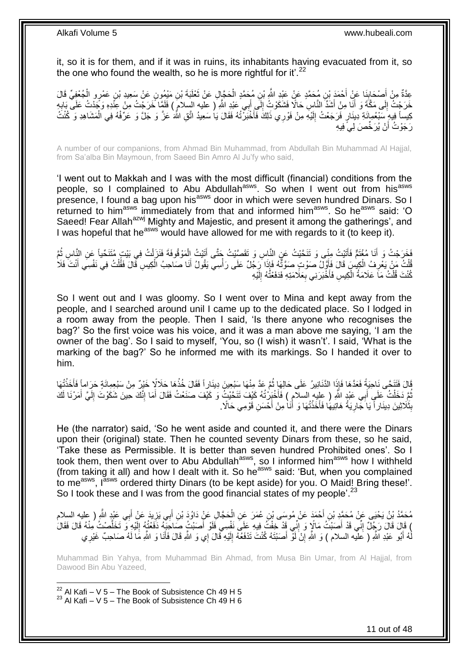it, so it is for them, and if it was in ruins, its inhabitants having evacuated from it, so the one who found the wealth, so he is more rightful for it'.<sup>22</sup>

عِدَّةٌ مِنْ أَصْحَابِذَا عَنْ أَحْمَدَ بْنِ مُحَمَّدٍ عَنْ عَبْدِ اللَّهِ بْنِ مُحَمَّدٍ الْحَجَّإِلِ عَنْ ثَعْلَبَةَ بْنِ مَيْمُونٍ عَنْ سَعِيدِ بْنِ عَمْرٍو الْجُعْفِيِّ قَالَ ِ َ ْ َ ْ خَرَجْتُ إِلَى مَكَّةَ وَ أَنَا مِنْ أَشَدٍّ النَّاسِ حَالًا فَشَكَوْتُ إِلَي أَبِي عَيْدِ اللَّهِ ( عليه السلام ) فَلَمَا خَرَجْتُ مِنْ عِنْدِهِ وَجَدْتُ عَلَى بَابِهِ َ ِ َ יִי<br>י ِ يساً فِيهِ سَبْعُمِائَةِ دِينَارٍ فَرَجَعْتُ إِلَيْهِ مِنْ فَوْرِي ذَلِكَ فَأَخْبَرْتُهُ فَقَالَ يَا سَعِيدُ اتَّقِ اللَّهَ عَزَّ وَ جَلَّ وَ عَرِّفْهُ فِي الْمَشَاهِدِ وَ كُنْتُ َ لَ ِ ْ رَجَوْتُ أَنْ يُرَخِّصَ لِيَّ فِيهِ اً

A number of our companions, from Ahmad Bin Muhammad, from Abdullah Bin Muhammad Al Hajjal, from Sa'alba Bin Maymoun, from Saeed Bin Amro Al Ju'fy who said,

'I went out to Makkah and I was with the most difficult (financial) conditions from the people, so I complained to Abu Abdullah<sup>asws</sup>. So when I went out from his<sup>asws</sup> presence, I found a bag upon his<sup>asws</sup> door in which were seven hundred Dinars. So I returned to him<sup>asws</sup> immediately from that and informed him<sup>asws</sup>. So he<sup>asws</sup> said: 'O Saeed! Fear Allah<sup>azwj</sup> Mighty and Majestic, and present it among the gatherings', and I was hopeful that he<sup>asws</sup> would have allowed for me with regards to it (to keep it).

فَخَرَجْتُ وَ<sub>ِلِ</sub> أَنَا مُغْتَمٌّ فَأَتَيْتُ مِنِّي وَ تَتَحَّيْتُ عَنِ النَّاسِ وَ تَقَصَّيْتُ جَثَّى أَيَّيْتُ الْمَوْقُوفَةَ فَنَزَلْتُ فِي بَيْتِ مُتَنَحِّياً عَنِ النَّاسِ ثُمَّ ْ َ َ َ ر<br>: ْ فُلْتُ مَنْ يَعْرِفُ الْكِبِسِ قَالَ فَأَوَّلُ صَوْتٍ صَوَّتٌّهُ فَإِذَا رَجُلٌ عَلَى رَأْسِي يَقُولُ أَنَا صَاحِبُ الْكِسِ قَالَ فَقُلْتُ فِي نَفْسِي أَنْتَ فَلَا<br>أَوْجِدِ الْمَالِمَةِ الْكِبِسِ قَالَ فَأَوَّلُ صَوْتٍ صَ َ ْ **∶** ْ َ ْ ْ َ **ٔ** كُنْتَ قُلْتُ مَاَ عَلَامَةُ الْكِيسِ فَأَخْبَرَنِي بِعَلَامَتِهِ فَدَفَعْتُهُ إِلَيْهِ لَ ِ ِ َ ْ ْ

So I went out and I was gloomy. So I went over to Mina and kept away from the people, and I searched around unil I came up to the dedicated place. So I lodged in a room away from the people. Then I said, 'Is there anyone who recognises the bag?' So the first voice was his voice, and it was a man above me saying, 'I am the owner of the bag'. So I said to myself, 'You, so (I wish) it wasn't'. I said, 'What is the marking of the bag?' So he informed me with its markings. So I handed it over to him.

َالَ فَتَنَحَّى نَاحِيَةً فَعَدَّهَا فَإِذَا الذَّنَانِيرُ عَلَى حَالِهَا ثُمَّ عَدَّ مِنْهَا سَبْعِينَ دِينَارِاً فَقَالَ خُذْهَا حَلاَلًا خَيْرٍ مِنْ سَبْعِمِائَةٍ حَرَاماً فَأَخَذْتُهَا ان<br>المقامات **ٔ** َ **ٔ** ثُمَّ دَخَلْتُ عَلَى أَبِي عَبْدٍ اللَّهِ ( عِلِيهِ السلامِ ) فَأَخْزِرْتُهُ كَيْفَ تَنَحَّيْتٍ وَ كَيْفَ صَنَعْتُ فَقَالَ أَمَا إِنَّكَ حَينَ شَكَوْتَ إِلَيَّ أَمَرْنَا لَكَ َ َ ْ َ لَ ِ ِ َ بِثَلَاثِينَ دِينَاراً يَا َجَّارِيَةُ هَاتِيهَا فَأَخَذْتُهَا وَ أَنَا مِنْ أَحْسَنِ قَوْمِي حَالًا. َ **ٔ** َ ِ **ِ** 

He (the narrator) said, 'So he went aside and counted it, and there were the Dinars upon their (original) state. Then he counted seventy Dinars from these, so he said, 'Take these as Permissible. It is better than seven hundred Prohibited ones'. So I took them, then went over to Abu Abdullah<sup>asws</sup>, so I informed him<sup>asws</sup> how I withheld (from taking it all) and how I dealt with it. So he<sup>asws</sup> said: 'But, when you complained to me<sup>asws</sup>, l<sup>asws</sup> ordered thirty Dinars (to be kept aside) for you. O Maid! Bring these!'. So I took these and I was from the good financial states of my people<sup>'.23</sup>

يَد ِي َيز ب ِن أ ِل َع ْن َداُوَد ْب َح هجا ِن ُع َم َر َع ِن ال ْح َمَد َع ْن ُمو َسى ْب ِن أ ِي َعْبِد هَّللا ُم َح همُد ْب ُن َي ْحَيى َع ْن ُم َح همِد ْب ِ ) عليه السالم ب َع ْن أ ِ َ ْ َ َ ) قَالَ قَالَ رَجُلٌ إِنِّي قَدْ أَصَبْتُ مَالًاٍ وَ إِنِّي قَدْ خِفْتُ فِيهِ عَلَى نَفْسِي فَلَوْ أَصَبْتُ صَاحَنِهُ دَفَعْتُهُ إِلَيْهِ َو تَخَلَّصْتُ مِنْهُ قَالَ فَقَالَ ِ َ ِ ه لَ ِ َ هُ أَبُو عَبْدِ اللَّهِ ( عَلَيْه السلام ) وَ اللَّهِ إِنْ لَوّْ أَصَنْتَهُ كُنْتَ تَدْفَعُهُ إِلَيْهِ قَالَ إِي وَ اللَّهِ قَالَ فَأَنَا وَ اللَّهِ مَا لَهُ صَاحِبٌ غَيْرِي لَ ِ ِ َ لَ َ ِ

Muhammad Bin Yahya, from Muhammad Bin Ahmad, from Musa Bin Umar, from Al Hajjal, from Dawood Bin Abu Yazeed,

 $^{22}$  Al Kafi – V 5 – The Book of Subsistence Ch 49 H 5  $23$  Al Kafi – V 5 – The Book of Subsistence Ch 49 H 6

1

11 out of 48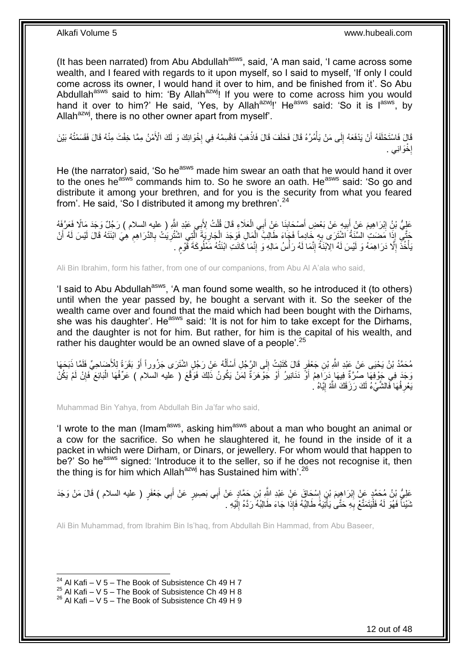(It has been narrated) from Abu Abdullah<sup>asws</sup>, said, 'A man said, 'I came across some wealth, and I feared with regards to it upon myself, so I said to myself, 'If only I could come across its owner, I would hand it over to him, and be finished from it'. So Abu Abdullah<sup>asws</sup> said to him: 'By Allah<sup>azwj</sup>! If you were to come across him you would hand it over to him?' He said, 'Yes, by Allah<sup>azwj</sup>!' He<sup>asws</sup> said: 'So it is l<sup>asws</sup>, by Allah $a^{2x}$ , there is no other owner apart from myself.

فَالَ فَاسْتَحْلَفَهُ أَنْ يَدْفَعَهُ إِلَى مَنْ يَأْمُرُهُ قَالَ فَحَلَفَ قَالَ فَاذْهَبْ فَاقْسِمْهُ فِي إِخْوَانِكَ وَ لَكَ الْأَمْنُ مِمَّا خِفْتَ مِنْهُ قَالَ فَقَسَمْتُهُ بَيْنَ ·<br>∶ **ٔ** ْ  $\frac{1}{2}$ اً إِخْوَانِي . ·<br>∶

He (the narrator) said, 'So he<sup>asws</sup> made him swear an oath that he would hand it over to the ones he<sup>asws</sup> commands him to. So he swore an oath. He<sup>asws</sup> said: 'So go and distribute it among your brethren, and for you is the security from what you feared from'. He said, 'So I distributed it among my brethren'.<sup>24</sup>

عَلِيُّ بْنُِ إِبْرَاهِيمَ عَنْ أَبِيهِ عَنْ بَعْضِ أَصْبِحَابِذَا عَنِّ أَبِي الْعَلَاءِ قَالَ قُلْتُ لِأَبِي عَبْدِ اللَّهِ ( عليه السلام ) رَجُلٌ وَجَدَ مَالًا فَعَرَّفَهُ ْ ْ َ ِ **!** <u>֖֓</u> جَنَّي إِذَا مَضَىتِ السَّنَةُ اشْتَرَى بِهِ خَادِماً فَجَاءَ طَالِبُ الْمَالِ فَوَجَدَ الْجَارِيَةَ الَّتِي اشْتُرِيَتُ بِالذَّرَاهِمِ هِيَ ابْنَتَهُ قَالَ لَيْسَ لَهُ أَنْ ْ ْ ِ َ ِ ِ ِ ه ِ يَأْخُذَ إِلَّا دَرَاهِمَهُ وَ لَيْسَ لَهُ الِابْنَةُ إِنَّمَا لَهُ رَأْسُ مَالِهِ وَ إِنَّمَا كَانَتِ ابْنَتُهُ مَمْلُوكَةَ قَوْمِ . ِ **ٔ** ِ ِ ة<br>أ ٍ

Ali Bin Ibrahim, form his father, from one of our companions, from Abu Al A'ala who said,

'I said to Abu Abdullah<sup>asws</sup>, 'A man found some wealth, so he introduced it (to others) until when the year passed by, he bought a servant with it. So the seeker of the wealth came over and found that the maid which had been bought with the Dirhams, she was his daughter'. He<sup>asws</sup> said: 'It is not for him to take except for the Dirhams, and the daughter is not for him. But rather, for him is the capital of his wealth, and rather his daughter would be an owned slave of a people<sup>'.25</sup>

مُحَمَّدُ بْنُ يَحْيَى عَنْ عَبْدِ اللَّهِ بْنِ جَعْفَرٍ قَالَ كَتَبْتُ إِلَى الرَّجُلِ أَسْأَلُهُ عَنْ رَجُلٍ اشْتَرَى جَزُوراً أَوْ بَقَرَةً لِلْأَضَاحِيِّ فَلَمَّا ذَبَحَهَا ا<br>ا َ َ  $\frac{1}{2}$ َ وَجَدَ فِي جَوْفِهَا صُرَةٌ فِيهَا دَرَاهِمُ أَوْ دَنَانِيرُ أَوْ جَوْهَرَةٌ لِمَنْ يَكُونُ ذَلِكَ فَوَقَّعَ ( عليه السلام ) عَرِّفْهَا الْبَائِعَ فَإِنْ لَمْ يَكُنْ َ ∣ٍ إ ْ َ يَعْرِ فُهَا فَالشَّيْءُ لَكَ رَزَقَكَ اللَّهُ إِيَّاهُ لِ ِ <u>֖֖֚֚֚֓</u>ׇ֛֚

Muhammad Bin Yahya, from Abdullah Bin Ja'far who said,

'I wrote to the man (Imam<sup>asws</sup>, asking him<sup>asws</sup> about a man who bought an animal or a cow for the sacrifice. So when he slaughtered it, he found in the inside of it a packet in which were Dirham, or Dinars, or jewellery. For whom would that happen to be?' So he<sup>asws</sup> signed: 'Introduce it to the seller, so if he does not recognise it, then the thing is for him which Allah<sup>azwj</sup> has Sustained him with'.<sup>26</sup>

عَلِيُّ بْنُ مُحَمَّدٍ عَنْ إِبْرَاهِيمَ بْنِ إِسْحَاقَ عَنْ عَبْدِ اللَّهِ بْنِ حَمَّادٍ عَنْ أَبِي بَصِيرٍ عَنْ أَبِي جَعْفَرٍ ( عليه السلام ) قَالَ مَنْ وَجَدَ َ َ ֖֧֓֓<u>֓</u> ِ نَنَيْئاً فَهُوَ لَهُ فَلْيَتَمَتَّعْ بِهِ حَتَّىٰ يَأْتِيَهُ طَالِبُهُ فَإِذَا جَاءَ طَالِبُهُ رَدَّهُ إِلَيْهِ . ا<br>ا ِ ֪֧֦֦֦֦֦֪֦֪֦֪֦֪֦֪֦֪֦֪֪֦֪֦֪֪֦֧֦֡֝֟֟֟֟֟֟֟֟֟֟֟֟֟֟֟֟֟֟֟֟֟֡֟֟֟֟֟֟֟֟֟֓֞֟֟֓֞֟֟֩֕֞֟֟֟֟֟֟֟֟֟֟֟ لَ ِ

Ali Bin Muhammad, from Ibrahim Bin Is'haq, from Abdullah Bin Hammad, from Abu Baseer,

<sup>&</sup>lt;sup>24</sup> Al Kafi – V 5 – The Book of Subsistence Ch 49 H 7

 $^{25}$  Al Kafi – V 5 – The Book of Subsistence Ch 49 H 8

 $26$  Al Kafi – V 5 – The Book of Subsistence Ch 49 H 9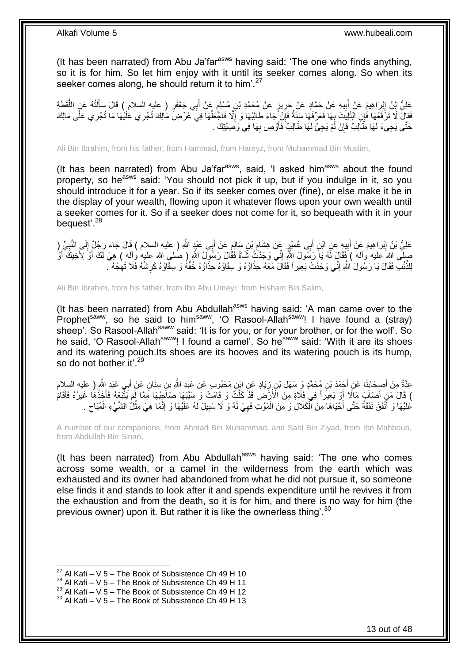(It has been narrated) from Abu Ja'far<sup>asws</sup> having said: 'The one who finds anything, so it is for him. So let him enjoy with it until its seeker comes along. So when its seeker comes along, he should return it to him'.<sup>27</sup>

عَلِيُّ بِنُ إِبْرَاهِيمَ عَنْ أَبِيهِ عَنْ حَمَّادٍ عَنْ حَمَّدٍ بِّن مُسْلِمٍ عَنْ أَبِي جَعْفَرٍ ( عليه السلام ) قَالَ سَأَلْتُهُ عَنِ اللَّقَطَةِ<br>تَحْلَيُّ بِنُ إِبْرَاهِيمَ عَنْ أَبِيهِ عَنْ حَمَّادٍ عَنْ جَرِيزٍ عَنْ َ ֧֧֧֠֝֓֝֓׆֧ ِ **!** َ ِ ُّ ْ َ ْفَقَالَ لَا تَزَفَعُهَا فَإِنِ ابْتُلِبَتَ بِهَا فَعَرِّفْهَا سَنَةً فَإِنْ َجَاءَ طَالِبُهَا وَ إِلَّا فَاجْعَلْهَا فِي عُرْضِ مَالِكَ تُجْرِي عَلَيْهَا مَا تُجْرِي عَلَى مَالِكَ<br>فَقَالَ لَا تَزَفَعُهَا وَأَيْرَ ابْتُلِ ْ ا<br>ا ِ ֢֚<u>֓</u> حَتَّى يَجِيءَ لَهَا طَاَلِبٌ فَإِنْ لَمْ يَجِئْ لَهَا طَالِبٌ فَأُوْصِ بِهَا فِي وَصِيَّتِكَ . **∶** َ ِ

Ali Bin Ibrahim, from his father, from Hammad, from Hareyz, from Muhammad Bin Muslim,

(It has been narrated) from Abu Ja'far<sup>asws</sup>, said, 'I asked him<sup>asws</sup> about the found property, so he<sup>asws</sup> said: 'You should not pick it up, but if you indulge in it, so you should introduce it for a year. So if its seeker comes over (fine), or else make it be in the display of your wealth, flowing upon it whatever flows upon your own wealth until a seeker comes for it. So if a seeker does not come for it, so bequeath with it in your bequest'.<sup>28</sup>

عَلِيُّ بْنُ إِبْرَاهِيمَ عَنْ أَبِيهِ عَنِ ابْنِ أَبِي عُمَيْرٍ عَنْ هِشَامِ بْنِ سَالِمٍ عَنْ أَبِي عَنْدٍ اللَّهِ ( عليه السلام ) قَالَ جَاءَ رَجُلٌ إِلَى النَّبِيِّ ( َ ٍ ِ َ ِ َ ِ ِ ِ صِلَّى اللهُ عليه وآله ) فَقَالَ أَمُه يَآ رَسَلُولَ اللَّهِۖ إِنِّيٓ وَجَدْنُ ثَمَاةً فَقَالَ رَسُولٌ اللَّهِ ( صلى الله عليه وآله ) هِيَ لَكَ أَوْ لِأَخِيكَ أَوُّ ِ َ َ لِلذُّنْبِ فَقَالَ يَا رَسُولَ ٰاللَّهِ إِنِّي وَجَدْتُ بَعِيراً فَقَالَ مَعَهُ حِذَاؤُهُ وَ سِقَاؤُهُ حَذَاقُهُ وَ سِقَاؤُهُ كَرِشُهُ فَلَا تَهِجْهُ ۖ. ِ ِّ ِ ِ

Ali Bin Ibrahim, from his father, from Ibn Abu Umeyr, from Hisham Bin Salim,

(It has been narrated) from Abu Abdullah<sup>asws</sup> having said: 'A man came over to the Prophet<sup>saww</sup>, so he said to him<sup>saww</sup>, 'O Rasool-Allah<sup>saww</sup>! I have found a (stray) sheep'. So Rasool-Allah<sup>saww</sup> said: 'It is for you, or for your brother, or for the wolf'. So he said, 'O Rasool-Allah<sup>saww</sup>! I found a camel'. So he<sup>saww</sup> said: 'With it are its shoes and its watering pouch.Its shoes are its hooves and its watering pouch is its hump, so do not bother it'.<sup>29</sup>

ِن ِس ِن َم ْحُبو ٍب َع ْن َعْبِد هَّللاِ ْب َياٍد َع ِن اْب ِن ز ِن ُم َح همٍد َو َس ْه ِل ْب ْح َمَد ْب َنا َع ْن أ ْص َحاب ِ ) عليه السالم ِم ْن أ ِي َعْبِد هَّللا ِعهدةٌ ب ٍن َع ْن أ َنا ِ **∣** َ َ اُ ) قَالَ مَنْ أَصَابَ مَالًا أَوْ بَعِيراً فِي فَلَاةٍ مِنَ الْأَزْمَٰنِ قَدْ كَلَّتٌ وَ قَامَتْ وَ سَيَّبَهَا صَاجِبُهَا مِمَّا لَمْ يَثْبَعُهُ فَأَخَذَهُا غَيْرُهُ فَأَقَامَ َ َ ْعَلَيْهَا وَ أَنْفَقَ نَفَقَةً حَتَّى أَحْيَاهَا مِنَ الْكَلالِ وَ مِنَ الْمَوْتِ فَهِيَ لَهُ وَ لَا سَبِيلَ لَهُ عَلَيْهَا وَ إِنَّمَا هِيَ مِثْلُ الشَّيْءِ الْمُبَاحِ . ِ ِ ْ ْ َ َ ْ ِ ْ ِ

A number of our companions, from Ahmad Bin Muhammad, and Sahl Bin Ziyad, from Ibn Mahboub, from Abdullah Bin Sinan,

(It has been narrated) from Abu Abdullah $^{asws}$  having said: 'The one who comes across some wealth, or a camel in the wilderness from the earth which was exhausted and its owner had abandoned from what he did not pursue it, so someone else finds it and stands to look after it and spends expenditure until he revives it from the exhaustion and from the death, so it is for him, and there is no way for him (the previous owner) upon it. But rather it is like the ownerless thing'.<sup>30</sup>

 $^{27}$  Al Kafi – V 5 – The Book of Subsistence Ch 49 H 10

 $^{28}$  Al Kafi – V 5 – The Book of Subsistence Ch 49 H 11

 $^{29}$  Al Kafi – V 5 – The Book of Subsistence Ch 49 H 12

 $30$  Al Kafi – V 5 – The Book of Subsistence Ch 49 H 13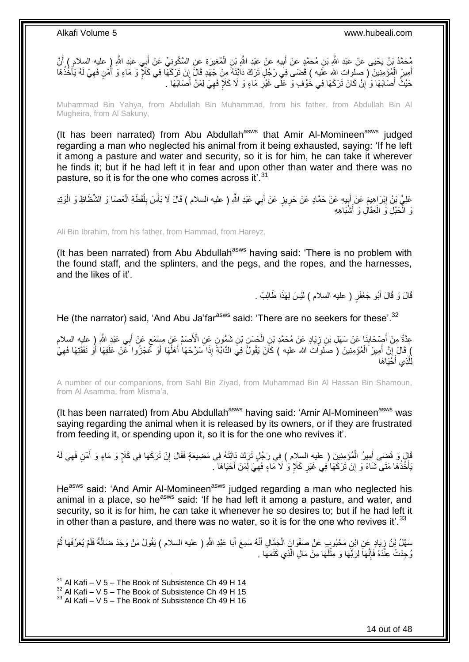مُحَمَّدُ بْنُ يَحْيَى عَنْ عَبْدِ اللَّهِ بْنِ مُحَمَّدٍ عَنْ أَبِيهِ عَنْ عَيْدِ اللَّهِ بْنِ الْمُغِيرَةِ عَنِ السَّكُونِيِّ عَنْ أَبِي عَبْدِ اللَّهِ ( عليه السلام ) أَنَّ ْ ِ َ َ َ أَمِيرَ الْمُؤْمِنِينَ ( صَلوات الله عَلَيه ) قَضَمَى فِيَ رَجُلٍ تَرَكَ دَائِّتَهُ مِنْ جَهْدٍ قَالَ إِنْ تَرَكَهَا فِي كَلَإٍ وَ مَاءٍ وَ أُمْنٍ فَهِيَ لَهُ يَأْخُذُهَا ْ َ ْ ِ أ ِ حَيْثُ أَصَابَهَا وَ ْإِنْ كَانَ تَرَكَهَا فِي خُوْفٍ وَ عَلَى غَيْرِ مَاءٍ وَ لَا كَلَإٍ فَهِيَ لِمَنْ أَصَابَهَا . َ ِ ِ ِ َ

Muhammad Bin Yahya, from Abdullah Bin Muhammad, from his father, from Abdullah Bin Al Mugheira, from Al Sakuny,

(It has been narrated) from Abu Abdullah<sup>asws</sup> that Amir Al-Momineen<sup>asws</sup> judged regarding a man who neglected his animal from it being exhausted, saying: 'If he left it among a pasture and water and security, so it is for him, he can take it wherever he finds it; but if he had left it in fear and upon other than water and there was no pasture, so it is for the one who comes across it'.<sup>31</sup>

عَلِيُّ بْنُ إِبْرَاهِيمَ عَنْ جَمَّادٍ عَنْ حَمَّادٍ عَنْ حَرِيزٍ عَنْ أَبِي عَبْدِ اللَّهِ ( عليه السلام ) قَالَ لَا بَأْسَ بِلُقَطَةِ الْعَصَا وَ الشَّطَاظِ وَ الْوَتِدِ ِ ۱. َ ِ ْ ْ ا:<br>ا ِ ىَ الْحَبْلِ وَ الْعِقَالِ وَ أَشْبَاهِهِ َ ْ ْ

Ali Bin Ibrahim, from his father, from Hammad, from Hareyz,

(It has been narrated) from Abu Abdullah $a<sup>asws</sup>$  having said: 'There is no problem with the found staff, and the splinters, and the pegs, and the ropes, and the harnesses, and the likes of it'.

> قَالَ وَ قَالَ أَبُو جَعْفَرٍ ( عليه السلام ) لَيْسَ لِهَذَا طَالِبٌ <sub>.</sub> لَ

He (the narrator) said, 'And Abu Ja'far<sup>asws</sup> said: 'There are no seekers for these'.<sup>32</sup>

ٍ عِدَّةٌ مِنْ أَصْحَابِنَا عَنْ سَهْلِ بْنِ زِيَادٍ عَنْ مُحَمَّدِ بْنِ الْحَسَنِ بْنِ شَمُّونٍ عَنِ الْأَصَمِّ عَنْ مِسْمَعٍ عَنْ أَبِي عَبْدِ اللَّهِ إِ عِلِيهِ السِلام ْ ِ ِ َ َ ) قَالَ إِنَّ أَمِيرَ الْمُؤْمِنِينَ ( صلوات الله عليه ) كَانَ يَقُولُ فِي الذَّابَّةِ إِذَا سَرَّحَهَا أَهْلُهَا أَوْ كَّمَجَزُوا عَنْ عَلَفِهَا أَوْ نَفَقَتِهَا فَهِيَ َ ُ َ ْ َ م<br>ا لِلَّذِي أَحْيَاهَا َ ه

A number of our companions, from Sahl Bin Ziyad, from Muhammad Bin Al Hassan Bin Shamoun, from Al Asamma, from Misma'a,

(It has been narrated) from Abu Abdullah<sup>asws</sup> having said: 'Amir Al-Momineen<sup>asws</sup> was saying regarding the animal when it is released by its owners, or if they are frustrated from feeding it, or spending upon it, so it is for the one who revives it'.

نَا إِنْ تَضِّى أَمِيرُ الْمُؤْمِنِينَ ( عليهِ السِلام ) فِي رَجُلٍ تَرَكَ دَابَّتَهُ فِي مَضِيعَةٍ فَقَالَ إِنْ تَرَكَهَا فِي كَلَإٍ وَ مَاءٍ وَ أَمْنٍ فَهِيَ لَهُ ِ ْ َ ِ َ َبَأْخُذُهَا مَتَى شَاءَ وَ إِنْ تَرَكَهَا فِي غَيْرِ كَلَإٍ وَ لَا مَاءٍ فَهِيَ لِمَنْ أَحْيَاهَا ۖ َ ِ ِ ِ ا<br>المستقبل

He<sup>asws</sup> said: 'And Amir Al-Momineen<sup>asws</sup> judged regarding a man who neglected his animal in a place, so he<sup>asws</sup> said: 'If he had left it among a pasture, and water, and security, so it is for him, he can take it whenever he so desires to; but if he had left it in other than a pasture, and there was no water, so it is for the one who revives it'.<sup>33</sup>

ِن يَوْادٍ عَنِ ابْنِ مَحْبُوبٍ عَنْ صَفْوَانٍَ الْجَمَّالِ أَنَّهُ سَمِعَ أَبَا عَبْدِ اللَّهِ ( عليه السلام ) يَقُولُ مَنْ وَجَدَ ضَالَّةً فَلَمْ يُعَرِّفْهَا ثُمَّ َ َ ْ ِ ه ا<br>ا زُجِدَتْ عِنْدَهُ فَإِنَّهَا لِرَبِّهَا وَ مِثْلَهَا مِنْ مَالِ الَّذِي كَتَمَهَا . ه لَ **ٔ** ِ

 $31$  Al Kafi – V 5 – The Book of Subsistence Ch 49 H 14

 $32$  Al Kafi – V 5 – The Book of Subsistence Ch 49 H 15

 $33$  Al Kafi – V 5 – The Book of Subsistence Ch 49 H 16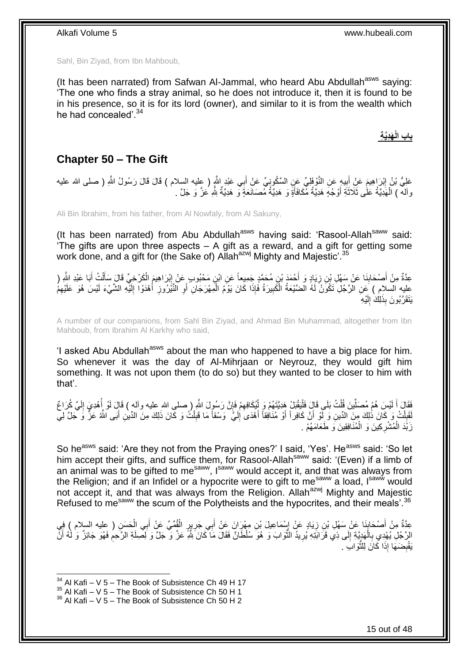Sahl, Bin Ziyad, from Ibn Mahboub,

(It has been narrated) from Safwan Al-Jammal, who heard Abu Abdullah<sup>asws</sup> saying: 'The one who finds a stray animal, so he does not introduce it, then it is found to be in his presence, so it is for its lord (owner), and similar to it is from the wealth which he had concealed'.<sup>34</sup>

> **َهِدَّي ِة باب الْ**

### <span id="page-14-0"></span>**Chapter 50 – The Gift**

عَلِيُّ بْنُ إِبْرَاهِيمَ عَنِْ أَبِيهٍ عَنِ النَّوْفَلِيِّ عَنِ السَّكُونِيِّ عَنْ أَبِي عَبْدِ النَّهِ ( عِليه السلام ) قَالَ قَالَ رَسُولُ النَّهِ ( صلى الله عليه **! ֽוּ** َ وآلهٌ ) الْهَدِيَّةُ عَلَى ثَلاَثَةِ أَوْجُهٍ هَدِيَّةُ مُّكَافَأَةٍ وَ هَدِيَّةُ مُّصَانَعَةٍ وَ هَدِيَّةٌ شِّهِ عَزَّ وَ جَلَّ . َ َ َ ْ

Ali Bin Ibrahim, from his father, from Al Nowfaly, from Al Sakuny,

(It has been narrated) from Abu Abdullah<sup>asws</sup> having said: 'Rasool-Allah<sup>saww</sup> said: 'The gifts are upon three aspects – A gift as a reward, and a gift for getting some work done, and a gift for (the Sake of) Allah<sup>azwj</sup> Mighty and Majestic'.<sup>35</sup>

عِدَّةٌ مِنْ أَصْحَابِنَا عَنْ سَهْلِ بْنِ زِيَادٍ وَ أَحْمَدَ بْنِ مُحَمَّدٍ جَمِيعاً عَنِ ابْنٍ مَحْبُوبٍ عَنْ إِبْرَاهِيمَ الْكَرْخِيِّ قَالَ سَأَلْتُ أَبَا عَبْدِ الثَّهِ ( ِ َ ِ **∣** َ َ ْ َ ْ عليه السلام ) عَنِ الرَّجُلِ تَكُونُ لَهُ الضَّيْعَةُ الْكَبِيرَةُ فَإِذَا كَانَ يَوْمُ الْمِهْرَجَانِ أَوِ النَّيْرُوزِ أَهْدَوْا إِلَيْهِ الشَّيْءَ لَيْسَ هُوَ عَلَيْهِمْ ِ ْ لَ ِ َ ِ َ ْ ِ يَتَقَرَّبُونَ بِذَلِكَ إِلَيْهِ لَ  $\frac{1}{2}$ 

A number of our companions, from Sahl Bin Ziyad, and Ahmad Bin Muhammad, altogether from Ibn Mahboub, from Ibrahim Al Karkhy who said,

'I asked Abu Abdullah<sup>asws</sup> about the man who happened to have a big place for him. So whenever it was the day of Al-Mihrjaan or Neyrouz, they would gift him something. It was not upon them (to do so) but they wanted to be closer to him with that'.

فَقَالَ أَ لَيْسَ هُمْ مُصَلِّينَ قُلْتُ بَلَى قَالَ فَلْيَقْبَلْ هِدِيَّتَهُمْ وَ لِٰيُكَافِهِمْ فَإِنَّ رَسُولَ اللَّهِ ( صلى الله عليه وآله ) قَالَ لَوْ إُهْدِيَ إِلَيَّ كُرَاعٌ ا ِ ْ ْ ْ ِّ لَ لَ ِ ُ لَقِبْكُ وَ كَانَ ذَٰلِكَ مِنَ الدِّينِ وَ لَّوْ أَنَّ كَافِراً أَوْ مُنَافِقاً أَهْدَىَ إِلَيٍّ ۖ وَسْقاً مَا قَبِلْتُ وَ كَانَ ذَٰلِكَ مِنَ الدِّينِ أَبَى الثَّهُ عَزَّ وَ جَلَّ لِي َ َ ْ **「** َ ْ ِ لَ ِ َ زَبَّدَ الْمُشْرِكِينَ وَ الْمُنَافِقِينَ وَ طَعَامَهُمْ . ْ ِ ْ

So he<sup>asws</sup> said: 'Are they not from the Praying ones?' I said, 'Yes'. He<sup>asws</sup> said: 'So let him accept their gifts, and suffice them, for Rasool-Allah<sup>saww</sup> said: '(Even) if a limb of an animal was to be gifted to me<sup>saww</sup>, I<sup>saww</sup> would accept it, and that was always from the Religion; and if an Infidel or a hypocrite were to gift to me<sup>saww</sup> a load, I<sup>saww</sup> would not accept it, and that was always from the Religion. Allah $a^{2}$ <sup>wj</sup> Mighty and Majestic Refused to me<sup>saww</sup> the scum of the Polytheists and the hypocrites, and their meals'.<sup>36</sup>

عِدَّةٌ مِنْ أَصْحَابِذَا عَنْ سَهْلِ بْنِ زِيَادٍ عَنْ إِسْمَاعِيلَ بْنِ مِهْرَانَ عَنْ أَبِي جَرِيرٍ الْقُمِّيِّ عَنْ أَبِي الْحَسَنِ ( عِليه السلام ) فِي<br>حَقَّةٌ مِنْ أَصْحَابِذَا عَنْ سَهْلِ بْنِ زِيَادٍ عَنْ إِسْمَاعِ َ ْ **∶** َ ِ **∶ ∣** َ ْ الِرَّجُلِ يُهْدِي بِالْهَدِيَّةِ إِلَى ذِي قَرَابَتِهِ يُرِيدُ النَّوَابَ وَ هُوَ سُلْطَانٌ فَقَالَ مَا كَانَ لِلَّهِ عَزَّ وَ جَلَّ وَ لِصِلَةِ الرَّحِمُ فَهُوَ جَائِزٌ وَ لَٰهُ أَنَّ ه ِ  $\frac{1}{2}$ ْ **∶** َ ِ يَقْبِضَهَا إِذَا كَانَ لِلثَّوَابَ . ه ِ

<sup>1</sup>  $34$  Al Kafi – V 5 – The Book of Subsistence Ch 49 H 17

 $35$  Al Kafi – V  $5$  – The Book of Subsistence Ch 50 H 1

<sup>36</sup> Al Kafi – V 5 – The Book of Subsistence Ch 50 H 2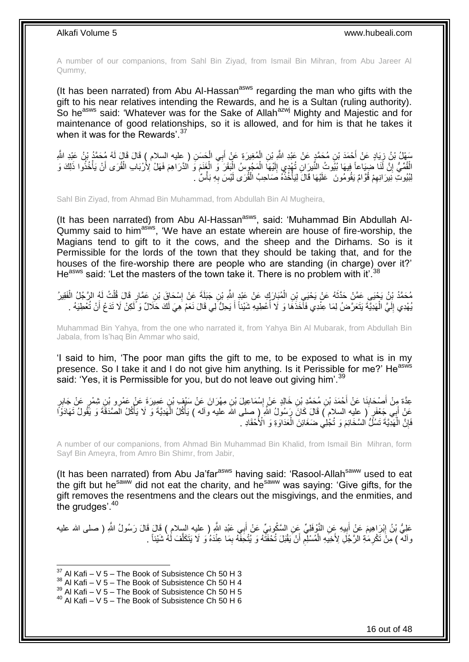A number of our companions, from Sahl Bin Ziyad, from Ismail Bin Mihran, from Abu Jareer Al Qummy,

(It has been narrated) from Abu Al-Hassan<sup>asws</sup> regarding the man who gifts with the gift to his near relatives intending the Rewards, and he is a Sultan (ruling authority). So he<sup>asws</sup> said: 'Whatever was for the Sake of Allah<sup>azwj</sup> Mighty and Majestic and for maintenance of good relationships, so it is allowed, and for him is that he takes it when it was for the Rewards'.<sup>37</sup>

َح َس ِن ) عليه السالم ( َق ِي ال ب ُمِغي َرِة َع ْن أ ِن ال ِن ُم َح همٍد َع ْن َعْبِد هَّللاِ ْب ْح َمَد ْب َياٍد َع ْن أ ُه ُم َح همُد ْب ُن َعْبِد هَّللا َس ْه ُل ْب ُن ز ِ ا َل َقا َل لَ ْ َ ْ َ ِ الْقُمِّيُّ إِنَّ لَّنَا ضِيَاحاً فِيهَا بُيُوتُ النُّيرَانِ تُهْدِي إِلَيْهَا الْمَجُوِّسُ الْبَقَرَ وَّ الْغَنَمَ وَ الدَّرَاهِمَ فَهَلْ لِأَرْبَاب الْقُرَى أَنْ يَأْخُذُوا ذَلِكَ وَ ْ لَ  $\frac{1}{2}$ ِ ْ َ ْ ْ ْ لِبُيُوتِ نِيرَ انِهِمْ قُوَّامٌ يَقُومُونَ ۚ عَلَيْهَا قَالَ لِيَأْخُذْهُ صَاحِبُ الْقُرَى لَيْسَ بِهِ بَأْسٌ ْ **∶** ْ ֦֧<u>֓</u>֪֚֝ ة<br>أ ِ

Sahl Bin Ziyad, from Ahmad Bin Muhammad, from Abdullah Bin Al Mugheira,

(It has been narrated) from Abu Al-Hassan<sup>asws</sup>, said: 'Muhammad Bin Abdullah Al-Qummy said to him<sup>asws</sup>, 'We have an estate wherein are house of fire-worship, the Magians tend to gift to it the cows, and the sheep and the Dirhams. So is it Permissible for the lords of the town that they should be taking that, and for the houses of the fire-worship there are people who are standing (in charge) over it?' He<sup>asws</sup> said: 'Let the masters of the town take it. There is no problem with it'.<sup>38</sup>

مُحَمَّدُ بِنُ يَجْيَىِ عَمَّنْ حَدَّثَهُ عَنْ يَحْيَىِ بِْنِ الْمُبَارَكِ عَنْ عَبْدٍ اللَّهِ بْنِ جَبَلَةَ عَنْ إِسْحَاقَ بْنِ عَمَّارٍ قَالَ قُلْتُ لَهُ الرَّجُلُ الْفَقِيرُ.<br>. ِ ْ َ ْ ْ يُهْدِي إِلَيَّ الْهَدِيَّةَ يَتَعَرَّضُ لِمَا عِنْدِي فَأَخَذَهَا وَ لَا أُعْطِيهِ شَيْئاً أَ يَحِلُّ لِي قَالَ نَعَمْ هِيَ لَكَ حَلَالٌ وَ لَكِنْ لَا تَدَعْ أَنْ تُعْطِيَهُ . ا<br>أ َ ْ لَ  $\frac{1}{2}$ َ َ

Muhammad Bin Yahya, from the one who narrated it, from Yahya Bin Al Mubarak, from Abdullah Bin Jabala, from Is'haq Bin Ammar who said,

'I said to him, 'The poor man gifts the gift to me, to be exposed to what is in my presence. So I take it and I do not give him anything. Is it Perissible for me?' He<sup>asws</sup> said: 'Yes, it is Permissible for you, but do not leave out giving him'.<sup>39</sup>

عِدَّةٍ مِنْ أَصْحَابِذَا عَنْ أَحْمَدَ بْنِ مُحَمَّدِ بْنِ خَالِدٍ عَنْ إِسْمَاعِيلَ بْنِ مِهْرَانَ عَنْ سَبْفٍ بْنِ عَمِيرَةَ عَنْ عَمْرِو بْنِ شِمْرٍ عَنْ جَابِرٍ<br>عَدَّةٍ مِنْ أَصْحَابِذَا عَنْ أَحْمَدَ بْنِ مُحَمَّدٍ ب َ **∣** َ ∫<br>∶ ِ عَنْ أَبِي جَعْفَرٍ ( عِليه السلام ) قَالَ كَانَ رَسُولُ اللَّهِ ( صِلى الله عليه وأله ) يَأْكُلُ الْهَدِيَّةَ وَ لَا يَأْكُلُ الْصَدَقَةَ وَ يَقُولُ تَهَادَوًا ة<br>أ ْ ة<br>أ َ فَإِنَّ الْمَهْدِيَّةَ تَسُأَّلُ السَّخَائِمَ وَ تُجْلِي ضَغَائِنَ الْعَدَاوَةِ وَ الْأُحْقَادِ ۖ ْ ا<br>ا ِ

A number of our companions, from Ahmad Bin Muhammad Bin Khalid, from Ismail Bin Mihran, form Sayf Bin Ameyra, from Amro Bin Shimr, from Jabir,

(It has been narrated) from Abu Ja'far<sup>asws</sup> having said: 'Rasool-Allah<sup>saww</sup> used to eat the gift but he<sup>saww</sup> did not eat the charity, and he<sup>saww</sup> was saying: 'Give gifts, for the gift removes the resentmens and the clears out the misgivings, and the enmities, and the grudges'.<sup>40</sup>

عَلِيُّ بْنُ إِبْرَاهِيمَ عَنْ أَبِيهِ عَنِ النَّوْفَلِيِّ عَنِ السَّكُونِيِّ عَنْ أَبِي عَبْدِ النَّهِ ( عليه السلام ) قَالَ قَالَ رَسُولُ اللَّهِ ( صلى الله عليه َ **∣** ِ وآله ۖ ) مِنْ تَكْرِمَٰةِ الرَّجُلِ لِأَخِيَهِ الْمُسْلِمِ أَنْ يَقْبَلَ تُحْفَثَهُ وَ يُتْحَفَّهُ بِمَا عِنْدَهُ وَ لَا يَتَكَلَّفَ لَهُ شَيْئاً ۚ ـ ِ ْ ِ ه

 $37$  Al Kafi – V 5 – The Book of Subsistence Ch 50 H 3

 $38$  Al Kafi – V 5 – The Book of Subsistence Ch 50 H 4

 $39$  Al Kafi – V  $5$  – The Book of Subsistence Ch 50 H 5

 $40$  Al Kafi – V 5 – The Book of Subsistence Ch 50 H 6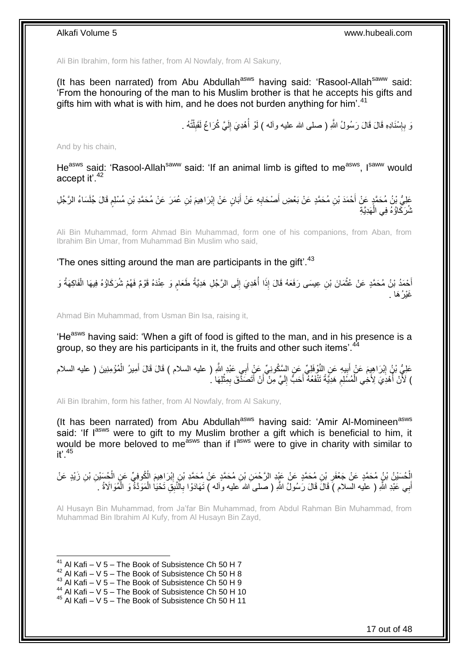Ali Bin Ibrahim, form his father, from Al Nowfaly, from Al Sakuny,

(It has been narrated) from Abu Abdullah<sup>asws</sup> having said: 'Rasool-Allah<sup>saww</sup> said: 'From the honouring of the man to his Muslim brother is that he accepts his gifts and gifts him with what is with him, and he does not burden anything for him'.<sup>41</sup>

> وَ بِإِسْنَادِهِ قَالَ قَالَ رَسُولُ اللَّهِ ( صلى الله عليه وآله ) لَمْو أُهْدِيَ إِلَيَّ كُرَاعٌ لَقَبِلْنُهُ . ْ ِ لَ ِ المناسب المستقبل المستقبل المستقبل المستقبل المستقبل المستقبل المستقبل المستقبل المستقبل المستقبل المستقبل الم<br>المستقبل المستقبل المستقبل المستقبل المستقبل المستقبل المستقبل المستقبل المستقبل المستقبل المستقبل المستقبل ال ِ ِ

And by his chain,

He<sup>asws</sup> said: 'Rasool-Allah<sup>saww</sup> said: 'If an animal limb is gifted to me<sup>asws</sup>, Isaww would accept it'.<sup>42</sup>

عَلِيُّ بْنُ مُحَمَّدٍ عَنْ أَحْمَدَ بْنِ مُحَمَّدٍ عَنْ بَعْضِ أَصْحَابِهِ عَنْ أَبَانٍ عَنْ إِبْرَاهِيمَ بْنِ عُمَرَ عَنْ مُحَمَّدِ بْنِ مُسْلِمٍ قَالَ جُلَسَاءُ الرَّجُلِ ِ َ ِ َ ہ<br>پ شُرَكَاؤُهُ فِي الْهَدِيَّةِ ْ

Ali Bin Muhammad, form Ahmad Bin Muhammad, form one of his companions, from Aban, from Ibrahim Bin Umar, from Muhammad Bin Muslim who said,

'The ones sitting around the man are participants in the  $\text{air}$ '.<sup>43</sup>

أَحْمَدُ بْنُ مُحَمَّدٍ عَنْ عُثْمَانَ بْنِ عِيسَى رَفَعَهُ قَالَ إِذَا أُهْدِيَ إِلَى الرَّجُلِ هَدِيَّةُ طَعَامٍ وَ عِنْدَهُ قَوْمٌ فَهُمْ شُرَكَاؤُهُ فِيهَا الْفَاكِهَةُ وَ ֧֧֧֖֧֧֧֧֦֧֧֧֚֓֝֬֝֝֓֝֬֟֓֟֓֓֝֓֝֬֝֓֝֓֟֓֟֓֝֬ ِ ْ خَيْرُ ۚ هَا ۚ ِ

Ahmad Bin Muhammad, from Usman Bin Isa, raising it,

'He<sup>asws</sup> having said: 'When a gift of food is gifted to the man, and in his presence is a group, so they are his participants in it, the fruits and other such items'.<sup>44</sup>

عَلِيُّ بْنُ إِبْرَاهِيمَ عَنْ أَبِيهِ عَنِ النَّوْفَلِيِّ عَنِ السَّكُونِيِّ عَنْ أَبِي عَبْدِ اللَّهِ ( عليه السلام ) قَالَ قَالَ أَمِيرُ الْمُؤْمِنِينَ ( عليه السلام َ ِ َ ِ ْ َ ) لَأَنْ أُهْدِيَ لِأُخِي الْمُسَلِمِ هَدِيَّةً تَنْفَعُهُ أَحَبٌّ إِلَيَّ مِنْ أَنْ أَتَصَدِّقَ بِمِثْلِهَا كُ ْ ِ َ َ لَ  $\frac{1}{2}$ َ ِ ْ اب<br>ا

Ali Bin Ibrahim, form his father, from Al Nowfaly, from Al Sakuny,

(It has been narrated) from Abu Abdullah<sup>asws</sup> having said: 'Amir Al-Momineen<sup>asws</sup> said: 'If I<sup>asws</sup> were to gift to my Muslim brother a gift which is beneficial to him, it would be more beloved to me<sup>asws</sup> than if  $I^{asws}$  were to give in charity with similar to  $it'$ . 45

إِلْحُسَيْنُ يْنُ مُحَمَّدٍ عَنْ جَعْفَرِ بْنِ مُحَمَّدٍ عَنْ عَيْدِ الرَّحْمَنِ بْنِ مُحَمَّدٍ عَنْ مُحَمَّدٍ بْنِ إِبْرَاهِيمَ الْمُوفِيِّ عَنِ الْحُسَيْنِ بْنِ زَيْدٍ عَنْ ْ ِ ِ أَبِي عَبْدِ اللَّهِ ( عليه السلام ) قَالَ قَالَ رَسُولُ اللَّهِ ( صلى َالله َعليه وَاله ) تَهَادَوْا بِالَّنَبِقِ تَحْيَا الْمَوَدَّةُ وَ الْمُوَالَاةُ . ِ َ ْ ْ

Al Husayn Bin Muhammad, from Ja'far Bin Muhammad, from Abdul Rahman Bin Muhammad, from Muhammad Bin Ibrahim Al Kufy, from Al Husayn Bin Zayd,

 $41$  Al Kafi – V 5 – The Book of Subsistence Ch 50 H 7

 $^{42}$  Al Kafi – V 5 – The Book of Subsistence Ch 50 H 8

<sup>43</sup> Al Kafi – V 5 – The Book of Subsistence Ch 50 H 9

<sup>44</sup> Al Kafi – V 5 – The Book of Subsistence Ch 50 H 10

<sup>45</sup> Al Kafi – V 5 – The Book of Subsistence Ch 50 H 11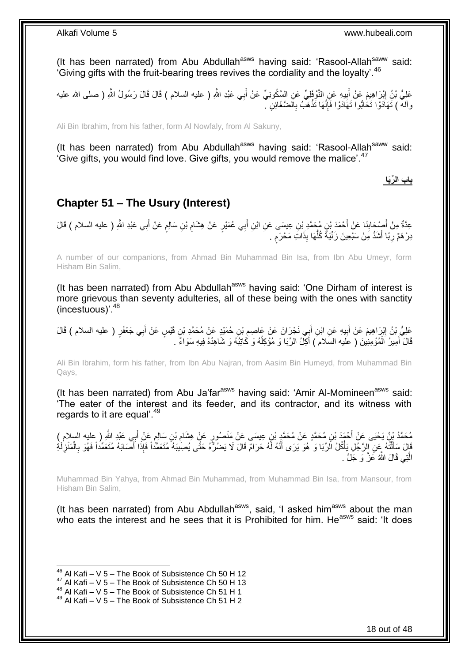(It has been narrated) from Abu Abdullah<sup>asws</sup> having said: 'Rasool-Allah<sup>saww</sup> said: 'Giving gifts with the fruit-bearing trees revives the cordiality and the loyalty'.  $46$ 

عَلِيُّ بْنُ إِبْرَاهِيمَ عَنْ أَبِيهِ عَنِ النَّوْفَلِيِّ عَنِ السَّكُونِيِّ عَنْ أَبِي عَبْدِ اللَّهِ ( عليه السلام ) قَالَ قَالَ رَسُولُ اللَّهِ ( صلى الله عليه َ **!**  ِ وآلة ) تَهَاْدَوْا تَحَابُّوا تَهَادَوْا فَإِنَّهَا تَذْهَبُ بِالْضَّغَائِنِ ۚ. ِ **ٔ** ∣اٍ<br>∶

Ali Bin Ibrahim, from his father, form Al Nowfaly, from Al Sakuny,

(It has been narrated) from Abu Abdullah<sup>asws</sup> having said: 'Rasool-Allah<sup>saww</sup> said: 'Give gifts, you would find love. Give gifts, you would remove the malice'.<sup>47</sup>

**باب ال ِّرَبا**

### <span id="page-17-0"></span>**Chapter 51 – The Usury (Interest)**

َ عِدَّةٌ مِنْ أَصْحَابِنَا عَنْ أَحْمَدَ بْنٍ مُحَمَّدِ بْنِ عِيسَى عَنِ ابْنِ أَبِي عُمَيْرٍ عَنْ هِشَامِ بْنِ سَالِمٍ عَنْ أَبِي عَبْدِ اللَّهِ ( عليه السلام ) قَالَ ֧֖֧֚֚֓֝֝֝ ِ َ َ ِ دِرْ هَمٌ رِبًا أَشَدُّ مِنْ سَبْعِينَ زَنْيَةً كُلُّهَا بِذَاتَ مَحْرَمٍ . ٍ ُّ َ ِ

A number of our companions, from Ahmad Bin Muhammad Bin Isa, from Ibn Abu Umeyr, form Hisham Bin Salim,

(It has been narrated) from Abu Abdullah<sup>asws</sup> having said: 'One Dirham of interest is more grievous than seventy adulteries, all of these being with the ones with sanctity (incestuous)'.<sup>48</sup>

عَلِيُّ بْنُ إِبْرَاهِيمَ عَنْ أَبِيهِ عَنِ ابْنِ أَبِي نَجْرَانَ عَنْ عَاصِمِ بْنِ حُمَيْدٍ عَنْ مُحَمَّدِ بْنِ قَيْسٍ عَنْ أَبِي جَعْفَرٍ ( عليه السلام ) قَالَ ِ ِ َ ِ ِ قَالَ أُمِيرُ ٱلْمُؤْمِنِينَ ( عَليه السّلام ) آكِلُ الرِّبَا وَ مُؤْكِلُهُ وَ كَاتِبُهُ وَ شَاهِدُهُ فِيهِ سَوَاءٌ . ُ ْ َ

Ali Bin Ibrahim, form his father, from Ibn Abu Najran, from Aasim Bin Humeyd, from Muhammad Bin Qays,

(It has been narrated) from Abu Ja'far $a<sup>asws</sup>$  having said: 'Amir Al-Momineen $a<sup>asws</sup>$  said: 'The eater of the interest and its feeder, and its contractor, and its witness with regards to it are equal'.<sup>49</sup>

مُحَمَّدُ بِنُ يَحْيَى عَنْ أَحْمَدَ بْنِ مُحَمَّدٍ عَنْ مُحَمَّدٍ بْنِ عِيسَى عَنْ مَنْصُورٍ عَنْ هِشَامِ بْنِ سَالِمٍ عَنْ أَبِي عَبْدِ اللَّهِ ( عِليه السلام )<br>. َ َ ֧֧֖֧֖֧֖֧֧֧֧֧֧֧֧֧֧֧֧֚֚֚֓֝֝֝֝֝֟֓֝֓֬֝֓֝֬֟֓֟֓֝֬֟֓֟֓֝֬֝֬֝֓֟֓֝֬֜֝֬֝֓֝֬֝֓ ِ قَالَ سَأَلْتُهُ عَنِ الرَّجُلِ يَأْكُلُ الرِّبَا وَ هُوَ يَرَى أَنَّهُ لَهُ حَرَامٌ قَالَ لَا يَضُرُّهُ حَتَّى يُصِّيبَهُ مُتَعَمِّّداً فَلَهُ مَنْ فَقَمَّداً فَهُوَ بِالْمَنْزِلَةِ َ ْ ֺ֦֧֦֦֧֦֧֦֦֧֦֧֦֪֦֧֦֪֦֪֦֪֦֪֦֪֦֧֦֪֦֪֪֦֪֪֦֝֟֟֟֟֟֟֟֟֟֟֟֟֟֟֟֟֟֟֟֟֟֓֟֟֟֓֟֓֟֓֕֟֓֟֓֟֓֟֓֟֓֟֟֓֟֟֓֟֟֟֟֟֟֟֟ َ َ لَ **∶** ْ ِ الَّذِي قَالَ اللَّهُ عَزَّ وَ جَلَّ . ه

Muhammad Bin Yahya, from Ahmad Bin Muhammad, from Muhammad Bin Isa, from Mansour, from Hisham Bin Salim,

(It has been narrated) from Abu Abdullah<sup>asws</sup>, said, 'I asked him<sup>asws</sup> about the man who eats the interest and he sees that it is Prohibited for him. He<sup>asws</sup> said: 'It does

 $46$  Al Kafi – V 5 – The Book of Subsistence Ch 50 H 12

<sup>&</sup>lt;sup>47</sup> Al Kafi – V 5 – The Book of Subsistence Ch 50 H 13

 $48$  Al Kafi – V  $5$  – The Book of Subsistence Ch 51 H 1

 $49$  Al Kafi – V 5 – The Book of Subsistence Ch 51 H 2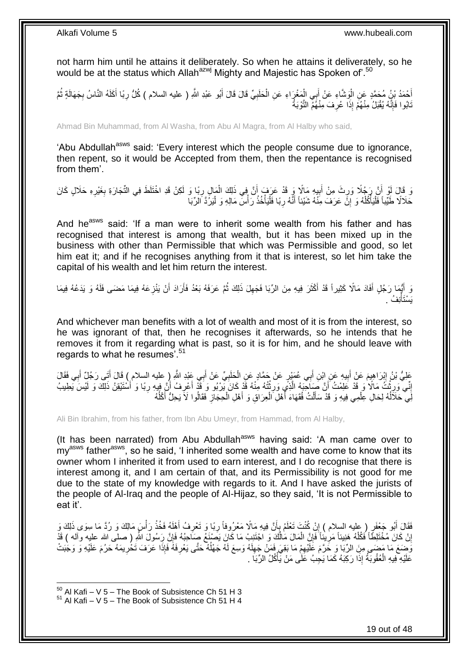not harm him until he attains it deliberately. So when he attains it deliverately, so he would be at the status which Allah<sup>azwj</sup> Mighty and Majestic has Spoken of'.<sup>50</sup>

أَحْمَدُ بْنُ مُحَمَّدٍ عَنِ الْوَشَّاءِ عَنْ أَبِي الْمَغْرَاءِ عَنِ الْحَلَبِيِّ قَالَ قَالَ أَبُو عَبْدِ اللَّهِ ( عليه السلام ) كُلُّ رِبَا أَكَلَهُ النَّاسُ بِجَهَالَةٍ ثُمَّ َ ِ ْ ْ َ :<br>ا ر<br>ا ِ َ ِ َابُوا فَإِنَّهُ يُقْبَلُ مِنْهُمْ إِذَا عُرِفَ مِنْهُمْ النَّوْبَةُ ِ יִיµ

Ahmad Bin Muhammad, from Al Washa, from Abu Al Magra, from Al Halby who said,

'Abu Abdullah<sup>asws</sup> said: 'Every interest which the people consume due to ignorance, then repent, so it would be Accepted from them, then the repentance is recognised from them'.

وَ قَالَ لَوْ أَنَّ رَجُلًا وَرِثَ مِنْ أَبِيهِ مَالًا وَ قَدْ عَرَفَ أَنَّ فِي ذَلِكَ الْمَالِ رِبًا وَ لَكِنْ قَدِ اخْتَلَطَ فِي التِّجَارَةِ بِغَيْرِهِ حَلَالٍ كَانَ ِ ْ  $\frac{1}{2}$ َ ِ ِ ِ حَلاَلًا طَيِّباً فَلْيَأْكُلْهُ وَ إِنَّ عَرَفَ مِنْهُ شَيْئاً أَنَّهُ رِبَا فَلْيَأْخُذْ رَأْسَ مَالِهِ وَ لْيَرُدَّ الرِّبَا **ٔ** ْ ْ **∶** َ ِ ْ ا<br>ا ֦֧֦֖֧֦֧֦֧֦֧֦֧֦֧֦֧֦֧֦֧֦֧֧֦֧֦֧֧֡֝֟֟֓֕֝֟֟֓֓֝֓֓֟֓֡֟֓֓֝֓֓֞֟֓֓֞֟֓֓֞֓֓֞֟֓֡֟֓֓֞֟֓֡֟֓֓֟֓֓֟֓֝֓֝֬֝֬֝֓֝֬ ْ **ٔ** 

And he<sup>asws</sup> said: 'If a man were to inherit some wealth from his father and has recognised that interest is among that wealth, but it has been mixed up in the business with other than Permissible that which was Permissible and good, so let him eat it; and if he recognises anything from it that is interest, so let him take the capital of his wealth and let him return the interest.

وَ أَيُّهَا رَجُلٍ أَفَادَ مَالًا كَثِيراً قَدْ أَكْثَرَ فِيهِ مِنَ الرِّبَا فَجَهِلَ ذَلِكَ ثُمَّ عَرَفَهُ بَعْدُ فَأَرَادَ أَنْ يَنْزِعَهُ فِيمَا مَضَى فَلَهُ وَ يَدَعُهُ فِيمَا ِ َ َ َ َ ِ َ َ ُ يَسْتَأْنِفُ . ْ

And whichever man benefits with a lot of wealth and most of it is from the interest, so he was ignorant of that, then he recognises it afterwards, so he intends that he removes it from it regarding what is past, so it is for him, and he should leave with regards to what he resumes'.<sup>51</sup>

عَلِيُّ بْنُ إِبْرَاهِيمَ عَنْ أَبِيهِ عَنِ ابْنِ أَبِي عُمَيْرٍ عَنْ جَمَّادٍ عَنِ الْحَلَبِيِّ عَنْ أَبِي عَبْدِ اللَّهِ ( عليه السلام ) قَالَ أَتَي رَجُلٌ أَبِي فَقَالَ<br>- يَمْسُلِمُ الْمَسْلَمُ بِهِ الْمَرْضَافِي مَعْ ا َ ِ ْ َ ِ َ أ َ إِنِّي وَرِثْتُ مَالًا وَ قَدْ عَلِمْتُ أَنَّ صَنَاحَبَهُ الَّذِي وَرِثْتُهُ مِنْهُ قَدْ كَانَ يَرْبُو وَ قَذْ أَعْرِفُ أَنَّ فِيهِ رِبَا وَ أَسْتَيْقِنُ ذَلِكَ وَ لَيْسَ يَطِيبُ َ ِ َ **ٔ ∶** ه َ ֦֘<u>֓</u>֖֖֖֖֖֧֓֓֓֓֓֓֝ ِ ِ َ **∶** لِّي حَلَالُهُ لِحَالِ عِلْمِي فِيهِ وَ قَدْ سَأَلْتُ فُقَهَاءَ أَهْلِ الْعِرَاقِ وَ أَهْلِ الْحِجَازِ فَقَالُوا لَا يَحِلُّ أَكْلُهُ ْ ا<br>ا ان<br>ا َ **∶** ْ َ ْ ا<br>ا ْ َ

Ali Bin Ibrahim, from his father, from Ibn Abu Umeyr, from Hammad, from Al Halby,

(It has been narrated) from Abu Abdullah<sup>asws</sup> having said: 'A man came over to  $my<sup>asws</sup>$  father<sup>asws</sup>, so he said, 'I inherited some wealth and have come to know that its owner whom I inherited it from used to earn interest, and I do recognise that there is interest among it, and I am certain of that, and its Permissibility is not good for me due to the state of my knowledge with regards to it. And I have asked the jurists of the people of Al-Iraq and the people of Al-Hijaz, so they said, 'It is not Permissible to eat it'.

**ٔ** فَقَالَ أَبُو جَعْفَرٍ ( عليه السلام ) إِنْ كُنْتَ تَعْلَمُ بِأَنَّ فِيهِ مَالًا مَعْرُوفاً رِبَّا وَ تَعْرِفُ أَهْلَهُ فَخُذْ رَأْسَ مَالِكَ وَ رُدَّ مَا سِوَى ذَلِكَ وَ<br>. َ ِ ِ َ ¦ ֧<u>׀</u> َ **ٔ** إِنْ كَانَ مُخْتَلِطًاً فَكُلْهُ هَنِيئاً مَرِينًاً فَإِنَّ الْمَالَ مَالُكَ وَ اجْتَنِبْ مَا كَانَ يَصْنِغُ صِنَاحِبُهُ فَإِنَّ رَسُولَ اللّهِ ( صلى الله عليه وآله ) قَدْ ا<br>ا ْ ِ ِ ْ اٍ ِ يَٰٓضِعَ مَا مَضَى مِنَ الرِّبَا وَ خَرَّمَ عَلَيْهِمْ مَا بَقِيَ فَمَنْ جَهِلَهُ وَسِعَ لَهُ جَهْلُهُ حَتَّى يَعْرِفَهُ فَإِذَا عَرَفَ تَخْرِيمَهُ حَرُمَ عَلَيْهِ وَ وَجَبَتْ ِ ا<br>ا لَ ِ ِ ِ عَلَيْهِ ۖ فِيهِ الْعُقُوبَةُ إِذَا رَكِبَهُ كَمَا يَجِبُ عَلَى مَنْ يَأْكُلُ الرِّبَا ۖ ـ **ٔ** ْ

 $50$  Al Kafi – V 5 – The Book of Subsistence Ch 51 H 3

 $51$  Al Kafi – V 5 – The Book of Subsistence Ch 51 H 4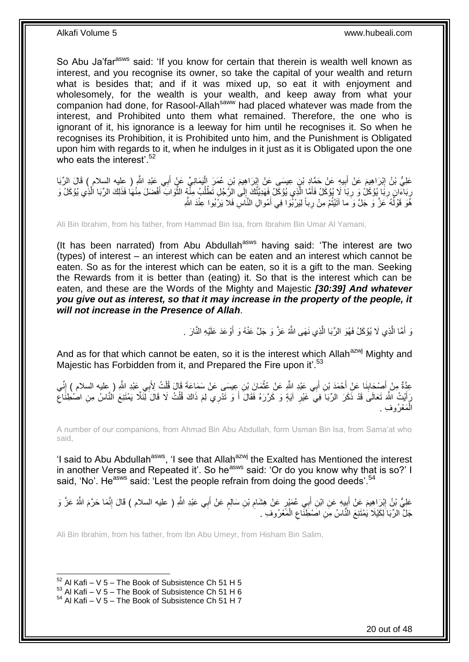So Abu Ja'far<sup>asws</sup> said: 'If you know for certain that therein is wealth well known as interest, and you recognise its owner, so take the capital of your wealth and return what is besides that; and if it was mixed up, so eat it with enjoyment and wholesomely, for the wealth is your wealth, and keep away from what your companion had done, for Rasool-Allah<sup>saww</sup> had placed whatever was made from the interest, and Prohibited unto them what remained. Therefore, the one who is ignorant of it, his ignorance is a leeway for him until he recognises it. So when he recognises its Prohibition, it is Prohibited unto him, and the Punishment is Obligated upon him with regards to it, when he indulges in it just as it is Obligated upon the one who eats the interest'  $52$ 

عَلِيُّ بْنُ إِبْرَاهِيمَ عَنْ أَبِيهِ عَنْ حَمَّادِ بْنِ عِيسَى عَنْ إِبْرَاهِيمَ بْنِ عُمَرَ الْبَمَانِيِّ عَنْ أَبِي عَبْدِ اللَّهِ ( عِليه السلام ) قَالَ الرِّبَا<br>وَفَي اللَّهِ ( عَيْنَ الْبَرَاهِيمَ عَنْ أَبِيهِ مَنْ َ ْ ِ ِ َ ِ رِ بَاءَانٍ ۖ رِبَّا إِيُوْكَلُ وَ رِبَا ۖ لَا يُوْكَلُ فَأَمَّا الَّذِي يُوْكَلُ فَهَدِيَّتُكَ إِلَى الرَّجُلِ تَطْلُبُ مِثَّهٍ الثَّوَابَ أَفْضَلَ مِنْهَا فَذَلِكَ الرِّبَا الَّذِي يُوْكَلُ وَ ِ َ ه ُ ِ ه َ ِ ِ ه هَّوَ قَوْلُهُ عَنَّ وَ جَلَّ وَ ما آتَيْتُمْ مِنْ رِباً لِيَرْبُوا فِي أَمْوالِ النَّاسِ فَلا يَرْبُوا عِنْدَ اللَّهِ َ **∶** ا<br>ا

Ali Bin Ibrahim, from his father, from Hammad Bin Isa, from Ibrahim Bin Umar Al Yamani,

(It has been narrated) from Abu Abdullah<sup>asws</sup> having said: 'The interest are two (types) of interest – an interest which can be eaten and an interest which cannot be eaten. So as for the interest which can be eaten, so it is a gift to the man. Seeking the Rewards from it is better than (eating) it. So that is the interest which can be eaten, and these are the Words of the Mighty and Majestic *[30:39] And whatever you give out as interest, so that it may increase in the property of the people, it will not increase in the Presence of Allah*.

> نَ أَمَّا الَّذِي لَا يُؤْكَلُ فَهُوَ الرِّبَا الَّذِي نَهَى اللَّهُ عَزَّ وَ جَلَّ عَنْهُ وَ أَوْعَدَ عَلَيْهِ النَّارَ . َ ه ه َ

And as for that which cannot be eaten, so it is the interest which Allah<sup>azwj</sup> Mighty and Majestic has Forbidden from it, and Prepared the Fire upon it'.<sup>53</sup>

عِدَّةٌ مِنْ أَصِحْابِنَا عَنْ أَحْمَدَ بْنِ أَبِي عَبْدِ اللَّهِ عَنْ عُثْمَانَ بْنِ عِيسَى عَنْ سَمَاعَةَ قَالَ قُلْتُ لِأَبِي عَبْدِ اللَّهِ ( عليه السلام ) إِنِّي ْ **ٔ** َ َ ِ ِ َ أَيْثُ اللَّهَ تَعَالَى قَدْ ذَكَرَ الرِّبَاَ فِيَ غَيْرِ آيَةٍ وَ كَرَّرَهُ فَقَالَ أَ وَ تَدْرِي لِمَ ذَاكَ قُلْتُ لَا قَالَ لِّئَلَّا يَمْتَنِعَ النَّاسُ مِنِ اصْطِنَاعِ ِ َ ِ ْ َ مَعْرُوفِ ِ ْ ال

A number of our companions, from Ahmad Bin Abu Abdullah, form Usman Bin Isa, from Sama'at who said,

'I said to Abu Abdullah<sup>asws</sup>, 'I see that Allah<sup>azwj</sup> the Exalted has Mentioned the interest in another Verse and Repeated it'. So he<sup>asws</sup> said: 'Or do you know why that is so?' I said, 'No'. He<sup>asws</sup> said: 'Lest the people refrain from doing the good deeds'.<sup>54</sup>

عَلِيُّ بْنُ إِبْرَاهِيمَ عَنْ أَبِيهِ عَنِ ابْنِ أَبِي عُمَيْرٍ عَنْ هِشَامِ بْنِ سَالِمٍ عَنْ أَبِي عَبْدِ اللَّهِ ( عليه السلام ) قَالَ إِنَّمَا حَرَّمَ اللَّهُ عَزَّ وَ ِ َ יִין<br>∶ ِ َ ٍ ِ جَلَّ الرِّبَا لِكَيْلَا يَمْتَنِعَ النَّاسُ مِنِ اصْطِّنَاعِ الْمَعْرُوفِ . ْ ِ

Ali Bin Ibrahim, from his father, from Ibn Abu Umeyr, from Hisham Bin Salim,

 $52$  Al Kafi – V 5 – The Book of Subsistence Ch 51 H 5

 $^{53}$  Al Kafi – V  $\overline{5}$  – The Book of Subsistence Ch 51 H 6

 $54$  Al Kafi – V 5 – The Book of Subsistence Ch 51 H 7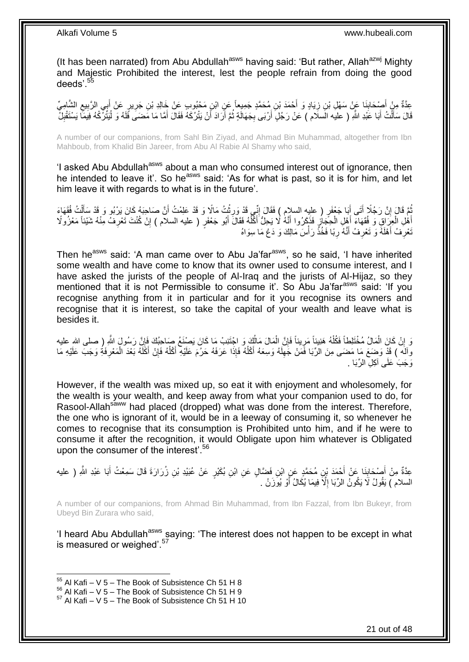(It has been narrated) from Abu Abdullah<sup>asws</sup> having said: 'But rather, Allah<sup>azwj</sup> Mighty and Majestic Prohibited the interest, lest the people refrain from doing the good deeds'.<sup>55</sup>

عِدَّةٌ مِنْ أُصْحَابِذَا عَنْ سَهْلِ بْنِ زِيَادٍ وَ أَحْمَدَ بْنِ مُحَمَّدٍ جَمِيعاً عَنِ ابْنِ مَحْبُوبٍ عَنْ خَالِدِ بْنِ جَرِيرٍ عَنْ أَبِي الرَّبِيعِ الشَّامِيِّ<br>رَبِّ مَنْ أُمِي الرَّبِيعِ الشَّامِيِّ ِ ِ ِ َ ِ ِ قَالَ سَأَلْتُ أَبَا عَبْدِ اللَّهِ ( عليه السلام ) عَنْ رَجُلٍ أَرْبَى بِجَهَالَةٍ ثُمَّ أَرَادَ أَنْ يَتْرُكَهُ فَقَالَ أَمَّا مَا مَضَىَ فَلَهُ وَ لْيَتَّرِكُهُ فِيَمَّا يَسْتَقْبِلُ َ َ َ ُ ِ َ َ ْ َ ِ ْ

A number of our companions, from Sahl Bin Ziyad, and Ahmad Bin Muhammad, altogether from Ibn Mahboub, from Khalid Bin Jareer, from Abu Al Rabie Al Shamy who said,

'I asked Abu Abdullah<sup>asws</sup> about a man who consumed interest out of ignorance, then he intended to leave it'. So he<sup>asws</sup> said: 'As for what is past, so it is for him, and let him leave it with regards to what is in the future'.

ثُمَّ قَالَ إِنَّ رَجُلًا أَتَى أَبَا جَعْفَرٍ ( عِلِيهِ السلامِ ) فَقَالَ إِنِّي قَدْ وَرِثْتُ مَالًا وَ قَدْ عَلِمْتُ أَنَّ صَاحِبَهُ كَانَ يَرْبُو وَ قَدْ سَأَلْتُ فُقَهَاءَ َ َ اٍ ْ ĺ َ **ٔ ∶** ِ ْهَا الْعِرَاقِ وَ فُقَهَاءَ أَهْلِ الْحِجَازِ فَذَكَرُوا أَنَّهُ لَا يَحِلُّ أَكْلُهُ فَقَالَ أَبُو جَعْفَرٍ ( عليه السلام ) إِنْ كُنْتَ تَعْرِفُ مِنْهُ شَيْئاً مَعْزُولًا َ ُ َ َ ₫, ْ َ ْ َ **∶** ِ نْعْرِفُ أَهْلَهُ وَ تَعْرِفُ أَنَّهُ رِبًا فَخُذْ رَأْسَ مَالِكَ وَ دَعْ مَا سِوَاهُ **ٔ** ْ ِ َ ِ َ ِ

Then he<sup>asws</sup> said: 'A man came over to Abu Ja'far<sup>asws</sup>, so he said, 'I have inherited some wealth and have come to know that its owner used to consume interest, and I have asked the jurists of the people of Al-Iraq and the jurists of Al-Hijaz, so they mentioned that it is not Permissible to consume it'. So Abu Ja'far<sup>asws</sup> said: 'If you recognise anything from it in particular and for it you recognise its owners and recognise that it is interest, so take the capital of your wealth and leave what is besides it.

وَ إِنْ كَانَ الْمَالُ مُخْتَلِطاً فَكُلْهُ هَنِيئاً مَرِيئاً فَإِنَّ الْمَالَ مَالُكَ وَ اجْتَنِبْ مَا كَانَ يَصْنَعُ صَاحِبُكَ فَإِنَّ رَسُولِ اللَّهِ ( صلى الله عليه ُ ْ ِ ِ ْ ْ ِ ا وآلَه ) قَدْ وَضعَ مَا مَضمَى مِنَ الرِّبَا فَمَنْ جَهِلَهُ وَسِعَهُ أَكْلُهُ فَإِذَا عَرَفَهُ حَرُمَ عَلَيْهِ أَكْلُهُ فَإِنْ أَكَلَهُ بَعْدَ الْمَعْرِفَةِ وَجَبَ عَلَيْهِ مَا<br>وَأَمْلُهُ بَعْدَ الْمَعْرِفَةِ وَجَبَ عَلَيْ ُ َ لَ ِ ْ َ ∣lٍ ا<br>ا َ وَجَبَ عَلَى آكِلِ الرِّبَا .

However, if the wealth was mixed up, so eat it with enjoyment and wholesomely, for the wealth is your wealth, and keep away from what your companion used to do, for Rasool-Allah<sup>saww</sup> had placed (dropped) what was done from the interest. Therefore, the one who is ignorant of it, would be in a leeway of consuming it, so whenever he comes to recognise that its consumption is Prohibited unto him, and if he were to consume it after the recognition, it would Obligate upon him whatever is Obligated upon the consumer of the interest'.<sup>56</sup>

عِدَّةٌ مِنْ أَصْحَابِذَا عَنْ أَحْمَدَ بْنِ مُحَمَّدٍ عَنِ ابْنِ فَضَّالٍ عَنِ ابْنِ بُكَيْرٍ عَنْ عُبَيْدِ بْنِ زُرَارَةَ قَالَ سَمِعْتُ أَبَا عَبْدِ اللَّهِ ( عليه َ ِ َ َ السلام ) يَقُولُ لَا يَكُونُ الرِّبَا إِلَّا فِيمَا يُكَالُ أَوْ يُوَزَنُ . َ ِ

A number of our companions, from Ahmad Bin Muhammad, from Ibn Fazzal, from Ibn Bukeyr, from Ubeyd Bin Zurara who said,

'I heard Abu Abdullah<sup>asws</sup> saying: 'The interest does not happen to be except in what is measured or weighed'.<sup>57</sup>

 $55$  Al Kafi – V 5 – The Book of Subsistence Ch 51 H 8

 $^{56}_{-8}$  Al Kafi – V 5 – The Book of Subsistence Ch 51 H 9

 $57$  Al Kafi – V 5 – The Book of Subsistence Ch 51 H 10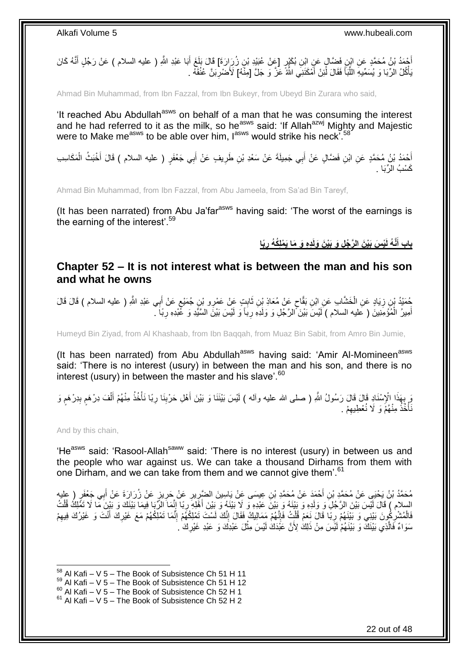أَحْمَدُ بْنُ مُحَمَّدٍ عَنِ ابْنِ فَضَّالٍ عَنِ اِبْنِ بُكَيْرٍ. [عَنْ عُبَيْدِ بْنِ زُرِ إِرَةَ] قَالَ بَلَغَ<br>أَمُن نَّبُ مُحَمَّدٍ عَنِ ابْنِ عَضَالٍ عَنِ اِبْنِ بُكَيْرٍ. [عِنْ عُبَيْدِ بْنِ زُرِ إِرَةَ] قَالَ بَلَغَ َ َ بَأْكُلُ الرِّبَا وَ يُسَمِّيهِ اللَّهَ ۖ فَقَالَ لَٰٓئِنْ أَمْكَنَنِي اللَّهُ عَزَّ وَ جَلَّ [مِنَّهُ] لَأَضْرِبَنَّ عُنُقَهُ . ِ َ َ ِّ **ٔ** 

Ahmad Bin Muhammad, from Ibn Fazzal, from Ibn Bukeyr, from Ubeyd Bin Zurara who said,

'It reached Abu Abdullah<sup>asws</sup> on behalf of a man that he was consuming the interest and he had referred to it as the milk, so he<sup>asws</sup> said: 'If Allah<sup>azwj</sup> Mighty and Majestic were to Make me<sup>asws</sup> to be able over him.  $I^{asws}$  would strike his neck<sup>758</sup>

أَحْمَدُ بْنُ مُحَمَّدٍ عَنِ ابْنِ فَضَّالٍ عَنْ أَبِي جَمِيلَةَ عَنْ سَعْدِ بْنِ طَرِيفٍ عَنْ أَبِي جَعْفَرٍ ( عليه السلام ) قَالَ أَخْبَثُ الْمَكَاسِبِ َ ِ َ ْ َ كَسْبُ الرِّبَا <sub>.</sub>

Ahmad Bin Muhammad, from Ibn Fazzal, from Abu Jameela, from Sa'ad Bin Tareyf,

(It has been narrated) from Abu Ja'far<sup>asws</sup> having said: 'The worst of the earnings is the earning of the interest<sup>'.59</sup>

> باب أَنَّهُ لَيْسَ بَيْنَ الرَّجُلِ وَ بَيْنَ وَلَدِهِ وَ مَا يَمْلِكُهُ رِبًا **َ ِ**

### <span id="page-21-0"></span>**Chapter 52 – It is not interest what is between the man and his son and what he owns**

ُهِمَنْدُ بْنِ زِيَادٍ عَنِ الْخَشَّابِ عَنِ ابْنِ بَقَّاحٍ عَنْ مُعَاذِ بْنِ ثَابِتٍ عَنْ عَمْرِو بْنِ جُمَيْعٍ عَنْ أَبِي عَبْدِ اللَّهِ ( عليه السلام ) قَالَ قَالَ َ ٍ َ ٍ ْ ِ أَمِيرُ الْمُؤْمِنِينَ ( عَليه السلام ) لَيْسَ بَيْنَ الرَّجُلِ وَ وَلَدِهِ رِبَاً وَ لَيْسَ بَيْنَ السَّنِّدِ وَ عَّبْدِهِ رِبَاً ـ ِ **∶** ْ َ

Humeyd Bin Ziyad, from Al Khashaab, from Ibn Baqqah, from Muaz Bin Sabit, from Amro Bin Jumie,

(It has been narrated) from Abu Abdullah<sup>asws</sup> having said: 'Amir Al-Momineen<sup>asws</sup> said: 'There is no interest (usury) in between the man and his son, and there is no interest (usury) in between the master and his slave'.<sup>60</sup>

وَ بِهَذَا الْإِسْنَادِ قَالَ قَالَ رَسُولُ اللَّهِ ( صلى الله عليه وآله ) لَيْسَ بَيْنَنَا وَ بَيْنَ أَهْلِ حَرْبِنَا رِبًا نَأْخُذُ مِنْهُمْ أَلْفَ دِرْهَمٍ بِدِرْهَمٍ وَ ِ **ื** ِ ֧֖֧֖֖֖֖֖֧֧֖֧֧֧֧ׅ֧֧֧֚֚֚֚֚֚֚֝֝֟֓֝֓֝֓֟֓֝֬֟֓֟֓֟֓֟֓֝֬֜֝֓֝֬֜֓֝֬֜֓֝֬ ْ َ ْ **∶** َ َأَخَٰذُ مِنْهُمْۤ وَ لَا نُعْطِيهِمْ ۚ ِ ة<br>أ

And by this chain,

1

'He<sup>asws</sup> said: 'Rasool-Allah<sup>saww</sup> said: 'There is no interest (usury) in between us and the people who war against us. We can take a thousand Dirhams from them with one Dirham, and we can take from them and we cannot give them'.<sup>61</sup>

مُحَمَّدُ بْنُ يَحْيَي عَنْ مُحَمَّدِ بْنِ أَحْمَدَ عَنْ مُحَمَّدِ بْنِ عِيسَى عَنْ يَاسِينَ الضَّرِّرِيرِ عَنْ حَرِيزٍ عَنْ زُرَارَةَ عَنْ أَبِي جَعْفَرٍ ( عليه<br>. ِ ِ َ ِ ِ السلام ) قَالَ لَيْسَ بَيْنَ الرَّجُلِّ وَ وَلَدِهِ وَ بَيْنَهُ وَ بَيْنَ عَبْدِهِ وَ لَا بَيْنَهُ وَ بَيْنَ أَهْلِهِ رِبَا إِنَّمَا الرَّبَا فِيمَا بَيْنَكَ وَ بَيْنَ مَا لَا تَمُّلِكُ قُلْتُ ِ َ ْ فَالْمُشْرِكُونَ بَيْنِي وَ بَيْنَهُمْ رِبَا قَالَ نَعَمْ قُلْتُ فَإِنَّهُمْ مَمَالِيكُ فَقَالَ إِنَّكَ لَسْتَ تَمْلِكُهُمْ إِنَّمَا تَمْلِكُهُمْ مَعَ غَيْرِكَ أَنْتَ وَ غَيْرُكَ فِيهِمْ **∶** ِ ِ  $\frac{1}{2}$ ْ ِ ِ َ ِ سَوَاءٌ فَالَّذِي بَيْنَكَ ۖ وَ بَيْنَهُمْ لَيْسَ مِنْ ذَلِكَ لِأَنَّ عَبْدَكَ لَيْسَ مِثْلَ عَبْدِكَ وَ عَبْدِ غَيْرِكَ ۚ ـَ **∶ ٔ** 

 $58$  Al Kafi – V 5 – The Book of Subsistence Ch 51 H 11

 $59$  Al Kafi – V 5 – The Book of Subsistence Ch 51 H 12

 $^{60}$  Al Kafi – V 5 – The Book of Subsistence Ch 52 H 1

 $61$  Al Kafi – V 5 – The Book of Subsistence Ch 52 H 2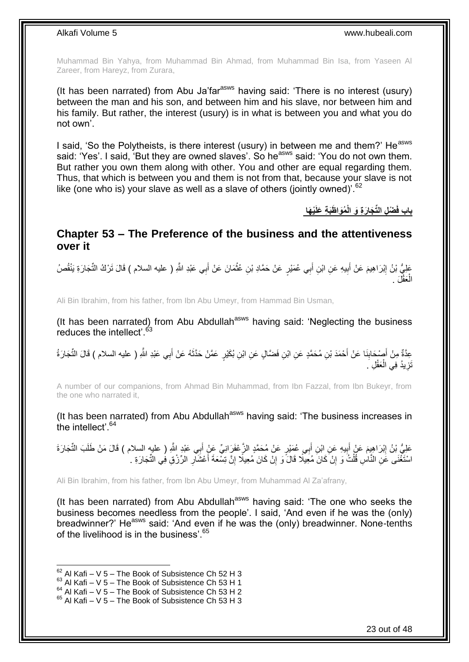Muhammad Bin Yahya, from Muhammad Bin Ahmad, from Muhammad Bin Isa, from Yaseen Al Zareer, from Hareyz, from Zurara,

(It has been narrated) from Abu Ja'far<sup>asws</sup> having said: 'There is no interest (usury) between the man and his son, and between him and his slave, nor between him and his family. But rather, the interest (usury) is in what is between you and what you do not own'.

I said, 'So the Polytheists, is there interest (usury) in between me and them?' He<sup>asws</sup> said: 'Yes'. I said, 'But they are owned slaves'. So he<sup>asws</sup> said: 'You do not own them. But rather you own them along with other. You and other are equal regarding them. Thus, that which is between you and them is not from that, because your slave is not like (one who is) your slave as well as a slave of others (jointly owned)<sup>'.62</sup>

**ْي َها َظَب ِة َعلَ ُمَوا ْض ِل الِّت َجا َر ِة َو الْ باب فَ**

### <span id="page-22-0"></span>**Chapter 53 – The Preference of the business and the attentiveness over it**

عَلِيُّ بْنُ إِبْرَاهِيمَ عَنْ أَبِيهِ عَنِ ابْنِ أَبِي عُمَيْرٍ عَنْ حَمَّادِ بْنِ عُثْمَانَ عَنْ أَبِي عَبْدِ اللَّهِ ( عليه السلام ) قَالَ تَرْكُ النِّجَارَةِ يَنْقُصُ **!** َ ِ َ ْ الْعَقْلَ . ْ

Ali Bin Ibrahim, from his father, from Ibn Abu Umeyr, from Hammad Bin Usman,

(It has been narrated) from Abu Abdullah<sup>asws</sup> having said: 'Neglecting the business reduces the intellect'.<sup>63</sup>

عِدَّةٌ مِنْ أَصْدَابِنَا عَنْ أَحْمَدَ بْنِ مُحَمَّدٍ عَنِ ابْنِ فَضَّالٍ عَنِ ابْنِ بُكَيْرٍ عَمَّنْ حَذَّثَهُ عَنْ أَبِي عَبْدِ اللَّهِ ( عليه السلام ) قَالَ الثِّجَارَةُ َ َ َ **∣** َ تَزِيدُ فِي الْعَقْلِ َ ْ **∶** 

A number of our companions, from Ahmad Bin Muhammad, from Ibn Fazzal, from Ibn Bukeyr, from the one who narrated it,

(It has been narrated) from Abu Abdullah<sup>asws</sup> having said: 'The business increases in the intellect'  $64$ 

عَلِيُّ بْنُ إِبْرَاهِيمَ عَنْ أَبِيهِ عَنِ ابْنِ أَبِي عُمَيْرٍ عَنْ مُحَمَّدٍ الزَّعْفَرَِانِيِّ عَنْ أَبِي عَبْدٍ الثَّهِ ( عليه السلام ) قَالَ مَنْ طَلَبَ التِّجَارَةَ **!** َ ِ َ اسْتَغْنَى عَنِ النَّاسِ قُلْتُ وَ إِنْ كَانَ مُعِيلًا قَالَ وَ إِنْ كَانَ مُعِيلًا إِنَّ تِسْعَةَ أَعْشَالِ الرِّزْقِ فِي النِّجَارَةِ . ِ َ ِ ِ יֲ<br>י ْ

Ali Bin Ibrahim, from his father, from Ibn Abu Umeyr, from Muhammad Al Za'afrany,

(It has been narrated) from Abu Abdullah<sup>asws</sup> having said: 'The one who seeks the business becomes needless from the people'. I said, 'And even if he was the (only) breadwinner?' He<sup>asws</sup> said: 'And even if he was the (only) breadwinner. None-tenths of the livelihood is in the business<sup>'.65</sup>

 $62$  Al Kafi – V 5 – The Book of Subsistence Ch 52 H 3

 $63$  Al Kafi – V 5 – The Book of Subsistence Ch 53 H 1

 $64$  Al Kafi – V  $5$  – The Book of Subsistence Ch 53 H 2

 $65$  Al Kafi – V 5 – The Book of Subsistence Ch 53 H 3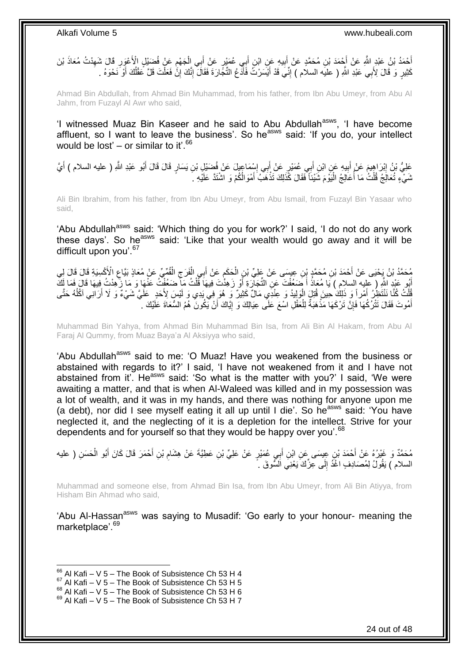ِّخْمَدُ بْنُ عَبْدٍ اللَّهِ عَنْ أَجْمَدَ بْنِ مُحَمَّدٍ عَنْ أَبِيهِ عَنِ ابْنِ أَبِي عُمَيْرٍ عَنْ أَبِي الْجَهْمِ عَنْ فُضَيْلٍ الْأَعْوَرِ قَالَ شَهِدْتُ مُعَاذَ بْنَ  $\ddot{\phantom{a}}$ ْ َ َ **!** َ َ ِ ِ كَثِيرٍ وَ قَالَ لِأَبِي عَبْدِ اللَّهِ ( عليه السلام ) إِنِّيَ قَدْ أَيْسَرْتُ فَأَدَّعُ الثِّجَّارَةَ فَقَالَ إِنَّكَ إِنَّ فَعَلْتَ قَلَّ عَقْلُكَ أَوْ َنَحْوَهُ . ِ ِ َ َ ِ َ ُ ْ

Ahmad Bin Abdullah, from Ahmad Bin Muhammad, from his father, from Ibn Abu Umeyr, from Abu Al Jahm, from Fuzayl Al Awr who said,

'I witnessed Muaz Bin Kaseer and he said to Abu Abdullah<sup>asws</sup>, 'I have become affluent, so I want to leave the business'. So he<sup>asws</sup> said: 'If you do, your intellect would be lost' – or similar to it'.<sup>66</sup>

عَلِيُّ بْنُ إِبْرَاهِيمَ عَنْ أَبِيهِ عَنِ ابْنِ أَبِي عُمَيْرٍ عَنْ أَبِي إِسْمَاعِيلَ عَنْ فُضَيْلٍ بْنِ يَسَارٍ قَالَ قَالَ أَبُو عَبْدِ اللَّهِ ( عليه السلام ) أَيَّ<br>حَيِّ بْنُ إِبْرَاهِيمَ عَنْ أَبِيهِ عَنِ ابْنِ رَح ِ َ َ **!**  ِ َ َ شَيْءٍ تُعَالَِجُ قُلْتُ مَا أُعَالِجُ الْيَوْمَ شَيْئاً فَقَالَ كَذَلِكَ تَذْهَبُ أَمْوَالُكُمْ وَ اشْتَدَّ عَلَيْهِ كَ َ **ٔ** :<br>ا ْ

Ali Bin Ibrahim, from his father, from Ibn Abu Umeyr, from Abu Ismail, from Fuzayl Bin Yasaar who said,

'Abu Abdullah<sup>asws</sup> said: 'Which thing do you for work?' I said, 'I do not do any work these days'. So he<sup>asws</sup> said: 'Like that your wealth would go away and it will be difficult upon you'.<sup>67</sup>

مُحَمَّدُ بْنُ يَحْيَى عَنْ أَحْمَدَ بْنِ مُحَمَّدٍ بِْنِ عِيسَى عَنْ عَلِيِّ بْنِ الْحَكَمِ عَنْ أَبِي الْفَرَجِ الْفُمِّيِّ عَنْ مُعَاذٍ بَيَّاعِ الْأَكْسِيَةِ قَالَ قَالَ لِي<br>يُسْتَمَدُ بْنُ يَحْيَى عَنْ أَحْمَدَ بْنِ م ْ ِ ْ َ ֺ֖֚֚֚֚<br>֧֩֕׆ ْ ِ أُبُو عَنْدِ اللَّهِ ( عَلِيه السلام ) يَا مُعَاذُ أَ ضَعُفْتَ عَنِ التِّجَارَةِ أَوْ زَهِذْتَ فِيهَا قَلْتُ م<br>أَوْسِمُ يَسْتَمِدُ اللَّهِ ( عَلِيه السلام ) يَا مُعَاذُ أَ ضَعُفْتَ عَنِ التِّجَارَةِ أَوْ زَهِذْتُ فِيهَا ع ْ َ َ ُلْكُ كُنَّا نَنْتَظِنُ أَمْراً وَ ذَلِكَ حِينَ قُتِلَ الْوَلِيدُ وَ عِنْدِّي مَالٌ كَثِيرٌ وَ هُوَ فِي يَدِي وَ لَيْسَ لِأَحَدٍ ۚ عَلَيَّ شَيْءٌ وَ لَا أَرَانِي آكُلُهُ حَتَّى ْ َ ْ  $\overline{a}$ َ أَمُوتَ فَقَالَ نَتْرُكُهَا فَإِنَّ تَرْكَهَا مَذْهَبَةٌ لِلْعَقْلِ اسْعَ عَلَى عِيَالِكَ وَ إِيَّاكَ أَنْ يَكُونَ هُمُ السُّعَاةَ عَلَيْكَ ِ َ ֖֧֦֧֦֧֦֧֦֧֦֧֦֧ׅ֧֦֧֦֧֦֧֦֧֦֧֦֧֦֧֦֧֦֧֦֧֦֧֦֧֦֧֦֧֦֧֦֧֧֦֧ׅ֧֦֧֧֦֧֧֧֦֧֧֦֚֜֓֓֓֞֓֜֓֓֓֓֡֓֡֬ ْ **ٔ** ِ َ

Muhammad Bin Yahya, from Ahmad Bin Muhammad Bin Isa, from Ali Bin Al Hakam, from Abu Al Faraj Al Qummy, from Muaz Baya'a Al Aksiyya who said,

'Abu Abdullah<sup>asws</sup> said to me: 'O Muaz! Have you weakened from the business or abstained with regards to it?' I said, 'I have not weakened from it and I have not abstained from it. He<sup>asws</sup> said: 'So what is the matter with you?' I said, 'We were awaiting a matter, and that is when Al-Waleed was killed and in my possession was a lot of wealth, and it was in my hands, and there was nothing for anyone upon me (a debt), nor did I see myself eating it all up until I die'. So he<sup>asws</sup> said: 'You have neglected it, and the neglecting of it is a depletion for the intellect. Strive for your dependents and for yourself so that they would be happy over you'.<sup>68</sup>

مُحَمَّدٌ وَ غَيْرُهُ عَنْ أَحْمَدَ بْنِ عِيِسَى عَنِ ابْنِ أَبِي عُمَيْرٍ عَنْ عَلِيِّ بْنِ عَطِيَّةَ عَنْ هِشَامِ بْنِ أَحْمَرَ قَالَ كَانَ أَبُو الْحَسَنِ ( عليه َ ِ َ ْ َ السلام ) يَقُولُ لِمُصَادِفٍ اغْدُ إِلَى عِزِّكَ يَعْنِيَ اَلسُّوقَ ۚ أَ  $\frac{1}{2}$ 

Muhammad and someone else, from Ahmad Bin Isa, from Ibn Abu Umeyr, from Ali Bin Atiyya, from Hisham Bin Ahmad who said,

'Abu Al-Hassan<sup>asws</sup> was saying to Musadif: 'Go early to your honour- meaning the marketplace'.<sup>69</sup>

 $66$  Al Kafi – V 5 – The Book of Subsistence Ch 53 H 4

 $67$  Al Kafi – V 5 – The Book of Subsistence Ch 53 H 5

 $68$  Al Kafi – V  $5$  – The Book of Subsistence Ch 53 H 6

 $69$  Al Kafi – V 5 – The Book of Subsistence Ch 53 H 7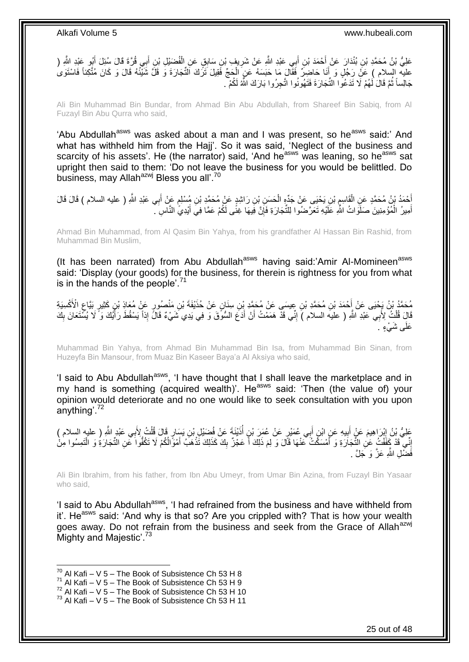عَلِيُّ بْنُ مُحَمَّدِ بْنِ بُنْدَارَ عَنْ أَحْمَدَ بْنِ أَبِي عَبْدِ اللَّهِ عَنْ شَرِيفٍ بْنِ سَابِقٍ عَنِ الْفُضَيْلِ بْنِ أَبِي وُرَّةَ قَالَ سُئِلَ أَبُو عَبْدِ اللَّهِ ( َ َ َ ْ **∶** عليه السلام ) عَلَّ رَجُلٍ وَ أَنَا حَاضِرٌ فَقَالَ مَا حَبَسَهُ عَنٍ الْحَجِّ فَقِيلَ تَرَكَ النُّجَارَةَ وَ قَلَّ شَيْئُهُ قَالَ وَ كَانَ مُتَّكِئاً فَاسْتَوَىٰ ْ َ جَالِساً ثُمَّ قَالَ لَهُمْ لَا نَدَعُوا النَّجَارَةَ فَتَهُونُوا اتَّجِرُوا بَارَكَ اللَّهُ لَكُمْ ۖ. ُ

Ali Bin Muhammad Bin Bundar, from Ahmad Bin Abu Abdullah, from Shareef Bin Sabiq, from Al Fuzayl Bin Abu Qurra who said,

'Abu Abdullah<sup>asws</sup> was asked about a man and I was present, so he<sup>asws</sup> said:' And what has withheld him from the Hajj'. So it was said, 'Neglect of the business and scarcity of his assets'. He (the narrator) said, 'And he<sup>asws</sup> was leaning, so he<sup>asws</sup> sat upright then said to them: 'Do not leave the business for you would be belittled. Do business, may Allah<sup>azwj</sup> Bless you all'.<sup>70</sup>

َ أَحْمَدُ بْنُ مُحَمَّدٍ عَنِ الْقَاسِمِ بْنِ يَحْيَى عَنْ جَدِّهٍ الْحَسَنِ بْنِ رَاشِدٍ عَنْ مُحَمَّدِ بْنِ مُسْلِمٍ عَنْ أَبِي عَبْدِ اللَّهِ ( عليه السلام ) قَالَ قَالَ ֧֖֧֖֖֖֖֖֧֧֖֧֧֧֧ׅ֧֧֧֚֚֚֚֚֚֚֝֝֟֓֝֓֝֓֟֓֝֬֟֓֟֓֟֓֟֓֝֬֜֝֓֝֬֜֓֝֬֜֓֝֬ ْ م<br>پا :<br>ا أَمِيرُ الْمُؤْمِنِينَ صَلَوَاتُ النَّهِ عَلَيْهِ تَعَرَّضُوا لِلثِّجَارَةِ فَإِنَّ فِيهَا غِنًى لَكُمْ عَمَّا فِيَ أَيْدِيُّ النَّاسِ ۖ. ِ ْ َ َ

Ahmad Bin Muhammad, from Al Qasim Bin Yahya, from his grandfather Al Hassan Bin Rashid, from Muhammad Bin Muslim,

(It has been narrated) from Abu Abdullah<sup>asws</sup> having said:'Amir Al-Momineen<sup>asws</sup> said: 'Display (your goods) for the business, for therein is rightness for you from what is in the hands of the people'.<sup>71</sup>

مُحَمَّدُ بْنُ يَحْيَى عَنْ أَحْمَدَ بْنِ مُحَمَّدِ بْنِ عِيسَى عَنْ مُحَمَّدٍ بْنِ سِنَانٍ عَنْ حُذَيْفَةَ بْنِ مَنْصُورٍ عَنْ مُعَاذِ بْنٍ كَثِيرٍ بَيَّاعِ الْأَكْسِيَةِ ِ قَالٍَ قُلْتُ لِأَبِي عَبْدِ اللَّهِ ( عليه السلام ) إِنِّي قَدْ هَمَمْتُ أَنْ أَدَعَ السُّوْقَ وَ فِي يَدِي شَيْءٌ قَالٍّ إِذاً يَسْقُطَ رَأَيُكَ وَ لَا يُسْتَعَانَ بِكَ َ َ ِ ْ ِ ا<br>ا عَلَى شَيْءٍ ۚ.

Muhammad Bin Yahya, from Ahmad Bin Muhammad Bin Isa, from Muhammad Bin Sinan, from Huzeyfa Bin Mansour, from Muaz Bin Kaseer Baya'a Al Aksiya who said,

'I said to Abu Abdullah<sup>asws</sup>, 'I have thought that I shall leave the marketplace and in my hand is something (acquired wealth)'. He<sup>asws</sup> said: 'Then (the value of) your opinion would deteriorate and no one would like to seek consultation with you upon anything'.<sup>72</sup>

ٍر َقا َل ِن َي َسا ِل ْب َضْي ْيَن َة َع ْن فُ ذَ ِن أ ٍر َع ْن ُع َم َر ْب ِي ُع َمْي ب ِن أ ي ِه َع ِن اْب ب َم َع ْن أ ْب َرا ِهي ِي َعْبِد هَّللا َعلِ ُّي ْب ُن <sup>إ</sup> ِ ) عليه السالم ( ب ُت ِِلَ ل قُ ُ َ ِ َ ∣ٍ<br>; ْ َ إِنِّي قَدْ كَفَّفْتُ عَنِ التِّجَارَةِ وَ أَمْسَكْتُ عَنْهَا قَالَ وَ لِمَ ذَلِكَ أَ عَجْزٌ بِكَ كَذَلِكَ تَذْهَبُ أَمْوَّالُكُمْ لَا تَكُفُّوا عَنِ التِّجَارَةِ وَ الْتَمِسُوا مِنْ َ ِ ْ َ **ٔ** ِ فَضْا الله عَزَّ وَ جَلَّ .

Ali Bin Ibrahim, from his father, from Ibn Abu Umeyr, from Umar Bin Azina, from Fuzayl Bin Yasaar who said,

'I said to Abu Abdullah<sup>asws</sup>, 'I had refrained from the business and have withheld from it'. He<sup>asws</sup> said: 'And why is that so? Are you crippled with? That is how your wealth goes away. Do not refrain from the business and seek from the Grace of Allah<sup>azwj</sup> Mighty and Majestic'.<sup>73</sup>

- $71$  Al Kafi V  $5$  The Book of Subsistence Ch 53 H 9
- $72$  Al Kafi V 5 The Book of Subsistence Ch 53 H 10

 $^{70}$  Al Kafi – V 5 – The Book of Subsistence Ch 53 H 8

 $^{73}$  Al Kafi – V 5 – The Book of Subsistence Ch 53 H 11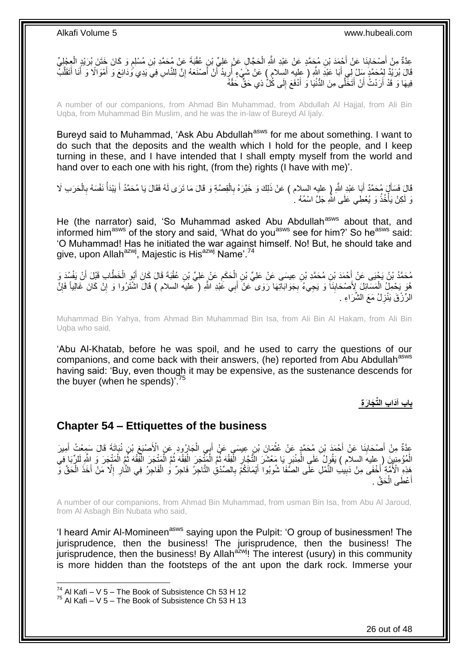عِدَّةٌ مِنْ أَصْحَابِنَا عَنْ أَجْمَدَ بْنِ مُجَمَّدٍ عَنْ عَبْدِ اللَّهِ الْحَجَّالِ عَنْ عَلِيِّ بْنِ عُقْبَةَ عَنْ مُحَمَّدِ بْنِ مُسْلِمٍ وَ كَانَ خَتَنَ بُرَيْدٍ الْعِجْلِيِّ<br>حَدَّةُ مِنْ أَصْحَابِنَا عَنْ أَجْمَدَ ب ْ ِ َ ْ م<br>م قَالَ بُرَيِّدٌ لِمُحَمَّدٍ سَلْ لِّي أَبَا عَبْدِ اللَّهِ ( عليه السلام ) عَنْ شَيْءٍ أَرِيدُ أَنْ أَصْنَعَهُ إِنَّ لِلنَّاسِ فِي يَدِي وُدَائِعَ وَ أَمْوَالًا وَ أَنَا أَتَقَلَّبُ ه َ َ َ ِ َ َ **∶** ُ فِيهَا وَ قَدْ أَرَدْتُ أَنْ أَتَخَلَّى مِنَ الدُّنْيَا وَ أَدْفَعَ إِلَى كُلٌّ ذِي حَقٌّ حَقَّهُ ∣ا<br>∶ َ َ اً َ

A number of our companions, from Ahmad Bin Muhammad, from Abdullah Al Hajjal, from Ali Bin Uqba, from Muhammad Bin Muslim, and he was the in-law of Bureyd Al Ijaly.

Bureyd said to Muhammad, 'Ask Abu Abdullah<sup>asws</sup> for me about something. I want to do such that the deposits and the wealth which I hold for the people, and I keep turning in these, and I have intended that I shall empty myself from the world and hand over to each one with his right, (from the) rights (I have with me)'.

قَالَ فَسَأَلَ مُحَمَّدٌ أَبَا عَبْدِ اللَّهِ ( عليه السلام ) عَنْ ذَلِكَ وَ خَبَّرَهُ بِالْقِصَّةِ وَ قَالَ مَا تَرَى لَهُ فَقَالَ يَا مُحَمَّدُ أَ يَبْدَأُ نَفْسَهُ بِالْحَرَبِ لَا ْ ِ َ َ ْ ِ ُ َ وَ لَكِنْ يَأْخُذُ وَ يُعْطِي عَلَى الثَّهِ جَلَّ اسْمُهُ لِ ة<br>المسابق

He (the narrator) said, 'So Muhammad asked Abu Abdullah<sup>asws</sup> about that, and informed him<sup>asws</sup> of the story and said, 'What do you<sup>asws</sup> see for him?' So he<sup>asws</sup> said: 'O Muhammad! Has he initiated the war against himself. No! But, he should take and give, upon Allah<sup>azwj</sup>, Majestic is His<sup>azwj</sup> Name'.<sup>74</sup>

مُحَمَّدُ بْنُ يَحْيَى عَنْ أَحْمَدَ بْنِ مُحَمَّدِ بْنِ عِيسَى عَنْ عَلِيِّ بْنِ إِلْحَكَمِ عَنْ عَلِيٍّ بْنِ عُقْبَةَ قَالَ كَانَ أَبُو الْخَطَّابِ قَبْلَ أَنْ يَفْسُدَ وَ ِ ْ َ ْ َ هُوَ يَحْمِلُ الْمَسَائِلَ لِأَصْحَابِنَاً وَ يَجِيءُ بِجَوَابَاتِهَا رَوَى ۖعَنْ أَبِي عَٰبْدِ اللّهِ ( ۖعليه السلام ) قَالَ اشْتَرُوا وَ إِنْ كَانَ غَالِياً فَإِنَّ **∣** ْ َ **∶** ∣ļ ِ الرِّزْقَ يَنْزِلُ مَعَ الشَّرَاءِ . **∶** 

Muhammad Bin Yahya, from Ahmad Bin Muhammad Bin Isa, from Ali Bin Al Hakam, from Ali Bin Uqba who said,

'Abu Al-Khatab, before he was spoil, and he used to carry the questions of our companions, and come back with their answers, (he) reported from Abu Abdullah<sup>asws</sup> having said: 'Buy, even though it may be expensive, as the sustenance descends for the buyer (when he spends)'. $^{75}$ 

**باب آَدا ِب الِّت َجا َر ِة**

### <span id="page-25-0"></span>**Chapter 54 – Ettiquettes of the business**

عِدَّةٌ مِنْ أَصْحَابِذَا عَنْ أَحْمَدَ بْنِ مُحَمَّدٍ عَنْ عُثْمَانَ بْنِ عِيسَى عَنْ أَبِي الْجَارُودِ عَنِ الْأَصْبَغِ بْنِ نُبَاتَةَ قَالَ سَمِعْتُ أَمِيرَ ِ ْ َ **ٔ ∣** َ َ الْمُؤْمِنِينَ ( ِعِليهَ السلام ) يَقُولُ عَلَى الْمِنْبَرِ يَا مَعْشَرَ النَّجَارِ الْفِقْهَ ثُمَّ الْمَنْدَدَل الْفَقْهَ ثُمَّ الْمَنْجَرَ وَ اللَّهِ لَلأَبَا فِي ْ الموالي<br>السنة ْ ْ ا<br>ا ْ ْ ُ ْ **∶** ِ ه هَذِهِ الْأُمَّةِ أَخْفَى مِنْ دَبِيبِ النَّمْلِ عَلَى الصَّفَا شُوبُوا ۖ أَيْمَانَكُمْ بِالْصِّدْقِٰ التَّاجِرُ فَاجِرٌ وَٰ الْفَاجِرُ فِي النَّارِ ۚ إِلَّا مَنْ أَخَذَ الْحَقَّ وَّ ِ َ **!** َ ْ َ ا<br>ا ِ ْ عْطَى الْحَقَّ . ْ َ أ

A number of our companions, from Ahmad Bin Muhammad, from usman Bin Isa, from Abu Al Jaroud, from Al Asbagh Bin Nubata who said,

'I heard Amir Al-Momineen<sup>asws</sup> saying upon the Pulpit: 'O group of businessmen! The jurisprudence, then the business! The jurisprudence, then the business! The jurisprudence, then the business! By Allah $a^2w$ <sup> $j$ </sup>! The interest (usury) in this community is more hidden than the footsteps of the ant upon the dark rock. Immerse your

 $74$  Al Kafi – V 5 – The Book of Subsistence Ch 53 H 12

 $75$  Al Kafi – V 5 – The Book of Subsistence Ch 53 H 13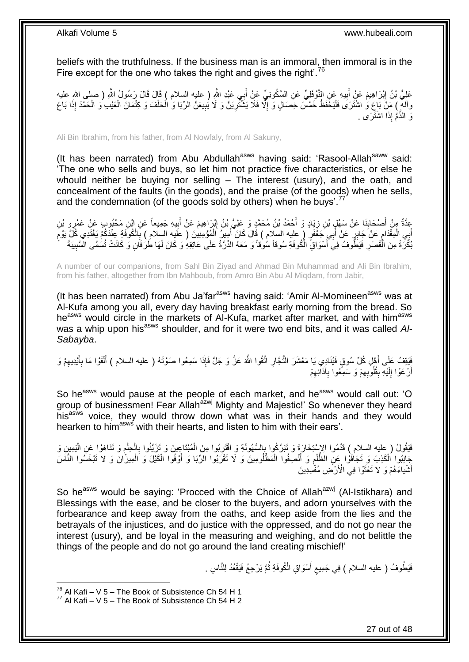beliefs with the truthfulness. If the business man is an immoral, then immoral is in the Fire except for the one who takes the right and gives the right'.<sup>76</sup>

عَلِيُّ بْنُ إِبْرَاهِيمَ عَنْ أَبِيهِ عَنِ النَّوْفَلِيِّ عَنِ السَّكُونِيِّ عَنْ أَبِي عَبْدِ اللَّهِ ( عليه السلام ) قَالَ قَالَ رَسُولُ اللَّهِ ( صلى اللهِ عليه َ **!** ِ وَالَمْ ۖ إِكْمَاعَ وَ اشْتَرَى فَلْيَخَفَظْ خَمْسٌ خِصَالٍ وَ إِلَّا فَلَا يَشْثُّرِينَ وَ لَا يُبِيعَنَّ الرِّبَا وَ الْحَلْفَ وَ كِتْمَانَ الْعَيْبِ وَ الْحَمْدَ إِذَا بَاعَ ِ ِ ا<br>ا  $\ddot{\cdot}$ ْ ْ ْ ْ ِ <sub>َ</sub> للذَّمُّ إِذَا اشْتَرَى <sub>.</sub>

Ali Bin Ibrahim, from his father, from Al Nowfaly, from Al Sakuny,

(It has been narrated) from Abu Abdullah $a<sup>asws</sup>$  having said: 'Rasool-Allah $<sup>saww</sup>$  said:</sup> 'The one who sells and buys, so let him not practice five characteristics, or else he whould neither be buying nor selling – The interest (usury), and the oath, and concealment of the faults (in the goods), and the praise (of the goods) when he sells, and the condemnation (of the goods sold by others) when he buys'.<sup>11</sup>

عِدَّةٌ مِنْ أَصْحَابِنَا عَنْ سَهْلٍ بْنِ زِيَادٍ وَ أَحْمَدُ بْنُ مُحَمَّدٍ وَ عَلِيُّ بْنُ إِبْرَاهِيمَ عَن<br>عَذَّةٌ مِنْ أَصْحَابِنَا عَنْ سَهْلٍ بْنِ زِيَادٍ وَ أَحْمَدُ بْنُ مُحَمَّدٍ وَ عَلِيُّ بِنُ إِبْرَاهِيمَ عَن ِ َ ِ َ ِ **∣** َ أَبِي الْمِقْدَامِ عَنْ جَابِرٍ عَنْ أَبِي جَغَفَرٍ ۚ ( عليه السلام ) قَالَ كَانَ أَمِيرُ الْمُؤْمِنِينَ ( علَيه السلام ) بِالْكُوفَةِ عِنْدَكُمْ يَغْتَدِي كُلَّ يَوْمَ َ َ ِ ْ َ ¦ **∶** ْ بُكِّرَةً مِنَ الْقَصْرِ فَيَطُّوفُ فِي أَسْوَاقِّ الْكُوفَةِ سُوقاً سُوقاً وَ مَعَهُ الدِّرَّةُ عَلَى عَاتِقِهِ وَ كَانَ لَهَا طَرُفَانِ وَ كَانَتْ تُسُمَّى الْسَّبِيبَةَ َ ِ ْ ِ

A number of our companions, from Sahl Bin Ziyad and Ahmad Bin Muhammad and Ali Bin Ibrahim, from his father, altogether from Ibn Mahboub, from Amro Bin Abu Al Miqdam, from Jabir,

(It has been narrated) from Abu Ja'far<sup>asws</sup> having said: 'Amir Al-Momineen<sup>asws</sup> was at Al-Kufa among you all, every day having breakfast early morning from the bread. So he<sup>asws</sup> would circle in the markets of Al-Kufa, market after market, and with him<sup>asws</sup> was a whip upon his<sup>asws</sup> shoulder, and for it were two end bits, and it was called Al-*Sabayba*.

فَيَقِفُ عَلَى أَهْلِ كُلِّ سُوقٍ فَيُنَادِي يَا مَعْشَرَ النُّجَارِ اتَّقُوا اللَّهَ عَزَّ وَ جَلَّ فَإِذَا سَمِعُوا صَوْتَهُ ( عليه السلام ) أَلْقَوْا مَا بِأَيْدِيهِمْ وَ **ٍ** َ ِ َ ِ ْ َ أَرْعَوْا إِلَيْهِ بِقُلُوبِهِمْ وَ سَمِعُوا بِآذَانِهِمْ ِ ِ ِ **ِ** لَ  $\frac{1}{2}$ اً

So he<sup>asws</sup> would pause at the people of each market, and he<sup>asws</sup> would call out: 'O group of businessmen! Fear Allah<sup>azwj</sup> Mighty and Majestic!' So whenever they heard his<sup>asws</sup> voice, they would throw down what was in their hands and they would hearken to him<sup>asws</sup> with their hearts, and listen to him with their ears'.

فَيَقُولُ ( عِليه السلام ) فَدَّمُوا الِإِسْتِخَارَةَ وَ تَبَرَّكُوا بِإِلسُّهُولَةِ وَ افْتَرِبُوا مِنَ الْمُبْتَاعِينَ وَ تَزَيَّنُوا بِالْحِلْمِ وَ تَنَاهَوْا عَنِ الْيَمِينِ وَ ْ ِ ; ْ ِ ْ ْ ِ جَانِبُوا الْكَذِبَ وَ تَجَافَوْا عَنِ الظَّلْمِ وَ أَنْصِفُوا الْمَظْلُومِينَ وَ لَا تَقْرَبُوا الرِّبَا وَ أَوْفُوا الْكَيْلَ وَ الْمِيزَانَ وَ لاَ تَبْخَسُوا النَّاسَ ْ َ ِ ْ ْ ْ َ أَشْياءَهُمْ وَ لا تَعْثَوْا فِيَ الْأَرْضَ مُفْسِدِينَ َ َ

So he<sup>asws</sup> would be saying: 'Procced with the Choice of Allah<sup>azwj</sup> (Al-Istikhara) and Blessings with the ease, and be closer to the buyers, and adorn yourselves with the forbearance and keep away from the oaths, and keep aside from the lies and the betrayals of the injustices, and do justice with the oppressed, and do not go near the interest (usury), and be loyal in the measuring and weighing, and do not belittle the things of the people and do not go around the land creating mischief!'

> فَيَطُوفُ ( عليه السلام ) فِي جَمِيعِ أَسْوَاقِ الْمُوفَةِ ثُمَّ يَرْجِعُ فَيَقْعُدُ لِلنَّاسِ . ُ َ  $\zeta$

1

27 out of 48

 $^{76}$  Al Kafi – V 5 – The Book of Subsistence Ch 54 H 1

 $77$  Al Kafi – V 5 – The Book of Subsistence Ch 54 H 2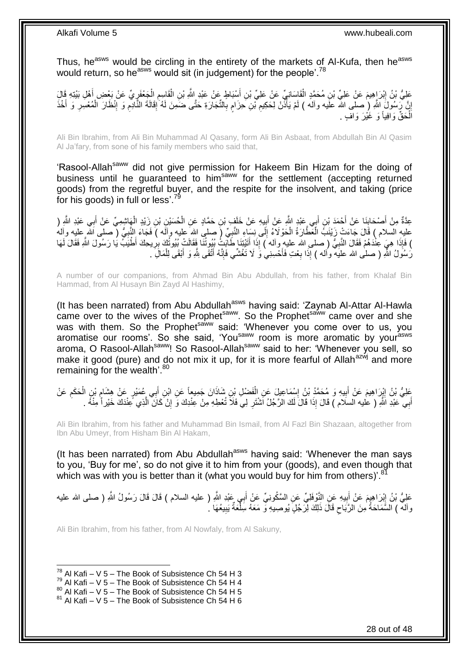Thus, he<sup>asws</sup> would be circling in the entirety of the markets of Al-Kufa, then he<sup>asws</sup> would return, so he<sup>asws</sup> would sit (in judgement) for the people'.<sup>78</sup>

عَلِيُّ بْنُ إِبْرَاهِيمَ عَنْ عَلِيِّ بْنِ مُحَمَّدٍ الْقَاسَانِيِّ عَنْ عَلِيِّ بْنِ أَسْبَاطٍ عَنْ عَبْدِ اللَّهِ بْنِ الْقَاسِمِ الْجَعْفَرِ يِّ عَنْ بَعْضِ أَهْلِ بَيْتِهِ قَالَِ ِ ْ َ ْ َ ِ ْ ٍ إِنَّ رَبِسُولَ اللَّهِ (صلى الله علَيه وآله ) لَمْ يَأْذَنْ لِحَكِيمِ نَّينِ حِزَامٍ بِالتَّجَارَةِ حَتَّى ضَمَينَ لَمُ إِقَالَةَ النَّادِّمِ وَ الْنِظَارَ الْمُعْسِرِ وَ أَخْذَ ِ ْ ֝<u>֓</u> َ ِ ْ ِ ِ ِ ِ اُلْحَقٌّ وَافِياً وَ غَيْرَ وَافٍ <sub>.</sub> ْ

Ali Bin Ibrahim, from Ali Bin Muhammad Al Qasany, form Ali Bin Asbaat, from Abdullah Bin Al Qasim Al Ja'fary, from sone of his family members who said that,

'Rasool-Allah<sup>saww</sup> did not give permission for Hakeem Bin Hizam for the doing of business until he guaranteed to him<sup>saww</sup> for the settlement (accepting returned goods) from the regretful buyer, and the respite for the insolvent, and taking (price for his goods) in full or less'.<sup>79</sup>

عِدَّةٌ مِنْ أَصْحَابِنَا عَنْ أَحْمَدَ بْنِ أَبِي عَبْدٍ اللَّهِ عَنْ أَبِيهِ عَنْ خَلَفٍ بْنِ حَمَّادٍ عَنِ الْحُسَيْنِ بْنِ زَيْدٍ الْهَاشِمِيِّ عَنْ أَبِي عَبْدِ اللَّهِ ( ْ ِ َ َ **∣** َ َ ْ عليهِ السّلام ) قَالَ جَآءَتْ زَيْنَكُ الۡعَطَّارَةُ الْحَوْلَآءُ إِلَى نِسَآءِ النَّبِيِّ (َ صلى الله عليه وآلَه ) فَجَآءَ النَّبِيُّ ( صلَّى الله عليه وآله ِ ْ ْ ِ ِ ) فَإِذَا هِيَ عِنْْدَهُمْ فَقَالَ النَّبِيُّ ( صلى الله عليه وآله ) إِذَا أَتَيْتِنَا طَآبَتُ بِبُوتُنَا فَقَالَتْ بُيُوتُنَا مَا فَقَالَ اللَّهِ فَقَالَ لَهَا  $\frac{1}{2}$  إِذَا أَتَيْتِنَا طَآبَتُ بِبُوتُنَا فَقَالَ لَهَا َ **∶** ِ رَسُولُ اللهِ ( صلى الله عليه وأله ) إِذَا بِعْتِ فَأَحْسِنِيْ وَ لَا تَغُشِّي فَإِنَّهُ أَنْقَى لِلَّهِ وَ أَبْقَى لِلْمَالَ ِ . ْ َ َ ِ َ ِ

A number of our companions, from Ahmad Bin Abu Abdullah, from his father, from Khalaf Bin Hammad, from Al Husayn Bin Zayd Al Hashimy,

(It has been narrated) from Abu Abdullah<sup>asws</sup> having said: 'Zaynab Al-Attar Al-Hawla came over to the wives of the Prophet<sup>saww</sup>. So the Prophet<sup>saww</sup> came over and she was with them. So the Prophet<sup>saww</sup> said: 'Whenever you come over to us, you aromatise our rooms'. So she said, 'You<sup>saww</sup> room is more aromatic by your<sup>asws</sup> aroma, O Rasool-Allah<sup>saww</sup>! So Rasool-Allah<sup>saww</sup> said to her: 'Whenever you sell, so make it good (pure) and do not mix it up, for it is more fearful of Allah<sup>azwj</sup> and more remaining for the wealth'.<sup>80</sup>

عَلِيُّ بْنُ إِيْرَاهِيمَ عَنْ أَبِيهِ وَ مُحَمَّدُ بْنُ إِسْمَاعِيلَ عَنِ الْفَضْلِ بْنِ شَاذَانَ جَمِيعاً عَنِ ابْنِ أَبِي عُمَيْرٍ عَنْ هِشَامٍ بْنِ الْحَكَمِ عَنْ َ ْ ِ **!** َ ِ ِ ْ ֺ֖֧֧֧ׅ֧ׅ֧ׅ֧ׅ֧ׅ֧֪֧֚֚֚֚֚֚֚֚֚֚֚֚֚֚֚֚֚֚֚֚֚֚֚֚֝֝֝֘֝֝֓֝֓֜֓֡֜֓֡֜֓֡֜֓֜֓֡֝֓ أَبِي عَبْدِ اللَّهِ ( عليه السلام ) قَالَ إِذَا قَالَ لَكَ الرَّجُلُ اَشْتَرِ لِي فَلَا تُعْطِهِ مِنْ عِنْدِكَ وَ إِنْ كَانَ الَّذِي عَنْدَكَ خَيْر أَ مِنْهُ . ِ َ ه ِ

Ali Bin Ibrahim, from his father and Muhammad Bin Ismail, from Al Fazl Bin Shazaan, altogether from Ibn Abu Umeyr, from Hisham Bin Al Hakam,

(It has been narrated) from Abu Abdullah<sup>asws</sup> having said: 'Whenever the man says to you, 'Buy for me', so do not give it to him from your (goods), and even though that which was with you is better than it (what you would buy for him from others)<sup>'.8</sup>

عَلِيُّ بْنُ إِبْرَاهِيمَ عَنْ أَبِيهِ عَنِ النَّوْفَلِيِّ عَنِ السَّكُونِيِّ عَنْ أَبِي عَبْدِ اللَّهِ ( عليه السلام ) قَالَ قَالَ رَسُولُ اللَّهِ ( صلى الله عليه **!** ِ َ وآله ) السَّمَاحَةُ مِنَ الرَّبَاحِ قَالَ ذَلِكَ لِرَجُلٍ يُوصِيهِ وّ مَعَهُ سِلْعَةٌ يَبِيعُهَا ۚ ـُ ِ ْ  $\zeta$ 

Ali Bin Ibrahim, from his father, from Al Nowfaly, from Al Sakuny,

 $^{78}$  Al Kafi – V 5 – The Book of Subsistence Ch 54 H 3

 $79$  Al Kafi – V 5 – The Book of Subsistence Ch 54 H 4

 $80$  Al Kafi – V  $5$  – The Book of Subsistence Ch 54 H 5

 $81$  Al Kafi – V 5 – The Book of Subsistence Ch 54 H 6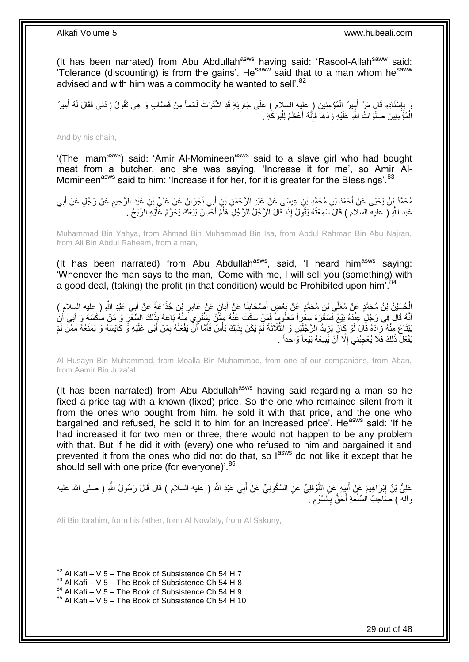(It has been narrated) from Abu Abdullah<sup>asws</sup> having said: 'Rasool-Allah<sup>saww</sup> said:  $\overline{r}$  Tolerance (discounting) is from the gains'. He<sup>saww</sup> said that to a man whom he<sup>saww</sup> advised and with him was a commodity he wanted to sell'.<sup>82</sup>

وَ بِإِسْنَادِهِ قَالَ مَنِّ أَمِيرُ الْمُؤْمِنِينَ ( عليه السلام ) عَلَى جَارِيَةٍ قَدِ اشْتَرَتْ لَحْماً مِنْ قَصَّابٍ وَ هِيَ تَقُولُ زِدْنِي فَقَالَ لَهُ أَمِيرُ **∶** ْ َ ון<br>∶ ِ َ ِ الْمُؤَمِنِينَ صَلَوَاتُ اللَّهِ عَلَيْهِ زِدْهَا فَإِنَّهُ أَعْظَمُ لِلْبَرَكَٰةِ . ا.<br>ا َ יִיµ **∶** ْ

And by his chain,

'(The Imam<sup>asws</sup>) said: 'Amir Al-Momineen<sup>asws</sup> said to a slave girl who had bought meat from a butcher, and she was saying, 'Increase it for me', so Amir Al-Momineen<sup>asws</sup> said to him: 'Increase it for her, for it is greater for the Blessings'.<sup>83</sup>

مُحَمَّدُ بِنُ يَحْيَى عَنْ أَحْمَدَ بْنِ مُحَمَّدِ بْنِ عِيسَى عَنْ عَبْدِ الرَّحْمَنِ بْنِ أَبِي نَجْرَانَ عَنْ عَلِيٍّ بْنِ عَبْدِ الرَّحِيمِ عَنْ رَجُلٍ عَنْ أَبِي َ ِ َ ِ عَبْدِ اللَّهِ ( عليه السلام ) قَالَ َسَمِعْتُهُ يَقُولُ إِذَا قَالَ الرَّجُلُ لِلرَّجُلِ هَلُّمَّ أَحْسِنْ بَيْعَكَ يَحْرُمُ عَلَيْهِ الرِّبْحُ . ا<br>ا

Muhammad Bin Yahya, from Ahmad Bin Muhammad Bin Isa, from Abdul Rahman Bin Abu Najran, from Ali Bin Abdul Raheem, from a man,

(It has been narrated) from Abu Abdullah<sup>asws</sup>, said, 'I heard him<sup>asws</sup> saying: 'Whenever the man says to the man, 'Come with me, I will sell you (something) with a good deal, (taking) the profit (in that condition) would be Prohibited upon him<sup>784</sup>

الْحُسَيْنُ بْنُ مُحَمَّدٍ عَنْ مُعَلَّى بْنِ مُحَمَّدٍ عَنْ بَعْضٍ أَصْحَابِنَا عَنْ أَبَانٍ عَنْ عَامِرٍ بْنِ جُذَاعَةَ عَنْ أَبِي عَبْدِ اللَّهِ ( عِليه السلام )<br>أ **∣** َ َ ِ َ ِّنَّهُ قَالَ فِي رَجُلٍ عِنْدَهُ بَيْعٌ فَسَعَّرَهُ سِعْراً مَعْلُوماً فَمَنْ سَكَتَ عَنْهُ مِمَّنْ يَشْتَرِي مِنْهُ بَاعَهُ بِذَلِكَ السَّعْرِ وَ مَنْ مَكَسَهُ وَ أَبَى أَنْ<br>وَمَدِ الْأَوْسَ الْمَسْرَدِ فَقَدْ بَنِي أَن َ َ ِ َبْنَتَاعِ مِنْهُ زَادَهُ قَالَ لَوْ كَالَّ بَزِيدُ الرَّجُلَيْنِ وَ الثَّلَاثَةَ لَمْ يَكُنْ بِذَلِكَ بَأْسٌ فَأَمَّا أَنْ يَفْعَلَهُ بِمَنْ أَبَى عَلَيْهِ وَ كَايَسَهُ وَ يَمْنَعُهُ مِمَّنْ لَمْ َ َ ْ ه ِ َ ِ يَفْعَلْ ذَلِكَ فَلَا يُعْجِبُنِي إِلَّا أَنْ يَبِيعَهُ بَيْعاً وَاحِداً . ِ َ ِ

Al Husayn Bin Muhammad, from Moalla Bin Muhammad, from one of our companions, from Aban, from Aamir Bin Juza'at,

(It has been narrated) from Abu Abdullah $a<sup>asws</sup>$  having said regarding a man so he fixed a price tag with a known (fixed) price. So the one who remained silent from it from the ones who bought from him, he sold it with that price, and the one who bargained and refused, he sold it to him for an increased price'. He<sup>asws</sup> said: 'If he had increased it for two men or three, there would not happen to be any problem with that. But if he did it with (every) one who refused to him and bargained it and prevented it from the ones who did not do that, so l<sup>asws</sup> do not like it except that he should sell with one price (for everyone)'.<sup>85</sup>

عَلِيُّ بْنُ إِبْرَاهِيمَ عَنْ أَبِيهِ عَنِ النَّوْفَلِيِّ عَنِ السَّكُونِيِّ عَنْ أَبِي عَبْدِ اللَّهِ ( عليه السلام ) قَالَ قَالَ رَسُولُ اللَّهِ ( صلى الله عليه َ ׇ֧֦֧<u>֓</u> َ ِ وأله ) صَاحِبُ السِّلْعَةِ أَحَقَّ بِالسَّوْمِ . ِ **∶** َ ْ

Ali Bin Ibrahim, form his father, form Al Nowfaly, from Al Sakuny,

 $82$  Al Kafi – V 5 – The Book of Subsistence Ch 54 H 7

 $83$  Al Kafi – V 5 – The Book of Subsistence Ch 54 H 8

 $^{84}$  Al Kafi – V 5 – The Book of Subsistence Ch 54 H 9

 $85$  Al Kafi – V 5 – The Book of Subsistence Ch 54 H 10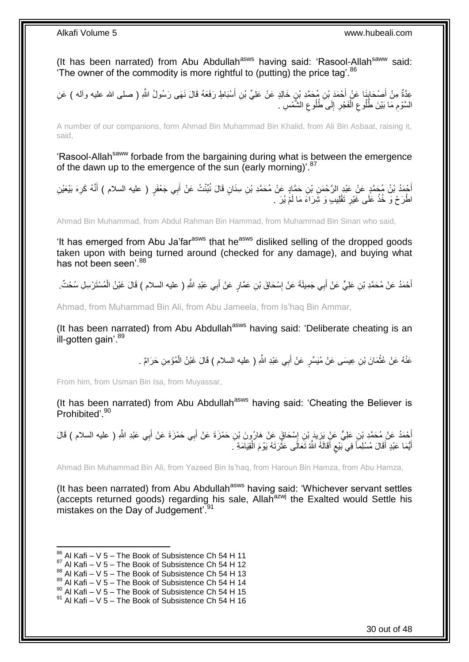(It has been narrated) from Abu Abdullah<sup>asws</sup> having said: 'Rasool-Allah<sup>saww</sup> said: The owner of the commodity is more rightful to (putting) the price tag'. $86$ 

عِدَّةٌ مِنْ أَصْحَابِنَا عَنْ أَحْمَدَ بْنِ مُحَمَّدِ بْنٍ خَالِدٍ عَنْ عَلِيٍّ بْنِ أَسْبَاطٍ رَفَعَهُ قَالَ نَهَى رَسُولُ اللَّهِ ( صلى الله عليه وأله ) عَنِ ِ َ َ السَّوْمِ مَا بَيْنَ طُلُوعِ الْفَجْرِ إِلَى ۖطُلُوعِ الشَّمْسِ ۚ. ِ  $\frac{1}{2}$ ِ ْ ِ ِ

A number of our companions, form Ahmad Bin Muhammad Bin Khalid, from Ali Bin Asbaat, raising it, said,

'Rasool-Allah<sup>saww</sup> forbade from the bargaining during what is between the emergence of the dawn up to the emergence of the sun (early morning)<sup>'.87</sup>

أُجْمَدُ بْنُ مُحَمَّدٍ عَنْ عَبْدِ الرَّحْمَنِ بْنِ حَمَّادٍ عَنْ مُحَمَّدِ بْنِ سِنَانٍ قَالَ نُبِّئْتُ عَنْ أَبِي جَعْفَرٍ ( عليه السلام ) أَنَّهُ كَرِهَ بَيْعَيْنِ َ َ ِ َ اطْرَحْ وَ خُذْ عَلَى غَيْرِ تَقْلِيبٌ وَ شِّرَاءَ مَا لَمْ يُرَ ۚ. ِ **ٔ** 

Ahmad Bin Muhammad, from Abdul Rahman Bin Hammad, from Muhammad Bin Sinan who said,

'It has emerged from Abu Ja'far<sup>asws</sup> that he<sup>asws</sup> disliked selling of the dropped goods taken upon with being turned around (checked for any damage), and buying what has not been seen'  $88$ 

أَحْمَدُ عَنْ مُحَمَّدِ بْنِ عَلِيٍّ عَنْ أَبِي جَمِيلَةَ عَنْ إِسْحَاقَ بْنِ عَمَّارٍ عَنْ أَبِي عَبْدِ اللَّهِ ( عليه السلام ) قَالَ غَبْنُ الْمُسْتَرْسِلِ سُحْتٌ. َ ِ َ َ ْ

Ahmad, from Muhammad Bin Ali, from Abu Jameela, from Is'haq Bin Ammar,

(It has been narrated) from Abu Abdullah<sup>asws</sup> having said: 'Deliberate cheating is an ill-gotten gain'.<sup>89</sup>

> عَنْهُ عَنْ عُثْمَانَ بْنِ عِيسَى عَنْ مُيَسِّرٍ عَنْ أَبِي عَبْدِ اللَّهِ ( عليه السلام ) قَالَ غَيْنُ الْمُؤْمِنِ حَرَامٌ . ْ ْ َ

From him, from Usman Bin Isa, from Muyassar,

(It has been narrated) from Abu Abdullah<sup>asws</sup> having said: 'Cheating the Believer is Prohibited'.<sup>90</sup>

أُحْمَدُ عَنْ مُحَمَّدِ بْنِ عَلِيٍّ عَنٍْ يَزِيدَ بْنِ إِسْحَاقٍ عَنْ هَارُونَ بْنِ حَمْزَةَ عَنْ أَبِي حَمْزَةَ عَنْ أَبِي عَبْدِ اللَّهِ ( عليه السلام ) قَالَ<br>\* َ َ َ ِ ِ أَيُّمَا عَبْدٍ أَقَالَ مُسْلِماً فِي بَيْعِ أَقَالَهُ اللَّهُ تَعَالَى عَثْرَتَهُ يَوْمَ الْقِيَامَةِ ۖ. ْ **ٔ** َ ٍ َ َ

Ahmad Bin Muhammad Bin Ali, from Yazeed Bin Is'haq, from Haroun Bin Hamza, from Abu Hamza,

(It has been narrated) from Abu Abdullah<sup>asws</sup> having said: 'Whichever servant settles (accepts returned goods) regarding his sale, Allahazwj the Exalted would Settle his mistakes on the Day of Judgement<sup>'.91</sup>

<sup>1</sup>  $86$  Al Kafi – V 5 – The Book of Subsistence Ch 54 H 11

 $87$  Al Kafi – V 5 – The Book of Subsistence Ch 54 H 12

 $88$  Al Kafi – V 5 – The Book of Subsistence Ch 54 H 13

 $89$  Al Kafi – V 5 – The Book of Subsistence Ch 54 H 14

 $90$  Al Kafi – V 5 – The Book of Subsistence Ch 54 H 15

 $91$  Al Kafi – V 5 – The Book of Subsistence Ch 54 H 16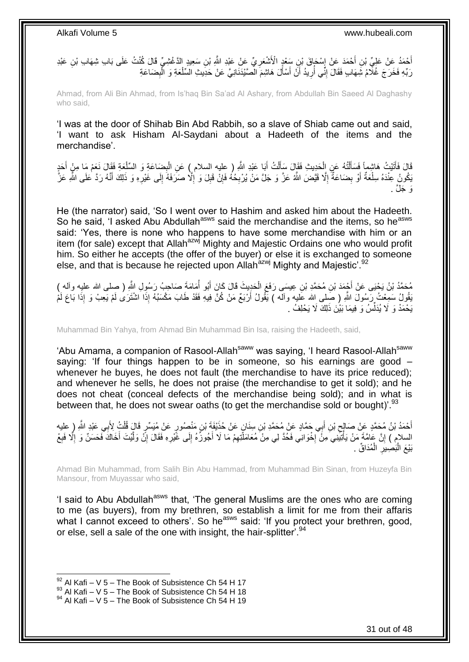أَحْمَدُ عَنْ عَلِيِّ بْنِ أَحْمَدَ عَنْ إِسْكَاقَ بْنِ سَعْدٍ الْأَشْعَرِ يِّ عَنْ عَبْدِ اللَّهِ بْنِ سَعِيدٍ الدَّغْشِيِّ قَالَ كُنْتُ عَلَى بَابِ شِهَابِ بْنِ عَبْدِ **∶** ׇ֧֦֧֦֧֦֧֦֧֢֦֧֓֜֜ َ رَبِّهِ فَخَرَجَ غُلِّامُ شِهَابٍ فَقَالَ إِنِّي أُرِيدُ أَنْ أَسْأَلَ هَاشِمَ الْصَّيْدَنَانِيَّ عَنْ حَدِيثِ السِّلْعَةِ وَ الْبِضَاعَةِ َ اً ِ ُ ِ ِ ْ ْ

Ahmad, from Ali Bin Ahmad, from Is'haq Bin Sa'ad Al Ashary, from Abdullah Bin Saeed Al Daghashy who said,

'I was at the door of Shihab Bin Abd Rabbih, so a slave of Shiab came out and said, 'I want to ask Hisham Al-Saydani about a Hadeeth of the items and the merchandise'.

َضا َع ِة ب َبا َعْبِد هَّللاِ ) عليه السالم ( َع ِن ال ُت أ ل َحِدي ِث َفَقا َل َسأ ُه َع ِن ال تُ ل َتْي ُت َها ِشماً َف َسأ َعِة َفَقا َل َن َعْم َما ِم َقا َل ْن َفأ َو ال ِّسل َحٍد ْ أ ِ ْ َ ْ َ ْ ْ َ َ َ َبَكُونُ عِنْدَهُ سِلْعَةٌ أَوْ بِضَاعَةٌ إِلَّا قَيَّضَ اللَّهُ عَزَّ وَ جَلَّ مَنْ يُرْبِحُهُ فَإِنْ قَبِلَ وَ إِلَّا صَرَفَهُ إِلَى غَيْرِهِ وَ ذَلِكَ أَنَّهُ رَدَّ عَلَى اللَّهِ عَزَّ ِ ِ ِ **∶** ِ ِ َ ْ َ ِ  $\frac{1}{2}$ ، حَلَّ

He (the narrator) said, 'So I went over to Hashim and asked him about the Hadeeth. So he said, 'I asked Abu Abdullah<sup>asws</sup> said the merchandise and the items, so he<sup>asws</sup> said: 'Yes, there is none who happens to have some merchandise with him or an item (for sale) except that Allah<sup>azwj</sup> Mighty and Majestic Ordains one who would profit him. So either he accepts (the offer of the buyer) or else it is exchanged to someone else, and that is because he rejected upon Allah<sup>azwj</sup> Mighty and Majestic'.<sup>92</sup>

مُحَمَّدُ بْنُ يَحْيَى عَنْ أَجْمَدَ بْنِ مُحَمَّدِ بْنِ عِيسَى رَفَعَ الْحَدِيثَ قَالَ كَانَ أَبُو أَمَامَةً صَاحِبُ رَسُولِ اللَّهِ ( صلى الله عليه وأله )<br>مُحتَمَّدُ بْنُ يَحْيَى عَنْ أَجْمَدَ بْنِ مُحَمَّدِ بْنِ عِيسَى ا<br>ا َ ْ ُنْقُولُ سَمِعْتُ رَسُولَ اللَّهِ ( صَلِمى الله عَليه وأله ) يَّقُولُ أَرْبَعٌ مَنْ كُنَّ فِيهِ فَقَدْ طَابَ مَكْسَبُهُ إِذَا اشْتَرَى لَمْ يَعِبْ وَ إِذَا بَاعَ لَمْ َ يَحْمَدْ وَ لَا يُدَلِّسُ وَ فِيمَا بَيْنَ ذَلِكَ لَا يَحْلِفُ . ِّ

Muhammad Bin Yahya, from Ahmad Bin Muhammad Bin Isa, raising the Hadeeth, said,

'Abu Amama, a companion of Rasool-Allah<sup>saww</sup> was saying, 'I heard Rasool-Allah<sup>saww</sup> saying: 'If four things happen to be in someone, so his earnings are good – whenever he buyes, he does not fault (the merchandise to have its price reduced); and whenever he sells, he does not praise (the merchandise to get it sold); and he does not cheat (conceal defects of the merchandise being sold); and in what is between that, he does not swear oaths (to get the merchandise sold or bought)<sup>'.93</sup>

ِّفْمَدُ بْنُ مُحَمَّدٍ عَنْ صَالِحٍ بْنِ أَبِي حَمَّادٍ عَنْ مُحَمَّدِ بْنِ سِنَانٍ عَنْ حُذَيْفَةَ بْنِ مَنْصُورٍ عَنْ مُنِسِّرٍ قَالٍَ قُلْتُ لِأَبِي عَبْدِ اللَّهِ ( عليه<br>. َ  $\zeta$ ْ السلام ) إِنَّ عَامَّةَ مَنْ يَأْتِيَنِيَ مِنَْ إِخْوَانِي فَحُدَّ لِي مِنْ مُعَامَلَتِهِمْ مَا لَا أُجُوزُهُ إِلَى غَيْرِهِ فَقَالَ إِنَّ وَلَّيْتَ أَخَاكَ فَحَسَنٌ وَ إِلَّا فَبِعْ ِ  $\frac{1}{2}$ َ ِ ·<br>∶ ْ ِ ِ ا<br>ا َ ه ِ بَيْعَ الْبَصِيْرِ الْمُدَاقِّ . ْ **∶** :<br>ا

Ahmad Bin Muhammad, from Salih Bin Abu Hammad, from Muhammad Bin Sinan, from Huzeyfa Bin Mansour, from Muyassar who said,

'I said to Abu Abdullah<sup>asws</sup> that, 'The general Muslims are the ones who are coming to me (as buyers), from my brethren, so establish a limit for me from their affaris what I cannot exceed to others'. So he<sup>asws</sup> said: 'If you protect your brethren, good, or else, sell a sale of the one with insight, the hair-splitter'.<sup>94</sup>

 $92$  Al Kafi – V 5 – The Book of Subsistence Ch 54 H 17

 $^{93}$  Al Kafi – V 5 – The Book of Subsistence Ch 54 H 18

<sup>94</sup> Al Kafi – V 5 – The Book of Subsistence Ch 54 H 19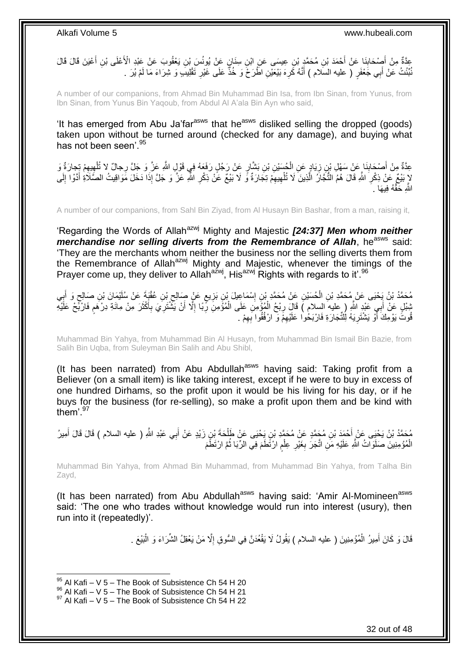عِدَّةٌ مِنْ أَصِدْحَابِذَا عَنْ أَحْمَدَ بْنِ مُحَمَّدٍ بْنِ عِيسَى عَنِ ابْنِ سِنَانٍ عَنْ يُونُسَ بْنِ يَعْقُوبَ عَنْ عَبْدِ الْأَعْلَى بْنِ أَعْيَنَ قَالَ قَالَ<br>" َ ِ َ نُبِّئْتُ عَنْ أَبِي جَعْفَرٍ ( عليه السَّلام ) أَنَّهُ كَرِهَ بَيْعَيْنِ اطَّرَخَ وَ خُذَّ عَلَى غَيْرِ تَقْلِيبَ وَ شِرَاءَ مَا لَمْ يُرَ . ِ ا<br>: ِ َ َ لَ

A number of our companions, from Ahmad Bin Muhammad Bin Isa, from Ibn Sinan, from Yunus, from Ibn Sinan, from Yunus Bin Yaqoub, from Abdul Al A'ala Bin Ayn who said,

'It has emerged from Abu Ja'far<sup>asws</sup> that he<sup>asws</sup> disliked selling the dropped (goods) taken upon without be turned around (checked for any damage), and buying what has not been seen'. 95

عِدَّةٌ مِنْ أَصْحَابِنَا عَنْ سَهْلِ بْنِ زِيَادٍ عَنِ الْجُسَيْنِ بْنِ بَشَّارٍ عَنْ رَجُلٍ رَفَعَهُ فِي قَوْلِ اللَّهِ عَزَّ وَ جَلَّ رِجالٌ لا تُلْهِبِهِمْ تَجارَةٌ وَ ْ ِ **∣** َ ِ ِ ْ لاٍ بَيْعٌ عَنْ ذِكْرِ اللَّهِ قَالَ هُمُ النُّجَارُ الَّذِينَ لَا تُلْهِيهِمْ تِجَارَةٌ وَّ لَا بَيْعٌ عَنْ ذِكْرِ اللَّهِ عَزَ وَ جَلَّ إِذَا دَخَلَ مَوَاقِيتُ الصَّلَاةِ أَنَّوْا إِلَى ِ ِ َ َ ِ ْ ه اللَّهِ حَقَّهُ فِيهَا ...

A number of our companions, from Sahl Bin Ziyad, from Al Husayn Bin Bashar, from a man, raising it,

'Regarding the Words of Allah<sup>azwj</sup> Mighty and Majestic *[24:37] Men whom neither merchandise nor selling diverts from the Remembrance of Allah, he<sup>asws</sup> said:* 'They are the merchants whom neither the business nor the selling diverts them from the Remembrance of Allah<sup>azwj</sup> Mighty and Majestic, whenever the timings of the Prayer come up, they deliver to Allah<sup>azwj</sup>, His<sup>azwj</sup> Rights with regards to it'.<sup>96</sup>

مُحَمَّدُ بْنُ يَحْيَى عَنْ مُحَمَّدِ بْنِ الْحُسَيْنِ عَنْ مُحَمَّدِ بْنِ إِسْمَاعِيلَ بْنِ بَزِيعٍ عَنْ صَالِحٍ بْنِ عُقْبَةَ عَنْ سُلَيْمَانَ بْنِ صَالِحٍ وَ أَبِي<br>منذ يعني الصحيح العام العام العام العام العام العام ال ِ ْ ِ َ ٍ ِ ٍ ِ َ بْنِبْلٍ عَنْ أَبِي عَبْدٍ اللَّهِ ( عليه السلام ) قَالَ رِبْحُ الْمُؤْمِنَ عَلَى الْمُؤْمِنَ رِّبًا إِلَّا أَنْ يَثْنُتَرِيَ بِأَكْثَرَ مِنْ مِائَةِ دِرْهَمٍ فَارْبَّحْ عَلَيْهِ ِ ِ َ ِ **∶** ْ ْ **∶** َ ٍ َ قُوتََ يَوْمِكَ أَوْ يَشْتَرِيَهُ لِلْتِّجَارَةِ فَارْبَحُوا عَلَيْهِمْ وَ ارْفُقُوا بِهِمْ . ِ ِ ِ َ

Muhammad Bin Yahya, from Muhammad Bin Al Husayn, from Muhammad Bin Ismail Bin Bazie, from Salih Bin Uqba, from Suleyman Bin Salih and Abu Shibl,

(It has been narrated) from Abu Abdullah<sup>asws</sup> having said: Taking profit from a Believer (on a small item) is like taking interest, except if he were to buy in excess of one hundred Dirhams, so the profit upon it would be his living for his day, or if he buys for the business (for re-selling), so make a profit upon them and be kind with them<sup>'97</sup>

مُحَمَّدُ بْنُ يَحْيَى عَنْ أَحْمَدَ بْنِ مُحَمَّدٍ عَنْ مُحَمَّدِ بْنِ يَحْيَى عَنْ طَلْحَةَ بْنِ زَيْدٍ عَنْ أَبِي عَبْدِ اللَّهِ ( عليه السلام ) قَالَ قَالَ أَمِيرُ<br>وَمَدَّ اللَّهُ فَي اللَّهِ عَلَيْ أَحْمَدَ بْنِ مُحَ َ ْ أَ الْمُؤْمِنِينَ صَلَوَاتُ النَّهِ عَلَيْهِ مَنِ اتَّجَرَ بِغَيْرِ عِلْمٍ ارْتَطَمَ فِي الرِّبَا ثُمَّ ارْتَطْمَ ْ ان<br>المقامات المقامات المقامات المقامات المقامات المقامات المقامات المقامات المقامات المقامات المقامات المقامات<br>المقامات المقامات المقامات المقامات المقامات المقامات المقامات المقامات المقامات المقامات المقامات المقامات ֧֖֖֖֧֧֖֧֧֧֧֧ׅ֧֧֧֧֧֚֚֚֚֓֝֝֝֝֟֓֟֓֝֬֝֓֝֓֝֬֟֓֟֓֟֓֟֓֝֬֝֬֝֓֝֬֜֓֝֬֝֓֝֬֝֬֝ ْ ِ **∶** 

Muhammad Bin Yahya, from Ahmad Bin Muhammad, from Muhammad Bin Yahya, from Talha Bin Zayd,

(It has been narrated) from Abu Abdullah<sup>asws</sup> having said: 'Amir Al-Momineen<sup>asws</sup> said: 'The one who trades without knowledge would run into interest (usury), then run into it (repeatedly)'.

> قَالَ وَ كَانَ أَمِيرُ الْمُؤْمِنِينَ ( عليه السلام ) يَقُولُ لَا يَقْعُدَنَّ فِي السُّوقِ إِلَّا مَنْ يَعْقِلُ الشِّرَاءَ وَ الْبَيْعَ . ِ ْ َ ْ

 $95$  Al Kafi – V 5 – The Book of Subsistence Ch 54 H 20

 $^{96}$  Al Kafi – V 5 – The Book of Subsistence Ch 54 H 21

 $97$  Al Kafi – V 5 – The Book of Subsistence Ch 54 H 22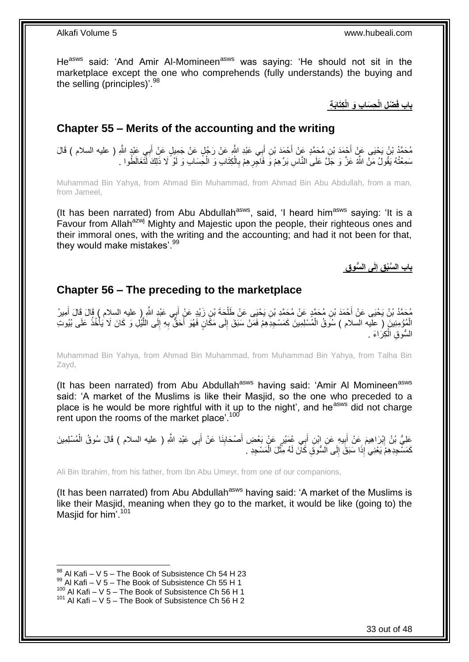He<sup>asws</sup> said: 'And Amir Al-Momineen<sup>asws</sup> was saying: 'He should not sit in the marketplace except the one who comprehends (fully understands) the buying and the selling (principles)'.<sup>98</sup>

**ِكَتاَب ِة ِح َسا ِب َو الْ ْض ِل الْ باب فَ**

### <span id="page-32-0"></span>**Chapter 55 – Merits of the accounting and the writing**

ِ مُحَمَّدُ بْنُ يَحْيَى عَنٍْ أَحْمَدَ بْنِ مُحَمَّدٍ عَنْ أَحْمَدَ بْنِ أَبِي عَبْدِ اللَّهِ عَنْ رَجُلٍ عَنْ جَمِيلٍ عَنْ أَبِي عَبْدٍ اللَّهِ ( عليه السلام ) قَالَ َ َ َ سَمِعْتُهُ يَقُولُ مَنَّ اللَّهَ عَنَّ وَ جَلَّ عَلَى النَّاسِ بَرِّهِمْ وَ فَاَحْرِ هِمْ بِالْكِتَابِ وَ الْحِسَابِ وَ لَوْ ۗ لَا ذَٰلِكَ لَّتَغَالَطُوا . ْ ْ ِ ِ

Muhammad Bin Yahya, from Ahmad Bin Muhammad, from Ahmad Bin Abu Abdullah, from a man, from Jameel,

(It has been narrated) from Abu Abdullah<sup>asws</sup>, said, 'I heard him<sup>asws</sup> saying: 'It is a Favour from Allah<sup>azwj</sup> Mighty and Majestic upon the people, their righteous ones and their immoral ones, with the writing and the accounting; and had it not been for that, they would make mistakes'.<sup>99</sup>

> **لَى ال ُّسو ِق ِق إ باب ال َّسْب ِ**

### <span id="page-32-1"></span>**Chapter 56 – The preceding to the marketplace**

ِي َعْبِد هَّللاِ ب ِن َزْيٍد َع ْن أ َح َة ْب ِن َي ْحَيى َع ْن َطل ِن ُم َح همٍد َع ْن ُم َح همِد ْب ْح َمَد ْب ُم َح همُد ْب ُن َي ْحَيى َع ْن أ ِمي ُر َ ) عليه السالم ( َقا َل َقا َل أ َ ْ أَ الْمُؤْمِنِينَ ( عَلَيه السلام ) سُوَقُ الْمُسْلِمِينَ كَمَسْجِدِّهِمْ فَمَنْ سَبَقَ إِلَى مَكَّانٍ فَهُوَ أَحَقٌّ بِهِ إِلَى اللَّيْلِ وَ كَانَ لَا يَأْخُذُ عَلَى بُيُوتِ ْ ْ ه ِ ِ َ ِ السَّوقِ الْكِرَاءَ <sub>.</sub> ْ

Muhammad Bin Yahya, from Ahmad Bin Muhammad, from Muhammad Bin Yahya, from Talha Bin Zayd,

(It has been narrated) from Abu Abdullah<sup>asws</sup> having said: 'Amir Al Momineen<sup>asws</sup> said: 'A market of the Muslims is like their Masjid, so the one who preceded to a place is he would be more rightful with it up to the night', and he<sup>asws</sup> did not charge rent upon the rooms of the market place'.<sup>100</sup>

عَلِيُّ بْنُ إِبْرَاهِيمَ عَنْ أَبِيهِ عَنِ ابْنِ أَبِي عُمَيْرٍ عَنْ بَعْضِ أَصْحَابِنَا عَنْ أَبِي عَبْدِ اللَّهِ ( عليه السلام ) قَالَ سُوقُ الْمُسْلِمِينَ َ َ َ **∣** َ ِ ْ كَمَسْجِدِهِمْ يَعْنِي ْإِذَا سَبَقَ إِلَى اَلسُّوقِ كَانَ لَهُ مِّثْلَ الْمَسْجِدِ . ْ **ٔ** ِ

Ali Bin Ibrahim, from his father, from Ibn Abu Umeyr, from one of our companions,

(It has been narrated) from Abu Abdullah<sup>asws</sup> having said: 'A market of the Muslims is like their Masjid, meaning when they go to the market, it would be like (going to) the Masjid for him'.<sup>101</sup>

 $98$  Al Kafi – V 5 – The Book of Subsistence Ch 54 H 23

<sup>99</sup> Al Kafi – V 5 – The Book of Subsistence Ch 55 H 1

 $100$  Al Kafi – V 5 – The Book of Subsistence Ch 56 H 1

 $101$  Al Kafi – V 5 – The Book of Subsistence Ch 56 H 2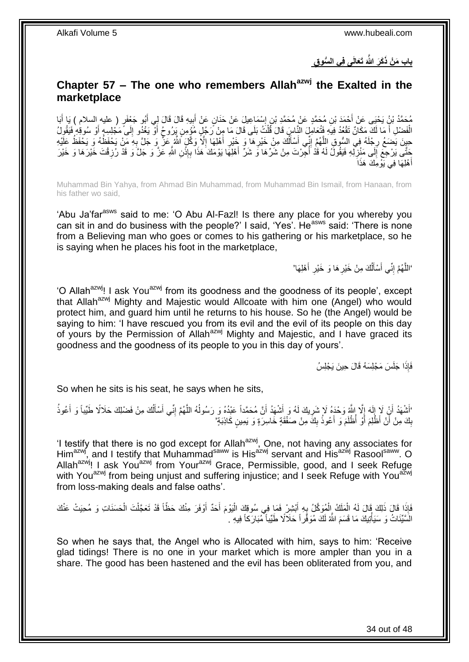**َتَعالَى فِي ال ُّسو ِق َكَر َّهللاَ باب َم ْن ذَ**

### <span id="page-33-0"></span>**Chapter 57 – The one who remembers Allahazwj the Exalted in the marketplace**

مُحَمَّدُ بْنُ يَحْيَى عَنْ أَحْمَدَ بْنِ مُحَمَّدٍ عَنْ مُحَمَّدِ بْنِ إِسْمَاعِيلَ عَنْ حَذَانٍ عَنْ أَبِيهِ قَالَ لِي أَبُو جَعْفَوٍ ( عليه السلام ) يَا أَبَا<br>وَجَمَعَتُ بِأَبَاثِ عَنْ أَحْمَدَ بِّنِ مُحَمَّدٍ عَنْ مُح ِ َ ِ َ َ َ الْفَضْلِ أَ مَا لَكَ مَكَانٌ تَقْعُدُ فِيهِ فَتُعَامِلَ النَّاسِ قَالَ قُلْتُ بَلَى قَالَ مَا مِنْ رَجُلٍ مُؤمِنٍ يَرُوحُ أَوْ يَغْدُو إِلَى مَجْلِسِهِ أَوْ سُوقِهِ فَيَقُولُ ْ َ َ ِ حِينَ يَضِعُ رِجْلَهُ فِي السُّوقِ اللَّهُمَّ إِنِّي أَسْأَلُكَ مِنْ خَيْرِ هَا ۖ وَ خَيْرِ أَهْلِهَا إِلَّا وَكِّلَ أَللَّهُ عَنْ ۚ وَ جَلَّ بِهِ مَنْ يَحْفَظُهُ وَ يَحْفَظُ عَلَيْهِ ِ **∶** ِ َ ِ ِ اُ َ َ ِ ه َخَّتَى يَرْجِعَ إِلَى مَنْزِلِّهِ فَيَقُولُ لَهُ قَدْ أُجِّرْتَ مِنْ شَرِّهَا وَ شَرِّ أَهْلِهَا يَوْمَكَ هَذَا بِإِنْنِ اللَّهِ عَزَّ وَ خَلَّ وَ قَدْ رُزِقْتَ خَيْرَهَا وَ خَيْرَ َ ا<br>ا **∶**  $\frac{1}{2}$ ِ **ٔ** ِ أَهْلِهَا فِي َيَوْمِكَ هَذَاَ َ

Muhammad Bin Yahya, from Ahmad Bin Muhammad, from Muhammad Bin Ismail, from Hanaan, from his father wo said,

'Abu Ja'far<sup>asws</sup> said to me: 'O Abu Al-Fazi! Is there any place for you whereby you can sit in and do business with the people?' I said, 'Yes'. He<sup>asws</sup> said: 'There is none from a Believing man who goes or comes to his gathering or his marketplace, so he is saying when he places his foot in the marketplace,

> 'اللَّهُمَّ إِنِّي أَسْأَلُكَ مِنْ خَيْرِ هَا وَ خَيْرِ أَهْلِهَا' َ ِ ِ ُ َ َ ِ ه

'O Allah<sup>azwj</sup>! I ask You<sup>azwj</sup> from its goodness and the goodness of its people', except that Allah<sup>azwj</sup> Mighty and Majestic would Allcoate with him one (Angel) who would protect him, and guard him until he returns to his house. So he (the Angel) would be saying to him: 'I have rescued you from its evil and the evil of its people on this day of yours by the Permission of Allah<sup>azwj</sup> Mighty and Majestic, and I have graced its goodness and the goodness of its people to you in this day of yours'.

فَإِذَا جَلَسَ مَجْلِسَهُ قَالَ حِينَ يَجْلِسُ

So when he sits is his seat, he says when he sits,

'أَشْهَدُ أَنِْ لَإٍ إِلَهَ إِلَّا إِلَيْهِ وَحْدَهُ لَا شَرِيكَ لَهُ وَ أَشْهَدُ أَنَّ مُحَمَّداً عَبْدُهُ وَ رَسُولُهُ اللَّهُمَّ إِنِّي أَسْأَلُكَ مِنْ فَضْلِكَ حَلَالًا طَيِّباً وَ أَعُوذُ َ َ ِ  $\frac{1}{2}$ لَ  $\frac{1}{2}$ َ َ َ اُ َ َ ِ ه ُ بِكَ مِنْ أَنْ أَظُّلِمَ أَوْ أُظْلَمَ وَ أَعُوذُ بِكَّ مِنْ صَفْقَةٍ خَاسِرَةٍ وَ يَمِينٍ كَاذِبَةٍ ۖ ِ َ م<br>ا **ِ** 

'I testify that there is no god except for Allah<sup>azwj</sup>, One, not having any associates for Him<sup>azwj</sup>, and I testify that Muhammad<sup>saww</sup> is His<sup>azwj</sup> servant and His<sup>azwj</sup> Rasool<sup>saww</sup>. O Allah<sup>azwj</sup>! I ask You<sup>azwj</sup> from Your<sup>azwj</sup> Grace, Permissible, good, and I seek Refuge with You<sup>azwj</sup> from being unjust and suffering injustice; and I seek Refuge with You<sup>azwj</sup> from loss-making deals and false oaths'.

َإِذَا قَالَ ذَلِكَ قَالَ لَهُ الْمَلَكُ الْمُوَكَّلُ بِهِ أَبْشِرْ فَمَا فِي سُوقِكَ الْيَوْمَ أَحَدٌ أَوْفَرَ مِنْكَ حَظَّاً قَدْ تَعَجَّلْتَ الْحَسَنَاتِ وَ مُحِيَتْ عَنْكَ<br>يَجْمَعُنَاتِ الْحَسَنَاتِ وَ مُحِيَتْ عَنْكَ اُ َ ْ َ ِ ْ ْ ْ ْ الَسَّيِّئَاتُ وَ سَيَأْتِيكَ مَا قَسَمَ اللَّهُ لَكَ مُوَفَّرٍ أَ حَلَالًا طَيِّباً مُبَارَكاً فِيهِ . ْ

So when he says that, the Angel who is Allocated with him, says to him: 'Receive glad tidings! There is no one in your market which is more ampler than you in a share. The good has been hastened and the evil has been obliterated from you, and

34 out of 48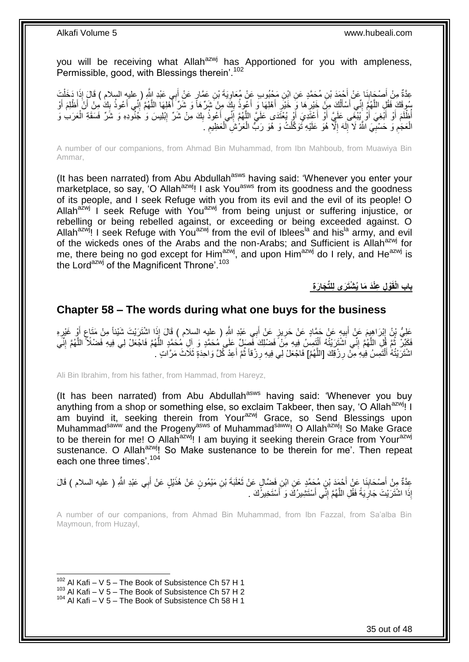you will be receiving what Allah<sup>azwj</sup> has Apportioned for you with ampleness, Permissible, good, with Blessings therein<sup>'.102</sup>

عِدَّةٌ مِنْ أَصْحَابِنَا عَنْ أَحْمَدَ بْنِ مُحَمَّدٍ عَنِ ابْنِ مَجْبُوبٍ عَنْ مُعَاوِيَةَ بْنِ عَمَّارٍ عَنْ أَبِي عَبْدِ اللَّهِ ( عِليه السلام ) قَالَ إِذَا دَخَلْتَ<br>وَيَمَدُّجُ مِنْ أَصْبَحْ بِنَا عَنْ أَجْمَدَ بْنِ **∣** َ ْ َ ِ سُوقَكَ فَقُلِ اللَّهُمَّ إِنِّي أَسْأَلُكَ مِنْ خَيْرِ هَا وَ خَيْرِ أَهْلِهَا وَ أَغْوِذُ بِكَ مِنْ شَرِّهَا وَ شَرِّ أَهْلِهَا اللَّهُمَّ إِنِّي أَعُوذُ بِكَ مِنْ أَنْ أَظْلِمَ أَوْ َ ِ َ َ ِ ِ اً َ َ יִי (ו ه ∣l<br>∶ َ َ ِ َ أُظْلَمَ أَوْ أَبْغِيَ أَوْ يُبْغَى عَلَيَّ أَوْ أَعْثَدِيَ أَوْ يُغْنَدَى عَلَيَّ اللَّهُمَّ إِنِّي أَعُوذُ بِكَ مِنْ شَرِّ إِبْلِيسَ وَ جُنُوِّدِهِ وَ شَرِّ فَسَقَةِ الْعَرَبِ وَ ِ َ ِ ه اُ َ َ َ َ ْ ِ الْعَجَمِ وَ حَسْبِيَ اللَّهُ لَا إِلَهَ إِلَّا هُوَ عَلَيْهِ نَوَكَّلْتُ وَ هُوَ رَبُّ الْعَرْشَ الْعَظِيمِ . لَ ِ **∶** ِ ْ ِ ْ ْ ْ ِ

A number of our companions, from Ahmad Bin Muhammad, from Ibn Mahboub, from Muawiya Bin Ammar,

(It has been narrated) from Abu Abdullah<sup>asws</sup> having said: 'Whenever you enter your marketplace, so say, 'O Allah<sup>azwj</sup>! I ask You<sup>asws</sup> from its goodness and the goodness of its people, and I seek Refuge with you from its evil and the evil of its people! O Allah $a^2$ <sub>w</sub> I seek Refuge with You<sup>azwj</sup> from being unjust or suffering injustice, or rebelling or being rebelled against, or exceeding or being exceeded against. O Allah<sup>azwj</sup>! I seek Refuge with You<sup>azwj</sup> from the evil of Iblees<sup>la</sup> and his<sup>la</sup> army, and evil of the wickeds ones of the Arabs and the non-Arabs; and Sufficient is Allah<sup>azwj</sup> for me, there being no god except for Him<sup>azwj</sup>, and upon Him<sup>azwj</sup> do I rely, and He<sup>azwj</sup> is the Lord<sup>azwj</sup> of the Magnificent Throne'.<sup>103</sup>

**ْو ِل ِعْنَد َما ُي ْشَت َرى لِلِّت َجا َر ِة باب الْقَ**

### <span id="page-34-0"></span>**Chapter 58 – The words during what one buys for the business**

عَلِيُّ بْنُ إِبْرَاهِيمَ عَنْ أَبِيهِ عَنْ جَمَّادٍ عَنْ حَرِيزٍ عَنْ أَبِي عَيْدِ اللَّهِ ( عليه السلام ) قَالَ إِذَا اشْتَرَيْتَ شَيْئاً مِنْ مَتَاعٍ أَوْ غَيْرِهِ ِ َ **ٍ** ِ **!** َ ِ فَكَيِّرٌ ۚ ثُمَّ قُلِ اللَّهُمَّ إِنِّي اَشْتَرَيْتُهُ أَلْتَمِسُ فِيهِ مِنْ َفَضْلِكَ فَصِلٍّ عَلَى مُحَمَّدٍ وَ آلِ مُحْمَّدٍ اللَّهُمَّ فَاجْعَلْ لِي فِيهِ فَضْلاً ۚ اللَّهُمَّ إِنِّي ֡֝֟֟֓֟֓֟֓֟֓֟׆<br>֧֧֧֧֦֧֦֦֧֦֧֦֘֟ َ ֺ֧֖ׅ֧ׅ֧֧֚֚֚֚֚֚֚֚֚֚֚֚֚֚֝֝֬֓֡֡֓֡֟֡֡֡֡֡֡֬֓֡֟֓֡֟֓֡֟֓֡֡֡֬֩֓֓֩ ه ِ ه ه اشْتَرَيْتُهُ أَلْتَمِسُ فِيهِ مِنْ رِزْقِكَ [اللَّهُمَّ] فَاجْعَلْ لِي فِيهِ رِزْقاً ثُمَّ أَعِدْ كُلَّ وَاحِدَةٍ ثَلَاثَ مَرَّاتٍ . َ ُ **∶** ه ِ ֺ֧֦֧֝֟֓<u>֓</u>֖֦֧֦֓֡֝ َ

Ali Bin Ibrahim, from his father, from Hammad, from Hareyz,

(It has been narrated) from Abu Abdullah<sup>asws</sup> having said: 'Whenever you buy anything from a shop or something else, so exclaim Takbeer, then say, 'O Allah<sup>azwj</sup>! I am buyind it, seeking therein from Your<sup>azwj</sup> Grace, so Send Blessings upon Muhammad<sup>saww</sup> and the Progeny<sup>asws</sup> of Muhammad<sup>saww</sup>! O Allah<sup>azwj</sup>! So Make Grace to be therein for me! O Allah<sup>azwj</sup>! I am buying it seeking therein Grace from Your<sup>azwj</sup> sustenance. O Allah<sup>azwj</sup>! So Make sustenance to be therein for me'. Then repeat each one three times'.<sup>104</sup>

عِدَّةٌ مِنْ أَصِـْحَابِذَا عَنْ أَحْمَدَ بْنِ مُحَمَّدٍ عَنِ ابْنِ فَضَّالٍ عَنْ ثَعْلَبَةَ بْنِ مَيْمُونٍ عَنْ هُذَيْلٍ عَنْ أَبِي عَبْدِ اللَّهِ ( عليه السلام ) قَالَ ِ َ َ **∣** إِذَا اشْتَرَيْتَ جَارِيَةً فَقُلِ اللَّهُمَّ إِنِّي أَسْتَثِيرُكَ وَ أَسْتَخِيرُكَ . َ َ ِ ه ِ

A number of our companions, from Ahmad Bin Muhammad, from Ibn Fazzal, from Sa'alba Bin Maymoun, from Huzayl,

 $102$  Al Kafi – V 5 – The Book of Subsistence Ch 57 H 1

 $103$  Al Kafi – V 5 – The Book of Subsistence Ch 57 H 2

<sup>104</sup> Al Kafi – V 5 – The Book of Subsistence Ch 58 H 1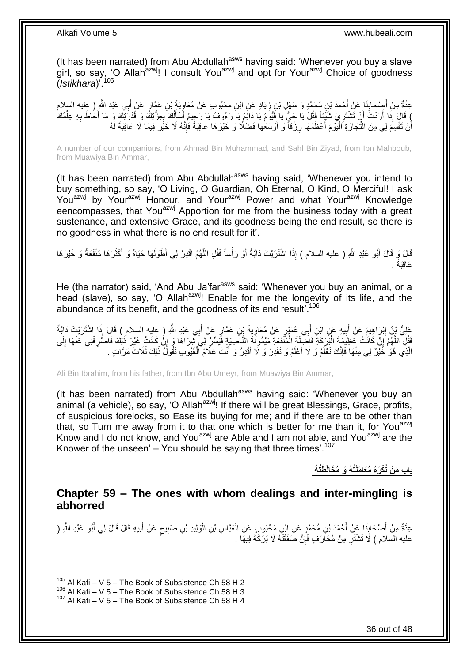(It has been narrated) from Abu Abdullah<sup>asws</sup> having said: 'Whenever you buy a slave girl, so say, 'O Allah<sup>azwj</sup>! I consult You<sup>azwj</sup> and opt for Your<sup>azwj</sup> Choice of goodness (*Istikhara*)'.<sup>105</sup>

عِدَّةٌ مِنْ أَصْحَابِنَا عَنْ أَحْمَدَ بْنِ مُحَمَّدٍ وَ سَهْلِ بْنِ زِيَادٍ عَنِ ابْنِ مَحْبُوبٍ عَنْ مُعَاوِيَةَ بْنِ عَمَّارٍ عَنْ أَبِي عَبْدِ اللَّهِ ( عِليه السلام<br>-ِ **∶ ∣** َ َ ْ إِذَا أَرَدْتَ أَنْ تَشْتَرِيَ شَنُّلٍ فَقُلْ يَا حَيُّ يَا فَيُومُ يَا دَائِمُ يَا رَءُوفُ يَا رَحِيمُ أَسْأَلُكَ بِعِزَتِكَ وَ قُدْرَتِكَ وَ مَا أَحَاطَ بِهِ عِلْمُكَ ِ َ اُ ْ ِ َ ِ ُ َ َ أَنْ تَقْسِمَ لِي مِنَ التِّجَارَةِ اَلْيَوْمَ أَعْظَمَهَا رِزْقاً وَ أَوْسَعَهَا فَضْلًا وَ خَيْرَهَا عَاقِبَةً فَإِنَّهُ لَا خَيْرَ فِيمَا لَا عَاقِبَةَ لَهُ ا∣<br>ِ∘ِ َ **∶** اً<br>ا :<br>ا

A number of our companions, from Ahmad Bin Muhammad, and Sahl Bin Ziyad, from Ibn Mahboub, from Muawiya Bin Ammar,

(It has been narrated) from Abu Abdullah<sup>asws</sup> having said, 'Whenever you intend to buy something, so say, 'O Living, O Guardian, Oh Eternal, O Kind, O Merciful! I ask Youazwj by Yourazwj Honour, and Yourazwj Power and what Yourazwj Knowledge eencompasses, that You<sup>azwj</sup> Apportion for me from the business today with a great sustenance, and extensive Grace, and its goodness being the end result, so there is no goodness in what there is no end result for it'.

قَالَ وَ قَالَ أَبُو عَبْدِ اللَّهِ ( عليه السلام ) إِذَا اشْتَرَيْتَ دَابَّةً أَوْ رَأْساً فَقُلِ اللَّهُمَّ اقْدِرْ لِي أَطْوَلَهَا حَيَاةً وَ أَكْثَرَهَا مَنْفَعَةً وَ خَيْرَهَا ه ْ َ َ َ َ . َعاِقَبةً

He (the narrator) said, 'And Abu Ja'far<sup>asws</sup> said: 'Whenever you buy an animal, or a head (slave), so say, 'O Allah<sup>azwj</sup>! Enable for me the longevity of its life, and the abundance of its benefit, and the goodness of its end result<sup>'.106</sup>

عَلِيُّ بِنُ إِبْرَاهِيمَ عَنْ أَبِيهِ عَنٍ ابْنِ أَبِي عُمَيْرٍ عَنْ مُعَاوِيَةَ بْنِ عَمَّارٍ عَنْ أَبِي عَبْدِ اللَّهِ ( عليه السلام ) قَالَ إِذَا اشْتَرَيْتَ دَابَّةً ِ َ **!** َ ِ فَقُلِ اللَّهُمَّ إِنْ كَانَتْ عَظِيمَةَ الْبَرَكَةِ فَاضَلِلَةَ الْمَنَّفَعَةِ مَيْمُونََةَ النَّاصِيَةِ فَيَسِّرْ لِيَ شِرَاهَا وَ إِنْ كَانَتْ غَيْرَ ذَلِكَ فَاصْرِفْنِي عَنْهَا إِلَى ْ ْ ِ ه ِ ِ ِ الَّذِي هُوَ خَيْرٌ لِي مِنْهَا فَإِنَّكَ تَعْلَمُ وَ لَا أَعْلَمُ وَ تَقْدِرُ وَ لَا أَقْدِرُ وَ أَنْتَ عَلَّامُ الْغُيُوبِ تَقُولُ ذَلِكَ ثَلَاثَ مَرَّاتٍ . ْ َ َ َ ∣اٍ<br>∶

Ali Bin Ibrahim, from his father, from Ibn Abu Umeyr, from Muawiya Bin Ammar,

(It has been narrated) from Abu Abdullah<sup>asws</sup> having said: 'Whenever you buy an animal (a vehicle), so say, 'O Allah<sup>azwj</sup>! If there will be great Blessings, Grace, profits, of auspicious forelocks, so Ease its buying for me; and if there are to be other than that, so Turn me away from it to that one which is better for me than it, for You<sup>azwj</sup> Know and I do not know, and You<sup>azwj</sup> are Able and I am not able, and You<sup>azwj</sup> are the Knower of the unseen'  $-$  You should be saying that three times'.<sup>107</sup>

**باب َم ْن ُتْكَرهُ ُمَعا َملَُت ُه َو ُم َخالَ َطُت ُه**

### <span id="page-35-0"></span>**Chapter 59 – The ones with whom dealings and inter-mingling is abhorred**

عِدَّةٌ مِنْ أَصْحَابِنَا عِنْ أَحْمَدَ بْنِ مُحَمَّدٍ عَنِ ابْنِ مَحْبُوبٍ عَنِ الْعَبَّاسِ بْنِ الْوَلِيدِ بْنِ صَبِيعٍ عَنْ أَبِيهِ قَالَ قَالَ لِي أَبُو عَبْدِ اللَّهِ ( **∣** َ َ ِ َ ٍ ِ ْ ْ عليه السلام ) لَا تَشْتَرِ مِنْ مُحَارَفٍ فَإِنَّ صَفْقَتَهُ لَا بَرَكَةَ فِيهَا . ِ ِ

 $105$  Al Kafi – V 5 – The Book of Subsistence Ch 58 H 2

 $106$  Al Kafi – V 5 – The Book of Subsistence Ch 58 H 3

 $107$  Al Kafi – V 5 – The Book of Subsistence Ch 58 H 4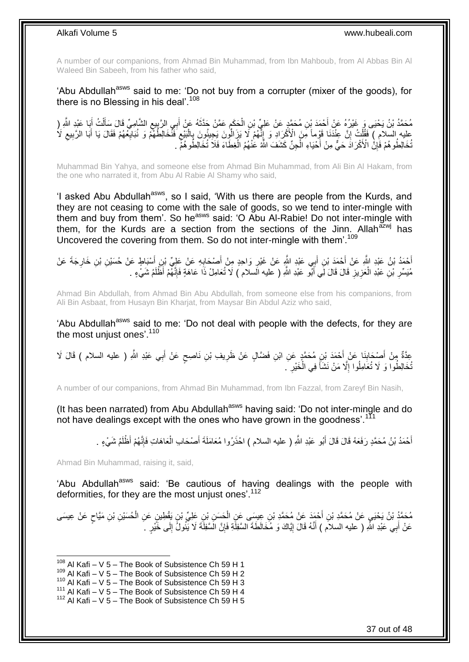A number of our companions, from Ahmad Bin Muhammad, from Ibn Mahboub, from Al Abbas Bin Al Waleed Bin Sabeeh, from his father who said,

'Abu Abdullah<sup>asws</sup> said to me: 'Do not buy from a corrupter (mixer of the goods), for there is no Blessing in his deal'.<sup>108</sup>

مُحَمَّدُ بْنُ يَحْيَى وَ غَيْرُهُ عَنْ أَحْمَدَ بْنِ مُحَمَّدٍ عَنْ عَلِيٍّ بْنِ الْحَكَمِ عَمَّنْ حَدَّثَهُ عَنْ أَبِي الرَّبِيعِ الشَّامِيِّ قَالَ سَأَلْتُ أَبَا عَبْدِ الثَّهِ ( َ َ ْ َ ِ ِ َ َ **∶** ْ عليه السلام ) فَقُلْتُ إِنَّ عِنْدَنَا قَوْماً مِنَ الْأَكْرَادِ وَ إِنَّهُمْ لَا يَزَالُونَ يَجِيئُونَ بِالْبَيْعِ فَنَّخَالِطُهُمْ وَ نُبَالِغُهُمْ فَقَالَ يَا أَبَا الرَّبِيعِ لَا<br>يَرَبْدُ وُ وُ وَيَوْ يَوْفَقَ بَرَبَّ ِ ْ ِ ِ ِ ْ ِ َ ِ ُّخَالِطُوهُمْ فَٰإِنَّ الْأَكْرَادَّ حَيٍّ مِنْ أَحْيَاءِ الْْجِنِّ كَشَفَ اللَّهُ عَنْهُمُ الْغِطَّاءَ فَلَا تُخَالِطُوهُمْٓ . ْ ْ َ ِ

Muhammad Bin Yahya, and someone else from Ahmad Bin Muhammad, from Ali Bin Al Hakam, from the one who narrated it, from Abu Al Rabie Al Shamy who said,

'I asked Abu Abdullah<sup>asws</sup>, so I said, 'With us there are people from the Kurds, and they are not ceasing to come with the sale of goods, so we tend to inter-mingle with them and buy from them'. So he<sup>asws</sup> said: 'O Abu Al-Rabie! Do not inter-mingle with them, for the Kurds are a section from the sections of the Jinn. Allah<sup>azwj</sup> has Uncovered the covering from them. So do not inter-mingle with them'.<sup>109</sup>

أَحْمَدُ بْنُ عَبْدِ اللَّهِ عَنْ أَحْمَدَ بْنِ أَبِي عَبْدِ اللَّهِ عَنْ غَيْرِ وَاحِدٍ مِنْ أَصْبَحَابِهِ عَنْ عَلِيٍّ بْنِ أَسْبَاطٍ عَنْ حُسَيْنِ بْنِ خَارِجَةَ عَنْ َ ِ َ ِ َ ِ َ َ مُيَسِّرِ بْنِ عَبْدِ الْعَزِيزِ قَالَ قَالَ لِّي أَبُّو عَبْدِ اللَّهِ ( عليه الَسلام ) لَا تُعَامِلْ ذَا عَاهَةٍ فَإِنَّهُمْ أَظْلَمُ شَيْءٍ . ∣اٍ َ ِ ِ ْ ِ

Ahmad Bin Abdullah, from Ahmad Bin Abu Abdullah, from someone else from his companions, from Ali Bin Asbaat, from Husayn Bin Kharjat, from Maysar Bin Abdul Aziz who said,

'Abu Abdullah<sup>asws</sup> said to me: 'Do not deal with people with the defects, for they are the most unjust ones'.<sup>110</sup>

عِدَّةٌ مِنْ أَصِحْابِذَا عَنْ أَحْمَدَ بْنِ مُحَمَّدٍ عَنِ ابْنِ فَضَّالٍ عَنْ ظَرِيفِ بْنِ نَاصِحٍ عَنْ أَبِي عَبْدِ اللَّهِ ( عليه السلام ) قَالَ لَا َ ٍ ِ َ **∣** َ ُّخَالِطُوا وَ لَا تُعَامِلُوا إِلَّا مَنْ نَشَأَ فِي الْخَيْرِ ۚ . ِ ْ َ ِ

A number of our companions, from Ahmad Bin Muhammad, from Ibn Fazzal, from Zareyf Bin Nasih,

(It has been narrated) from Abu Abdullah<sup>asws</sup> having said: 'Do not inter-mingle and do not have dealings except with the ones who have grown in the goodness'.<sup>111</sup>

> أَحْمَدُ بْنُ مُحَمَّدٍ رَفَعَهُ قَالَ قَالَ أَبُو عَبْدِ اللَّهِ ( عليه السلام ) احْذَرُوا مُعَامَلَةَ أَصْحَابِ الْعَاهَاتِ فَإِنَّهُمْ أَظْلَمُ شَيْءٍ . َ ا∣<br>ِ∘ِ ْ َ َ

Ahmad Bin Muhammad, raising it, said,

1

'Abu Abdullah<sup>asws</sup> said: 'Be cautious of having dealings with the people with deformities, for they are the most unjust ones'.<sup>112</sup>

مُحَمَّدُ بْنُ يَحْيَيِ عَنْ مُحَمَّدِ بْنِ أَحْمَدَ عَنْ مُحَمَّدِ بْنِ عِيسَى عَنِ الْحَسَنِ بْنِ عَلِيِّ بْنِ يَقْطِينِ عَنِ الْحُسَيْنِ بْنِ مَيَّاحٍ عَنْ عِيسَى ْ َ ٍ ْ عَنْ أَبِي عَبْدِ اللَّهِ ( عليه السلام ) أَنَّهُ قَالَ إِيَّاكَ وَ مُخَالَطَةَ السَّفِلَّةِ فَإِنَّ الَسَّفِلَّةَ لَا يَّئُولُ إِلَى خَّيْرٍ ۚ رَ ِ ِ ِ َ

 $108$  Al Kafi – V 5 – The Book of Subsistence Ch 59 H 1

<sup>109</sup> Al Kafi – V 5 – The Book of Subsistence Ch 59 H 2

 $110$  Al Kafi – V 5 – The Book of Subsistence Ch 59 H 3

<sup>111</sup> Al Kafi – V 5 – The Book of Subsistence Ch 59 H 4

 $112$  Al Kafi – V 5 – The Book of Subsistence Ch 59 H 5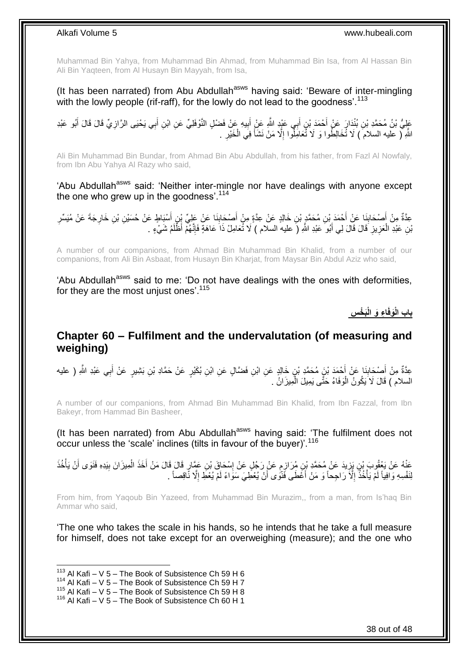Muhammad Bin Yahya, from Muhammad Bin Ahmad, from Muhammad Bin Isa, from Al Hassan Bin Ali Bin Yaqteen, from Al Husayn Bin Mayyah, from Isa,

(It has been narrated) from Abu Abdullah<sup>asws</sup> having said: 'Beware of inter-mingling with the lowly people (rif-raff), for the lowly do not lead to the goodness'.<sup>113</sup>

عَلِيُّ بْنُ مُحَمَّدِ بْنِ بُنْدَارَ عَنْ أَحْمَدَ بْنِ أَبِي عَيْدٍ اللَّهِ عَنِْ أَبِيهِ عَنْ فَضْلِ النَّوْفَلِيِّ عَنِ ابْنِ أَبِي يَحْيَى الرَّازِيِّ قَالَ قَالَ أَبُو عَبْدِ ِ َ َ َ ِ َ اللَّهِ لَّ عليه السلامَ ) لَا تُخَالِطُوا وَ لَا تُعَامِلُوا إِلَّا مَنْ نَشَأَ فِي الْخَيْرِ . **∶** ْ َ ِ

Ali Bin Muhammad Bin Bundar, from Ahmad Bin Abu Abdullah, from his father, from Fazl Al Nowfaly, from Ibn Abu Yahya Al Razy who said,

'Abu Abdullah<sup>asws</sup> said: 'Neither inter-mingle nor have dealings with anyone except the one who grew up in the goodness'. $114$ 

ِعدَّةٌ مِنْ أُصْحَابِذَا عَنْ أَحْمَدَ بْنِ مُحَمَّدٍ بْنِ خَالِدٍ عَنْ عِدَّةٍ مِنْ أُصْحَابِذَا عَنْ عَلِيِّ بِنِ أُسْبَاطٍ عَنْ حُسَيْنِ بْنِ خَارِجَةَ عَنْ مُيَسِّرِ َ ِ َ ِ ِ َ ِ َ بْنِ عَبْدِ الْعَزِيزِ قَالَ قَالَ لِي أَبُو ۖ عَبْدِ اللَّهِ (َ عليهُ السلّام ) لَا ثَّعَامِلْ ذَا عَاهَةٍ فَإِنَّهُمْ أَظْلَمُ شَيْءٍ . ا∣<br>ِ∘ِ َ **∶** ِ ْ

A number of our companions, from Ahmad Bin Muhammad Bin Khalid, from a number of our companions, from Ali Bin Asbaat, from Husayn Bin Kharjat, from Maysar Bin Abdul Aziz who said,

'Abu Abdullah<sup>asws</sup> said to me: 'Do not have dealings with the ones with deformities, for they are the most unjust ones'.<sup>115</sup>

**َب ْخ ِس ا ِء َو الْ َوفَ باب الْ**

### <span id="page-37-0"></span>**Chapter 60 – Fulfilment and the undervalutation (of measuring and weighing)**

عِدَّةٌ مِنْ أَصْحَابِنَا عَنْ أَحْمَدَ بْنَِ مُحَمَّدِ بْنِ خَالِدٍ عَنِ ابْنِ فَضَّالٍ عَنِ ابْنِ بُكَيْرٍ عَنْ حَمَّادِ بْنِ بَشِيرٍ عَنْ أَبِي عَبْدِ اللَّهِ ( عليه **∣** َ َ السلام ) قَالَ لَا يَكُونُ الْوَفَاءُ حَتَّى يَمِيلَ الْمِيزَانُ . ْ ْ

A number of our companions, from Ahmad Bin Muhammad Bin Khalid, from Ibn Fazzal, from Ibn Bakeyr, from Hammad Bin Basheer,

(It has been narrated) from Abu Abdullah<sup>asws</sup> having said: 'The fulfilment does not occur unless the 'scale' inclines (tilts in favour of the buyer)'.<sup>116</sup>

َ عَذْهُ عَنْ يَعْقُوبَ بْنِ يَزِيدَ عَنْ مُحَمَّدِ بْنِ مُرَازِمٍ عَنْ رَجُلٍ عَنْ إِسْحَاقَ بْنِ عَمَّارٍ قَالَ قَالَ مَنْ أَخَذَ الْمِيزَانَ بِيَدِهِ فَنَوَى أَنْ يَأْخُذَ<br>ِ ∣l<br>∶ ٍ ِ ِ ْ ْ َ ِ لِنَفْسِهِ وَافِياً لَمْ يَأْخُذُ إِلَّا رَاجِحاً وَ مَنْ أَغَطَى فَنَّوَى أَنْ يُعْطِّيَ سَوَاءً لَمْ يُعْطِ إِلَّا نَّاقِصاً . ا<br>ا َ َ ِ **ٔ**<br>: :<br>. لَ

From him, from Yaqoub Bin Yazeed, from Muhammad Bin Murazim,, from a man, from Is'haq Bin Ammar who said,

'The one who takes the scale in his hands, so he intends that he take a full measure for himself, does not take except for an overweighing (measure); and the one who

 $113$  Al Kafi – V 5 – The Book of Subsistence Ch 59 H 6

 $114$  Al Kafi – V 5 – The Book of Subsistence Ch 59 H 7

 $115$  Al Kafi – V  $5$  – The Book of Subsistence Ch 59 H 8

<sup>116</sup> Al Kafi – V 5 – The Book of Subsistence Ch 60 H 1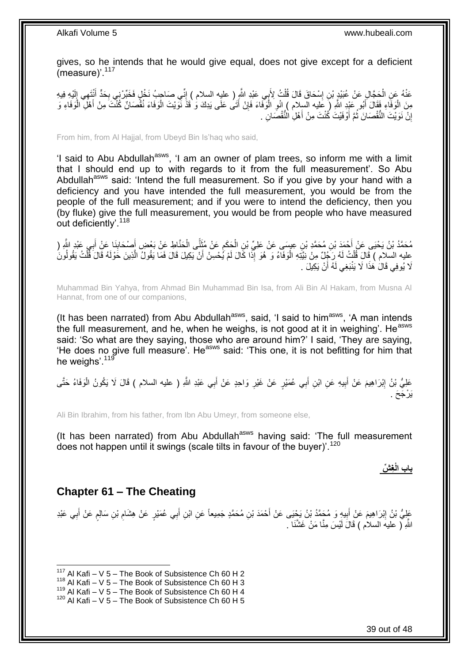gives, so he intends that he would give equal, does not give except for a deficient (measure)<sup>'.117</sup>

عَنْهُ عَنِ الْحَجَّالِ عَنْ عُبَيْدٍ بْنِ إِسْحَاقَ قَالَ قُلْتُ لِأَبِي عَبْدِ النَّهِرِ ( عليه السلام ) إِنِّي صَاحِبُ نَخْلٍ فَخَيِّرْ نِي بِحَدٍّ أَنْتَهِي إِلَيْهِ فِيهِ ِ ْ ِ ْ لَ  $\frac{1}{1}$ َ **∶** مِنَ الْوَفَاءِ فَقَالَ أَبُو عَيْدِ اللَّهِ (َ عَليه السِلام ) إِنْوِ الْوَفَاءَ فَإِنْ أَتَى عَلَى يَدِكَ وَٰ قَذَ نَوَيْتَ الْوَفَاءَ نُقُصَانٌ كُنْتَ مِنْ أَهْلَ الْوَفَاءِ وَ َ ْ َ ْ َ ِ ْ **∶** إِنْ نَوَيْتَ النُّقْصَانَ ثُمَّ أُوْفَيْتَ كُنْتَ مِنْ أَهْلِ النُّقْصَانِ . َ ُ <u>֖֚֚֚֚֚֚֚֓</u>

From him, from Al Hajjal, from Ubeyd Bin Is'haq who said,

'I said to Abu Abdullah<sup>asws</sup>, 'I am an owner of plam trees, so inform me with a limit that I should end up to with regards to it from the full measurement'. So Abu Abdullah<sup>asws</sup> said: 'Intend the full measurement. So if you give by your hand with a deficiency and you have intended the full measurement, you would be from the people of the full measurement; and if you were to intend the deficiency, then you (by fluke) give the full measurement, you would be from people who have measured out deficiently'.<sup>118</sup>

مُحَمَّدُ بْنُ يَحْيَى عَنْ أَحْمَدَ بْنِ مُحَمَّدِ بْنِ عِيسَى عَنْ عَلِيِّ بْنِ الْحَكَمِ عَنْ مُثَنَّى الْحَلَاطِ عَنْ بَعْضٍ أَصْحَابِنَا عَنْ أَبِي عَبْدِ اللَّهِ (<br>. َ ْ ً َ ِ ْ َ َ  $\frac{1}{2}$ ِعليه السلام ) قَالَ قُلْتُ لَهُ رِجُلٌ مِنْ نِيَّتِهِ الْوَفَاءُ وَ هُوَ إِذَا كَالَ لَمْ يُحْسِنْ أَنْ يَكِيلَ قَالَ فَمَا يَقُولُ الَّذِينَ حَوْلَهُ قَالَ قُلْتُ يَقُولُونَ :<br>ا ْ ه َ لَا يُوفِي قَالَ هَذَا لَا يَنْبَغِي لَهُ أَنْ يَكِيلَ . َ

Muhammad Bin Yahya, from Ahmad Bin Muhammad Bin Isa, from Ali Bin Al Hakam, from Musna Al Hannat, from one of our companions,

(It has been narrated) from Abu Abdullah<sup>asws</sup>, said, 'I said to him<sup>asws</sup>, 'A man intends the full measurement, and he, when he weighs, is not good at it in weighing'. He<sup>asws</sup> said: 'So what are they saying, those who are around him?' I said, 'They are saying, 'He does no give full measure'. He<sup>asws</sup> said: 'This one, it is not befitting for him that he weighs'.<sup>119</sup>

عَلِيُّ بْنُ إِبْرَاهِيمَ عَنْ أَبِيهِ عَنِ ابْنِ أَبِي عُمَيْرٍ عَنْ غَيْرِ وَاحِدٍ عَنْ أَبِي عَبْدِ اللَّهِ ( عليه السلام ) قَالَ لَا يَكُونُ الْوَفَاءُ حَتَّى َ ِ َ ِ َ <u>֖֚֚֓</u> ْ يَرْجَحَ .

Ali Bin Ibrahim, from his father, from Ibn Abu Umeyr, from someone else,

(It has been narrated) from Abu Abdullah<sup>asws</sup> having said: 'The full measurement does not happen until it swings (scale tilts in favour of the buyer)'.<sup>120</sup>

باب الْـغِشَّ

### <span id="page-38-0"></span>**Chapter 61 – The Cheating**

1

عَلِيُّ بْنُ إِبْرَاهِيمَ عَنْ أَبِيهٍ وَ مُحَمَّدُ بْنُ يَحْيَى عَنْ أَحْمَدَ بْنِ مُحَمَّدٍ جَمِيعاً عَنِ ابْنِ أَبِي عُمَيْرٍ عَنْ هِشَام بْنِ سَالِمٍ عَنْ أَبِي عَبْدِ َ َ ِ َ ِ **∶** َ **ื** ِ اللَّهِ ( عليهَ السلام ) قَالَ لَيْسَ مِنَّا مَنْ غَشَّنَا ۖ.

 $117$  Al Kafi – V 5 – The Book of Subsistence Ch 60 H 2

 $118$  Al Kafi – V 5 – The Book of Subsistence Ch 60 H 3

<sup>119</sup> Al Kafi – V 5 – The Book of Subsistence Ch 60 H 4

 $120$  Al Kafi – V 5 – The Book of Subsistence Ch 60 H 5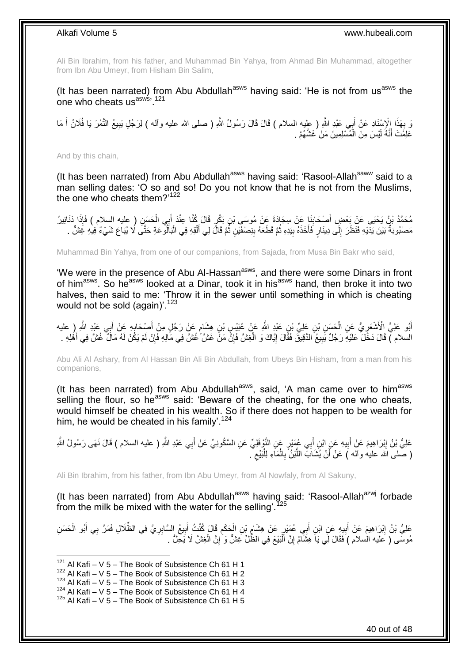Ali Bin Ibrahim, from his father, and Muhammad Bin Yahya, from Ahmad Bin Muhammad, altogether from Ibn Abu Umeyr, from Hisham Bin Salim,

(It has been narrated) from Abu Abdullah<sup>asws</sup> having said: 'He is not from us<sup>asws</sup> the one who cheats usasws, 121

رَ بِهَذَا الْإِسْنَادِ عَنْ أَبِي عَنْدِ اللَّهِ ( عِليه السلام ) قَالَ قَالَ رَسُولُ اللَّهِ ( صلى الله عليه وأله ) لِرَجُلٍ نِبِيعُ النَّمْرَ يَا فُلَانُ أَ مَا<br>رَبِّيَ تَمَّذُ نَبِيعُ النَّمْرَ لَهُ وَالْقَدِيْنِ الْع َ **∶** َ ِ عَلِمُتَ أَنَّهُ لَيْسَ مِنَ الْمُسْلِمِينَ مَنْ غَشَّهُمْ . ْ َ

And by this chain,

(It has been narrated) from Abu Abdullah<sup>asws</sup> having said: 'Rasool-Allah<sup>saww</sup> said to a man selling dates: 'O so and so! Do you not know that he is not from the Muslims, the one who cheats them?'<sup>122</sup>

مُحَمَّدُ بْنُ يَحْيَى عَنْ بَعْضِ أَصْحَابِذَا عَنْ سِجَادَةَ عَنْ مُوسَى بْنِ بَكْرٍ قَالَ كُنَّا عِنْدَ أَبِي الْحَسَنِ ( عليه السلام ) فَإِذَا دَنَانِيرُ ِ َ ْ َ مَصْبُوبَةٌ بَيْنَ يَدَيْهِ فَنَظَرَ إِلَى دِينَارٍ فَأَخَذَهُ بِبَدِهِ ثُمَّ قَطَعَهُ بِنِصْفَيْنِ ثُمَّ قَالَ لِي أَلْقِهِ فِي الْبَالُو عَةِ حَتَّى لَا بُيَاعَ شَيْءٌ فِيهِ غَشٍّ . ْ َ ُ **∶** ُ **!** َ ِ

Muhammad Bin Yahya, from one of our companions, from Sajada, from Musa Bin Bakr who said,

'We were in the presence of Abu Al-Hassan<sup>asws</sup>, and there were some Dinars in front of him<sup>asws</sup>. So he<sup>asws</sup> looked at a Dinar, took it in his<sup>asws</sup> hand, then broke it into two halves, then said to me: 'Throw it in the sewer until something in which is cheating would not be sold (again)'. $123$ 

أَبُو عَلِيٍّ الْأَشْعَرِيُّ عَنِ الْحَسَنِ بْنِ عَلِيٍّ بْنِ عَبْدٍ اللَّهِ عَنْ عُبَيْسٍ بْنِ هِشَامٍ عَنْ رَجُلٍ مِنْ أَصنْحَابِهِ عَنْ أَبِي عَبْدِ اللَّهِ رِ عليه ֧֖֧֖֖֖֖֖֧֧֖֧֧֧֧ׅ֧֧֧֚֚֚֚֚֚֚֝֝֟֓֝֓֝֓֟֓֝֬֟֓֟֓֟֓֟֓֝֬֜֝֓֝֬֜֓֝֬֜֓֝֬ ْ ِ َ ِ َ السلام ) قَالَ دَخَّلَ عَلَيْهِ رَجُلٌ يَبِيعُ الدَّقِيقَ فَقَالَ إِيَّاكَ وَ الْغِشَّ فَإِنَّ مَنْ غَشَّ غُشَّ فِي مَالِهِ فَإِنْ لَمْ يَكُنْ لَهُ مَالٌ غُشَّ فِي أَهْلِهِ . ِ ْ ِ **!** َ ∣ٍ إ

Abu Ali Al Ashary, from Al Hassan Bin Ali Bin Abdullah, from Ubeys Bin Hisham, from a man from his companions,

(It has been narrated) from Abu Abdullah<sup>asws</sup>, said, 'A man came over to him<sup>asws</sup> selling the flour, so he<sup>asws</sup> said: 'Beware of the cheating, for the one who cheats, would himself be cheated in his wealth. So if there does not happen to be wealth for him, he would be cheated in his family'.<sup>124</sup>

عَلِيُّ بْنُ إِبْرَاهِيمَ عَنْ أَبِيهِ عَنِ ابْنِ أَبِي عُمَيْرٍ عَنِ النَّوْفَلِيِّ عَنِ السَّكُونِيِّ عَنْ أَبِي عَبْدِ اللَّهِ ( عليه السلام ) قَالَ نَهَى رَسُولُ اللَّهِ َ َ **!** ِ ( صلى الله عليه وأله ) عَنْ أَنْ يُشَابَ اللَّبَنُّ بِالْمَاءِ لِلْبَيْعِ <sub>.</sub> ِ ْ ْ ِ ه َ

Ali Bin Ibrahim, from his father, from Ibn Abu Umeyr, from Al Nowfaly, from Al Sakuny,

(It has been narrated) from Abu Abdullah<sup>asws</sup> having said: 'Rasool-Allah<sup>azwj</sup> forbade from the milk be mixed with the water for the selling'.<sup>125</sup>

عَلِيُّ بْنُ إِبْرَاهِيمَ عَنْ أَبِيهِ عَنِ ابْنِ أَبِي عُمَيْرٍ عَنْ هِشَامٍ بْنِ الْحَكَمِ قَالَ كُنْتُ أَبِيعُ السَّابِرِيَّ فِي الظُّلَالِ فَمَرَّ بِي أَبُو الْحَسَنِ ِ ِ َ ِ ْ ; **! ֽוּ** ْ َ مُوسَّى ( عَلَيه السلام ) فَقَالَ لِّي يَا هِشَآْمُ إِنَّ اَلْبَيْعَ فِي الظِّلِّ غِشٌّ وَ ٰإِنَّ الْغِشَّ لَا يَحِلُّ . ْ ِ ْ ِ

 $121$  Al Kafi – V 5 – The Book of Subsistence Ch 61 H 1

 $122$  Al Kafi – V 5 – The Book of Subsistence Ch 61 H 2

 $123$  Al Kafi – V 5 – The Book of Subsistence Ch 61 H 3

 $124$  Al Kafi – V 5 – The Book of Subsistence Ch 61 H 4

 $125$  Al Kafi – V 5 – The Book of Subsistence Ch 61 H 5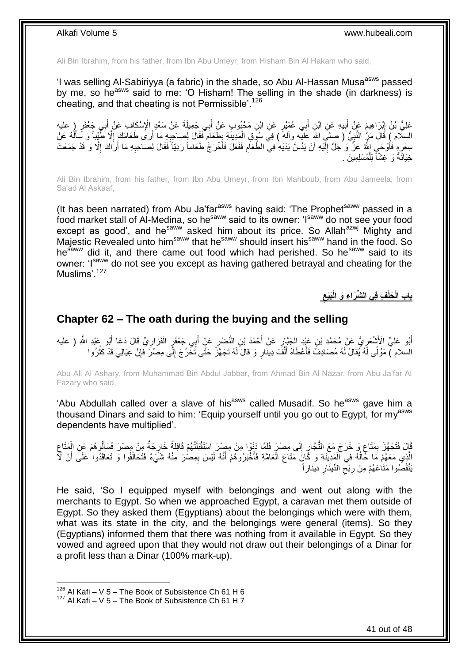Ali Bin Ibrahim, from his father, from Ibn Abu Umeyr, from Hisham Bin Al Hakam who said,

'I was selling Al-Sabiriyya (a fabric) in the shade, so Abu Al-Hassan Musa<sup>asws</sup> passed by me, so he<sup>asws</sup> said to me: 'O Hisham! The selling in the shade (in darkness) is cheating, and that cheating is not Permissible'.<sup>126</sup>

عَلِيُّ بْنُ إِبْرَاهِيمَ عَنْ أَبِيهِ عَنِ ابْنِ أَبِي عُمَيْرٍ عَنِ ابْنِ مَخْبُوبٍ عَنْ أَبِي جَمِيلَةَ عَنْ سَعْدِ الْإِسْكَافِ عَنْ أَبِي جَعْفَرٍ ( عليه<br>. يَعْفُ بَيْنَ إِبْرَاهِيمَ بِيَّةٍ مِنْ أَبِيهِ عَنِ الْبَيْ َ **!** َ ِ َ َ السِلّام ) قَالَ مَرٍّ النَّبِيُّ ( صلى اللهِ عَلَيْه وآله ً ) فِي سُوَقِ الْمَدِينَةِ بِطَعَامٍ فَقَالَ لِصَـاحِبِهِ مَا أَرَى طَعَامَكَ إِلَّا طُّيِّباً وَ سَأَلُّهُ عَنْ َ ِ ֧֧֧֧֧֧֧֧֓֝֓֝֓֝֓֝֬֟֓֟֓֓֓֟֓֓֟֓֓<del>֛</del> ِ ْ ِ لَ َ ا<br>ا سِعْرِهِ فَأَوْحَىِ اللَّهُ عَزَّ وَ ُجَلَّ إِلَيْهِ أَنْ يَدُسَّ يَدَيْهِ فِي الطَّعَامِ فَفَعَلَ فَأَخْرَجُّ طَعَاماً رَدِيّاً فَقَالَ لِصَاحِبِهِ مَا أَرَاكَ إِلَّا وَ قَدْ جَمَعْتَ َ ِ ِ َ ِ َ لَ ِ ا<br>ا َ خِيَانَةً وَ غِشَّاً لِلْمُسْلِمِينَ . ْ

Ali Bin Ibrahim, from his father, from Ibn Abu Umeyr, from Ibn Mahboub, from Abu Jameela, from Sa'ad Al Askaaf,

(It has been narrated) from Abu Ja'far<sup>asws</sup> having said: 'The Prophet<sup>saww</sup> passed in a food market stall of Al-Medina, so hesaww said to its owner: 'Isaww do not see your food except as good', and he<sup>saww</sup> asked him about its price. So Allah<sup>azwj</sup> Mighty and Majestic Revealed unto him<sup>saww</sup> that he<sup>saww</sup> should insert his<sup>saww</sup> hand in the food. So he<sup>saww</sup> did it, and there came out food which had perished. So he<sup>saww</sup> said to its owner: 'Isaww do not see you except as having gathered betrayal and cheating for the Muslims<sup>' 127</sup>

> **ِ َبْيع ِف فِي ال ِّشَرا ِء َو الْ َحلْ باب الْ**

### <span id="page-40-0"></span>**Chapter 62 – The oath during the buying and the selling**

أَبُو عَلِيٍّ الْأَشْعَرِيُّ عَنْ مُحَمَّدِ بْنِ عَيْدِ الْجَنَّإِرِ عَنْ أَحْمَدَ بْنِ النَّضْرِ عَنْ أَبِي جَعْفَرٍ الْفَزَارِيِّ قَالَ دَعَا أَبُو عَيْدِ اللَّهِ ( عليه<br>- يَهْمَمْ الْأَشْعَرِيُّ بَنَ بَيْنَ الْمَجْمَعَ َ **∶** ْ ِ َ ِ ْ َ ِ السلام ) مَوْلًى لَهُ يُقَالُ لَهُ مُصَادِفٌ فَأَعْطَاهُ أَلْفَ دِينَارٍ وَ قَالَ لَهُ تَجَهَّزُ حَتَّى تَخْرُجَ إِلَّى مِصْرَ فَإِنَّ عِيَالِي قَدْ كَثُرُوا ِ ْ َ َ ا<br>انہ ∣ļ

Abu Ali Al Ashary, from Muhammad Bin Abdul Jabbar, from Ahmad Bin Al Nazar, from Abu Ja'far Al Fazary who said,

'Abu Abdullah called over a slave of his<sup>asws</sup> called Musadif. So he<sup>asws</sup> gave him a thousand Dinars and said to him: 'Equip yourself until you go out to Egypt, for my<sup>asws</sup> dependents have multiplied'.

قَالَ فَتَجَهَّزَ بِمَتَاعٍ وَ خَرَجَ مَعَ التُّجَّارِ إِلَى مِصْرٍ فَلَمَّا دَنِّوْا مِنْ مِصْرَ اسْتَقْبَلَتْهُمْ قَافِلَةٌ خَارِجَةٌ مِنْ مِصْرَ فَسَأَلُوهُمْ عَنِ الْمَتَاعِ ∣∣<br>∶ ِ ֖֖֖֧֚֚֚֚֚֚֚֚֚֬֟֓֟֓֟֓֟֓֟֓֟֓֟֓֡֟֓֟֓֟֓֟֓֟֓֟֓֟֓֟֓֟֓֡֟֓֟֓֟֓֟֓֞֓ ِ ِ ْ أا ِ الَّذِي مَعَهُمْ مَا خَّالُهُ فِي الْمَدِينَةِ وَ كَانَ مَتَاعَ الْعَامَّةِ فَأَخْبَرُوهُمْ أَنَّهُ لَيْسَ بِمِصْرَ مِنْهُ شَيْءٌ فَتَحَالَفُوا وَ تَعَاقَدُوا عَلَى أَنْ لَآ ْ .<br>ا ِ َ َ ْ َ يَنْقُصْوا مَثَاعَهُمْ مِنْ رِبْحِ الدِّينَارِ دِينَار أ ِ ِ ِ

He said, 'So I equipped myself with belongings and went out along with the merchants to Egypt. So when we approached Egypt, a caravan met them outside of Egypt. So they asked them (Egyptians) about the belongings which were with them, what was its state in the city, and the belongings were general (items). So they (Egyptians) informed them that there was nothing from it available in Egypt. So they vowed and agreed upon that they would not draw out their belongings of a Dinar for a profit less than a Dinar (100% mark-up).

 $126$  Al Kafi – V 5 – The Book of Subsistence Ch 61 H 6

 $127$  Al Kafi – V 5 – The Book of Subsistence Ch 61 H 7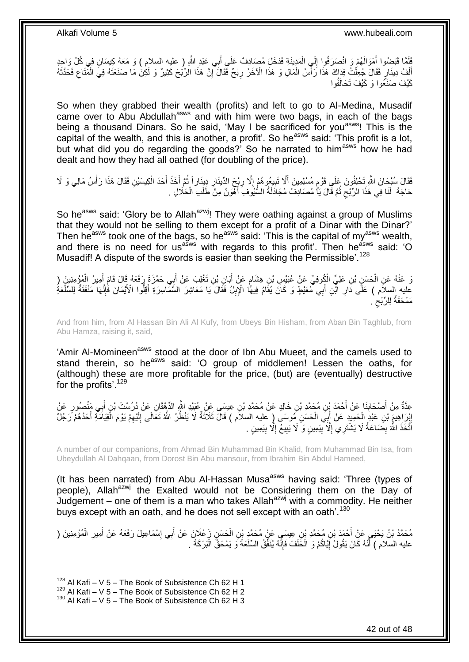لَ  $\frac{1}{2}$ فَلَمَّا فَبَضُوا أَمْوَالَهُمْ وَ انْصَرَفُوا إِلَى الْمَدِينَةِ فَدَخَلَ مُصَادِفٌ عَلَى أَبِي عَبْدِ اللَّهِ ( عليه السلام ) وَ مَعَهُ كِيسَانِ فِي كُلِّ وَاحِدٍ َ َ ْ أَنْفُ دِينَارٍ فَقَالَ جُعِلْتُ فِدَاكَ هَذَا رَأْسُ الْمَالِ وَ هَذَا الْآخَرُ رِبْحٌ فَقَالَ أَإِنَّ هَذَا الرّبُجَ كَثِيرٌ وَ لَكِنْ مَا صَنَعْتَهُ فِيَ الْمُتَاعِ فَحَدَّثَهُ ِ **∶** ْ .<br>ا ْ ْ َ ِ ْ كَيْفَ صَنَّعُوا وَ كَيْفَ تَحَالَفُوا

So when they grabbed their wealth (profits) and left to go to Al-Medina, Musadif came over to Abu Abdullah<sup>asws</sup> and with him were two bags, in each of the bags being a thousand Dinars. So he said, 'May I be sacrificed for you<sup>asws</sup>! This is the capital of the wealth, and this is another, a profit'. So he<sup>asws</sup> said: 'This profit is a lot, but what did you do regarding the goods?' So he narrated to him<sup>asws</sup> how he had dealt and how they had all oathed (for doubling of the price).

فَقَالَ سُبْحَانَ اللَّهِ تَحْلِفُونَ عَلَى قَوْمٍ مُسْلِمِينَ أَلَّا تَبِيعُوهُمْ إِلَّا رِبْحَ الدِّينَارِ دِينَار أَ ثُمَّ أَخَذَ أَحَدَ الْكِيسَيْنِ فَقَالَ هَذَا رَأْسُ مَالِي وَ لَا ُ ِ ِ ِ ِ ٍ **ٔ** ْ َ َ حَاجَةَ ۖ لَنَا فِي هَذَا الرِّبْحِ ثُمَّ قَالَ يَأْ مُصَادِفُ مُجَادَلَةُ السُّيُوفِ أَهْوَنُ مِنْ طَلَبِ الْحَلَالِ . ْ َ ُ ِ

So he<sup>asws</sup> said: 'Glory be to Allah<sup>azwj</sup>! They were oathing against a group of Muslims that they would not be selling to them except for a profit of a Dinar with the Dinar?' Then he<sup>asws</sup> took one of the bags, so he<sup>asws</sup> said: 'This is the capital of my<sup>asws</sup> wealth, and there is no need for us<sup>asws</sup> with regards to this profit'. Then he<sup>asws</sup> said: 'O Musadif! A dispute of the swords is easier than seeking the Permissible'.<sup>128</sup>

وَ عَنْهُ عَنِ الْحَسَنِ بْنِ عَلِيٍّ الْكُوفِيِّ عَنْ عُبَيْسِ بْنِ هِشَامٍ عَنْ أَبَانِ بْنِ تَغْلِبَ عَنْ أَبِي حَمْزَةَ رَفَعَهُ قَالَ قَامَ أَمِيرُ الْمُؤْمِنِينَ ( َ َ ٍ ْ ْ َ عليه السلاَّم ) عَلَّى ذَارِ ابْنِ أَبِي مُعَيْطٍ وَ كَانَ يُقَّامُ فِيهًا الْإِبِلُ فَقَالَ يَا مَعَاشِرَ السَّمَّاسِرَةِ أَقِلُّوا الْأَيْمَانَ فَإِنَّهَا مَنْفَقَةٌ لِلسَّلْعَةِ<br>بِمَدَّةٍ بِنَّذَا بِهَا مَنْفَقَةٌ لِلس **ِ** َ **∶** ه  $\frac{1}{2}$ َ مَمْحَقَّةٌ لِلرِّبْح<sup>`</sup>.  $\zeta$ 

And from him, from Al Hassan Bin Ali Al Kufy, from Ubeys Bin Hisham, from Aban Bin Taghlub, from Abu Hamza, raising it, said,

'Amir Al-Momineen<sup>asws</sup> stood at the door of Ibn Abu Mueet, and the camels used to stand therein, so he<sup>asws</sup> said: 'O group of middlemen! Lessen the oaths, for (although) these are more profitable for the price, (but) are (eventually) destructive for the profits'.<sup>129</sup>

عِدَّةٌ مِنْ أَصْحَابِنَا عَنْ أَحْمَدَ بِنِ مُحَمَّدِ بْنِ خَالِدٍ عَنْ مُحَمَّدٍ بْنِ عِيسَى عِنْ عُبَيْدِ اللَّهِ الدِّهْقَانِ عَنْ دُرُسْتَ بْنِ أَبِي مَنْصُورٍ عَنْ **∣** َ إِبْرَاهِيمَ بْنِ عَبْدٍ الْحَمِيدِ عَنْ أَبِيَ الْحَسَنِ مُوسَى (ٍ عليه السلاَم ) قَالَ ثَلاَثَةٌ لَا يَنْظُرُ اللَّهُ تَعَالَى إِلَيْهِمْ يَوْمَ الْقِيَامَةِ أَحَدُهُمْ رَجُلٌ َ ْ َ ْ َ ْ ِ لَ ِ اتَّخَذَ اللَّهَ بِضَاعَةً لَا يَشْتَرِي إِلَّا بِّيَمِينٍ وَ لَا يَبِيعُ إِلَّا بِيَمِينٍ . ِ ِ ِ **!** ِ ِ

A number of our companions, from Ahmad Bin Muhammad Bin Khalid, from Muhammad Bin Isa, from Ubeydullah Al Dahqaan, from Dorost Bin Abu mansour, from Ibrahim Bin Abdul Hameed,

(It has been narrated) from Abu Al-Hassan Musa<sup>asws</sup> having said: 'Three (types of people), Allah<sup>azwj</sup> the Exalted would not be Considering them on the Day of Judgement – one of them is a man who takes Allah<sup>azwj</sup> with a commodity. He neither buys except with an oath, and he does not sell except with an oath'.<sup>130</sup>

َ مُحَمَّدُ بْنُ يَحْيَي عَنْ أَحْمَدَ بْنِ مُحَمَّدِ بْنِ عِيسَي عَنْ مُحَمَّدٍ بْنِ الْحَسَنِ زَعْلَانِ عَنْ أَبِي إِسْمَاعِيلَ رَفَعَهُ عَنْ أَمِيرِ الْمُؤْمِنِينَ (<br>. ْ َ ْ ِ َ ِ عليه السلام ) أَنَّهُ كَانَ يَقُولُ إِيَّاكُمْ وَ الْحَلْفَ فَإِنَّهُ يُنَفِّقُ السَّلْعَةَ وَ يَمْحَقُّ الْبَرَكَةَ . ْ ْ ِ ْ ْ <u>֖֖֚֚֚֚֓</u>֦֧֦֧֦֓֡֝ َ

 $128$  Al Kafi – V 5 – The Book of Subsistence Ch 62 H 1

 $^{129}$  Al Kafi – V 5 – The Book of Subsistence Ch 62 H 2

 $130$  Al Kafi – V 5 – The Book of Subsistence Ch 62 H 3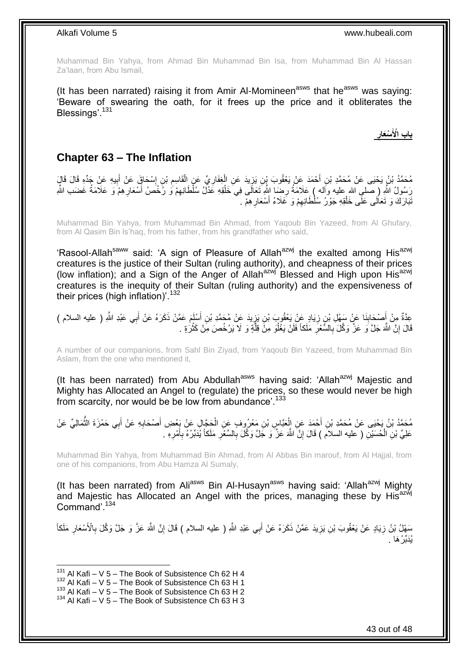Muhammad Bin Yahya, from Ahmad Bin Muhammad Bin Isa, from Muhammad Bin Al Hassan Za'laan, from Abu Ismail,

(It has been narrated) raising it from Amir Al-Momineen<sup>asws</sup> that he<sup>asws</sup> was saying: 'Beware of swearing the oath, for it frees up the price and it obliterates the Blessings'.<sup>131</sup>

**ِ ْسَعار باب اْْلَ**

### <span id="page-42-0"></span>**Chapter 63 – The Inflation**

مُحَمَّدُ بْنُ يَحْيَى عَنْ مُحَمَّدِ بْنِ أَحْمَدَ عَنْ يَعْقُوبَ بْنِ يَزِيدَ عَنِ الْغِفَارِيِّ عَنِ الْقَاسِمِ بْنِ إِسْحَاقٍ عَنْ أَبِيهِ عَنْ جَدِّهِ قَالَ قَالٍَ<br>. ِ ِ ْ ِ ْ ِ َ ِ َ ْ رَسُولُ اللَّهِ ( صلى الله عليه وَاله ) عَلامَةُ رِضَا اللَّهِ تَعَالَى فِيَ خَلْقِهِ عَذْلُ سُلْطَانِهِمْ وَ رُخْصُ أَسْعَارِهِمْ وَ عَلامَةُ غَضَب اللَّهِ ْ ِ ِ َ ِ نَبَارَكَ وَ تَعَالَى عَلَى خَلْقِهِ جَوْرُ سُلْطَانِهِمْ وَ غَلَاءُ أَسْعَارِهِمْ . ِ َ ِ ْ

Muhammad Bin Yahya, from Muhammad Bin Ahmad, from Yaqoub Bin Yazeed, from Al Ghufary, from Al Qasim Bin Is'haq, from his father, from his grandfather who said,

'Rasool-Allah<sup>saww</sup> said: 'A sign of Pleasure of Allah<sup>azwj</sup> the exalted among His<sup>azwj</sup> creatures is the justice of their Sultan (ruling authority), and cheapness of their prices (low inflation); and a Sign of the Anger of Allah<sup>azwj</sup> Blessed and High upon His<sup>azwj</sup> creatures is the inequity of their Sultan (ruling authority) and the expensiveness of their prices (high inflation)'.<sup>132</sup>

عِدَّةٌ مِنْ أَصْحَابِنَا عَنْ سَهْلِ بْنِ زِيَادٍ عَنْ يَعْقُوبَ بْنِ يَزِيدَ عَنْ مُحَمَّدِ بْنِ أَسْلَمَ عَمَّنْ ذَكَرَهُ عَنْ أَبِي عَبْدِ اللَّهِ ( عليه السلام )<br>ِ ِ ِ ِ َ َ قَالَ إِنَّ اللَّهَ جَلَّ وَ عَزَّ وَكَّلَ بِالسَّعْرِ مَلَكاً فَلَنْ يَغْلُوَ مِنَّ قِلَّةٍ وَ لَا يَرْخُصَ مِنْ كَثْرُةٍ . **ٔ** ه ُ ِ **∶** ِ

A number of our companions, from Sahl Bin Ziyad, from Yaqoub Bin Yazeed, from Muhammad Bin Aslam, from the one who mentioned it,

(It has been narrated) from Abu Abdullah<sup>asws</sup> having said: 'Allah<sup>azwj</sup> Majestic and Mighty has Allocated an Angel to (regulate) the prices, so these would never be high from scarcity, nor would be be low from abundance'.<sup>133</sup>

مُحَمَّدُ بْنُ يَحْيَى عَنْ مُحَمَّدِ بْنِ أَحْمَدَ عَنِ الْعَبَّاسِ بْنِ مَعْرُوِهِ عَنِ الْحَجَّالِ عَنْ بَعْضِ أَصْحَابِهِ عَنْ أَبِي حَمْزَةَ الثَّمَالِيِّ عَنْ ِ َ ْ ْ َ ُّ َ عَلِيِّ بْنِ الْحُسَيْنِ ( عليه السلاَم ) قَالَ إِنَّ اللَّهَ عَزَّ وَ جَلَّ وَكَّلَ بِالسِّعْرِ مَلَكاً يُدَبِّرُهُ بِأَمْرِهِ . ْ ِ َ ِ ِ **∶** ِ

Muhammad Bin Yahya, from Muhammad Bin Ahmad, from Al Abbas Bin marouf, from Al Hajjal, from one of his companions, from Abu Hamza Al Sumaly,

(It has been narrated) from Ali<sup>asws</sup> Bin Al-Husayn<sup>asws</sup> having said: 'Allah<sup>azwj</sup> Mighty and Majestic has Allocated an Angel with the prices, managing these by His<sup>azwj</sup> Command'.<sup>134</sup>

سَهْلُ بْنُ زِيَادٍ عَنْ يَعْقُوبَ بْنِ يَزِيدَ عَمَّنْ ذَكَرَهُ عَنْ أَبِي عَبْدِ اللَّهِ ( عليه السلام ) قَالَ إِنَّ اللَّهَ عَزَّ وَ جَلَّ وَكَّلَ بِالْأَسْعَارِ مَلَكاً<br>سِمَّا ِ ِ ِ ِ ِ يُدَبِّرُ هَا .

 $131$  Al Kafi – V 5 – The Book of Subsistence Ch 62 H 4

 $132$  Al Kafi – V 5 – The Book of Subsistence Ch 63 H 1

 $133$  Al Kafi – V 5 – The Book of Subsistence Ch 63 H 2

 $134$  Al Kafi – V 5 – The Book of Subsistence Ch 63 H 3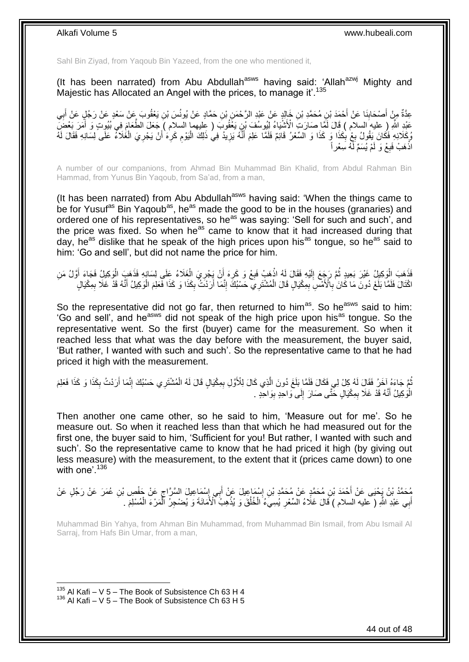Sahl Bin Ziyad, from Yaqoub Bin Yazeed, from the one who mentioned it,

(It has been narrated) from Abu Abdullah<sup>asws</sup> having said: 'Allah<sup>azwj</sup> Mighty and Majestic has Allocated an Angel with the prices, to manage it'.<sup>135</sup>

عِدَّةٌ مِنْ أَصْحَابِنَا عَنْ أَحْمَدَ بْنِ مُحَمَّدِ بْنِ خَالِدٍ عَنْ عَبْدِ الرَّحْمَنِ بْنِ حَمَّادٍ عَنْ يُونُسَ بْنِ يَعْقُوبَ عَنْ سَعْدٍ عَنْ رَجُلٍ عَنْ أَبِي َ ِ ِ َ عَيْدِ اللَّهِ (ِ عليه السلام ) قَالَ لَمَّا صَارَتِ الْأَشْيَاءُ لِّيُوسُفَ بِّنٍ يَغْفُوبُ ( عِليهما السلام ) جَعَلَ الطَّعَامَ فِي بُيُوتٍ وَ أَمَرَ بَعْضَ َ رُكَلائِهِ فَكَانَ يَقُولُ بِعْ بِكَذَا وَ كَذَا وَ السِّعْرُ قَائِمٌ فَلَمَّا عَلِمَ أَنَّهُ يَزِيدُ فِي ذَلِكَ الْيَوْمِ كَرِه ٰأَنْ يَجْرِيَ الْغَلاَءُ عَلَى لِسَانِهِ فَقَالَ لَهُ ِ ْ ِ َ ِ ِ ِ َ ِ اذْهَبْ فَبِعْ وَ لَمْ يُسَمِّ لَّهُ سِعْر أَ ِ **ٔ** 

A number of our companions, from Ahmad Bin Muhammad Bin Khalid, from Abdul Rahman Bin Hammad, from Yunus Bin Yaqoub, from Sa'ad, from a man,

(It has been narrated) from Abu Abdullah<sup>asws</sup> having said: 'When the things came to be for Yusuf<sup>as</sup> Bin Yagoub<sup>as</sup>, he<sup>as</sup> made the good to be in the houses (granaries) and ordered one of his representatives, so he<sup>as</sup> was saying: 'Sell for such and such', and the price was fixed. So when he<sup>as</sup> came to know that it had increased during that day, he<sup>as</sup> dislike that he speak of the high prices upon his<sup>as</sup> tongue, so he<sup>as</sup> said to him: 'Go and sell', but did not name the price for him.

ْفَذَهَبَ الْوَكِيلُ غَيْرَ بَعِيدٍ ثُمَّ رَجَعَ إِلَيْهِ فَقَالَ لَهُ اذْهَبْ فَبِعْ وَ كَرِهَ أَنْ يَجْرِيَ الْغَلَاءُ عَلَى لِسَانِهِ فَذَهَبَ الْوَكِيلُ فَجَاءَ أَوَّلُ مَنِ<br>فَقَدْ مَثَّلَ الْقَرْبِ الْمَرْضَةِ مِنْ ت لَ ِ .<br>• • • • ا<br>ا َ ْ ْ ِ ِ ِ **ٔ** اجْتَالَ فَلَمَّا بَلَغَ دُونَ مَا كَانَ ٰبِالْأَمْسِ بِمِكْيَالٍ قَالَ الْمُشْتَرِيَ حَسْبُكَ ۚ إِنَّمَا أَرَدْتُ بِكَذَا وَ كَذَا فَعَلِمَ الْوَكِيلُ أَنَّهُ قَدْ غَلَا بِمِكْيَالٍ ِ اُ ِ ْ ِ **∶** ْ ِ َ

So the representative did not go far, then returned to him<sup>as</sup>. So he<sup>asws</sup> said to him: 'Go and sell', and he<sup>asws</sup> did not speak of the high price upon his<sup>as</sup> tongue. So the representative went. So the first (buyer) came for the measurement. So when it reached less that what was the day before with the measurement, the buyer said, 'But rather, I wanted with such and such'. So the representative came to that he had priced it high with the measurement.

ثُمَّ جَاءَهُ آخَرُ فَقَالَ لَهُ كِلْ لِي فَكَالَ فَلَمًا بَلَغَ دُونَ الَّذِي كَالَ لِلْأَوَّلِ بِمِكْيَالٍ قَالَ لَهُ الْمُشْتَرِي حَسْبُكَ إِنَّمَا أَرَدْتُ بِكَذَا وَ كَذَا فَعَلِمَ<br>ثُمَّ يَدَوْ بَيَّنَا وَرَّدُ وَالْ ُ َ ِ ْ ِ ه ِ الْوَكِيلُ أَنَّهُ قَدْ غَلَا بِمِكْيَالٍ حَتَّى صَارَ إِلَى وَاحِدٍ بِوَاحِدٍ . ِ ∣ا<br>∶ ِ َ ا<br>ا

Then another one came other, so he said to him, 'Measure out for me'. So he measure out. So when it reached less than that which he had measured out for the first one, the buyer said to him, 'Sufficient for you! But rather, I wanted with such and such'. So the representative came to know that he had priced it high (by giving out less measure) with the measurement, to the extent that it (prices came down) to one with one<sup>'</sup> 136

ِ مُحَمَّدُ بْنُ يَحْيَى عَنْ أَحْمَدَ بْنِ مُحَمَّدٍ عَنْ مُحَمَّدٍ بْنِ إِسْمَاعِيلَ عَنْ أَبِي إِسْمَاعِيلَ السَّرَّاجِ عَنْ حَفْصٍ بْنِ عُمَرَ عَنْ رَجُلٍ عَنْ<br>مُحَمَّدُ بْنُ يَحْيَى عَنْ أَحْمَدَ بْنِ مُحَمَّدٍ عَنْ مُح َ ∣∣<br>∶ ِ أَبِي عَبْدِ اللَّهِ ( عليه السلام ) قَالَ غَلَاءُ السِّعْرِ يُسِيءُ الْخُلُقَ وَ يُذْهِبُ أَلْأَمَانَةَ وَ يُضْجِرُ ٱلْمَرْءَ الْمُسْلِمَ . ِ َ ْ ْ **ٔ** ُ

Muhammad Bin Yahya, from Ahman Bin Muhammad, from Muhammad Bin Ismail, from Abu Ismail Al Sarraj, from Hafs Bin Umar, from a man,

 $135$  Al Kafi – V 5 – The Book of Subsistence Ch 63 H 4  $136$  Al Kafi – V 5 – The Book of Subsistence Ch 63 H 5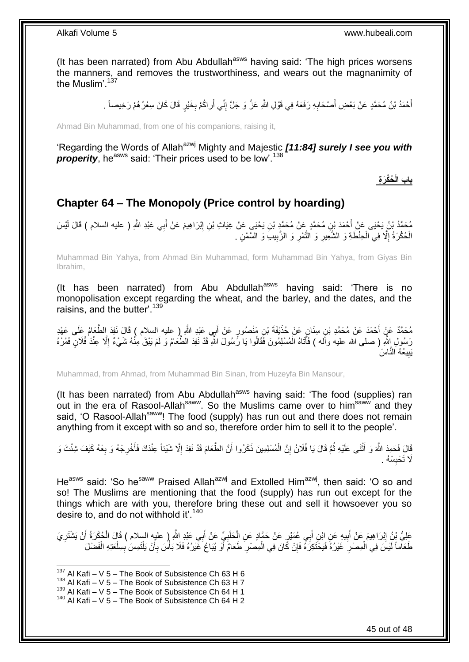(It has been narrated) from Abu Abdullah<sup>asws</sup> having said: 'The high prices worsens the manners, and removes the trustworthiness, and wears out the magnanimity of the Muslim'.<sup>137</sup>

> أَحْمَدُ بْنُ مُحَمَّدٍ عَنْ بَعْضِ أَصْحَابِهِ رَفَعَهُ فِي قَوْلِ اللَّهِ عَزَّ وَ جَلَّ إِنِّي أَراكُمْ بِخَيْرٍ قَالَ كَانَ سِعْرُ هُمْ رَخِيصاً <sub>-</sub> ِ َ ِ **∶** َ َ

Ahmad Bin Muhammad, from one of his companions, raising it,

'Regarding the Words of Allah<sup>azwj</sup> Mighty and Majestic *[11:84] surely I see you with* **properity**, he<sup>asws</sup> said: 'Their prices used to be low'.<sup>138</sup>

**ُحْكَر ِة باب الْ**

### <span id="page-44-0"></span>**Chapter 64 – The Monopoly (Price control by hoarding)**

مُحَمَّدُ بْنُ يَحْيَى عَنْ أَحْمَدَ بْنِ مُحَمَّدٍ عَنْ مُحَمَّدٍ بْنِ يَحْيَى عَنْ غِيَاثِ بْنِ إِبْرَاهِيمَ عَنْ أَبِي عَبْدِ اللَّهِ ( عليه السلام ) قَالَ لَيْسَ َ ِ الْحُكْرَةُ إِلَّا فِي الْحِنْطَةِ وَ الشَّعِيرِ وَ النَّمْرِ وَ الزَّبِيبَ وَ السَّمْنِ . ِ ِ **∶** ْ ِ ْ

Muhammad Bin Yahya, from Ahmad Bin Muhammad, form Muhammad Bin Yahya, from Giyas Bin Ibrahim,

(It has been narrated) from Abu Abdullah $^{asws}$  having said: 'There is no monopolisation except regarding the wheat, and the barley, and the dates, and the raisins, and the butter'.<sup>139</sup>

مُحَمَّدٌ عَنْ أَحْمَدَ عَنْ مُحَمَّدِ بْنِ سِنَانٍ عَنْ خُذَفِفَةَ بْنِ مَنْصُورٍ عَنْ أَبِي عَبْدِ اللَّهِ إِ عليه السلام ) قَالَ نَفِدَ الطَّعَامُ عَلَى عَهْدِ َ َ رَسُولِ إِنَّهِ ( صلى الله عليه وأَله ) فَأَتَاهُ الْمُسْلِمُونَ فَقَالُوا يَا رَّسُولَ الثَّهِ قَدْ نَفِدَ الطَّعَامُ وَ لَمْ يَبْقَ مِنْهُ شَيْءٌ إِلَّا عِنْدَ فُلَالٍ فَمُرْهُ ْ َ ِ يَبِيعُهُ النَّاسَ ِ

Muhammad, from Ahmad, from Muhammad Bin Sinan, from Huzeyfa Bin Mansour,

(It has been narrated) from Abu Abdullah<sup>asws</sup> having said: 'The food (supplies) ran out in the era of Rasool-Allah<sup>saww</sup>. So the Muslims came over to him<sup>saww</sup> and they said, 'O Rasool-Allah<sup>saww</sup>! The food (supply) has run out and there does not remain anything from it except with so and so, therefore order him to sell it to the people'.

قَالَ فَحَمِدَ اللَّهَ وَ أَثْنَى عَلَيْهِ ثُمَّ قَالَ يَا فُلَانُ إِنَّ الْمُسْلِمِينَ ذَكَرُوا أَنَّ الطَّعَامَ قَدْ نَفِدَ إِلَّا شَيْئاً عِنْدَكَ فَأَخْرِجْهُ وَ بِعْهُ كَيْفَ شِئْتَ وَ ا<br>ا ْ َ ِ ِ َ ِ َ ْ ِ َلَا تَحْبِسْهُ . **ِ** 

He<sup>asws</sup> said: 'So he<sup>saww</sup> Praised Allah<sup>azwj</sup> and Extolled Him<sup>azwj</sup>, then said: 'O so and so! The Muslims are mentioning that the food (supply) has run out except for the things which are with you, therefore bring these out and sell it howsoever you so desire to, and do not withhold it'.<sup>140</sup>

عَلِيُّ بِنُ إِبْرَاهِيمَ عَنْ أَبِيهِ عَنِ ابْنِ أَبِي عُمَيْرٍ عَنْ حَمَّادٍ عَنِ الْحَلَبِيِّ عَنْ أَبِي عَبْدِ اللَّهِ ( عليه السلام ) قَالَ الْحُكْرَةُ أَنْ يَشْتَرِيَ َ **!** َ ِ ِ َ ْ َ ِ ْ ِ طَعَاماً لَيْسَ فِي الْمِصْرِ خَيْرُهُ فَيَحْتَكِرَهُ فَإِنْ كَانَ فِي الْمِصْرِ طَعَامٌ أَوْ يُبَاعُ غَيْرُهُ فَلَا بَأْسَ بِأَنْ يَلْتَمِسَ بِسِلْعَتِهِ الْفَضْلَ ْ َ **ٍ** ْ ِ **∶** ْ لَ ْ ْ ِ ْ أ

 $137$  Al Kafi – V 5 – The Book of Subsistence Ch 63 H 6

 $138$  Al Kafi – V 5 – The Book of Subsistence Ch 63 H 7

 $139$  Al Kafi – V 5 – The Book of Subsistence Ch 64 H 1

 $140$  Al Kafi – V 5 – The Book of Subsistence Ch 64 H 2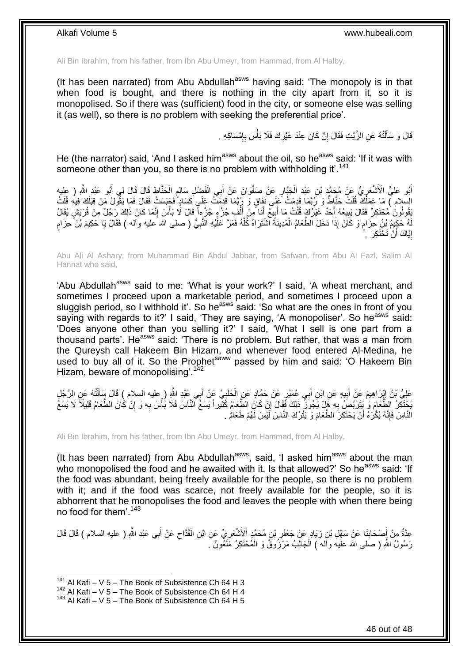Ali Bin Ibrahim, from his father, from Ibn Abu Umeyr, from Hammad, from Al Halby,

(It has been narrated) from Abu Abdullah<sup>asws</sup> having said: 'The monopoly is in that when food is bought, and there is nothing in the city apart from it, so it is monopolised. So if there was (sufficient) food in the city, or someone else was selling it (as well), so there is no problem with seeking the preferential price'.

> قَالَ وَ سَأَلْتُهُ عَنِ الزَّيْتِ فَقَالَ إِنْ كَانَ عِنْدَ غَيْرِكَ فَلَا بَأْسَ بِإِمْسَاكِهِ . ן, ِ ْ ِ ِ ֺ֧֦֧֦֧֦֦֦֦֖֦֪֦֪֦֧֦֪֦֪֦֪֪֦֪֪֦֪֪֦֪֦֪֪֦֝֟֟֟֟֟֟֟֟֟֟֟֟֟֟֟֟֟֟֟֟֟֟֓֕֟֓֟֓֟֓֟֓֟֓֟֓֟֓֟֓֟֓֟֓֟֟֟֝֟֟֟֟֟֟֟֝֟ َ

He (the narrator) said, 'And I asked him<sup>asws</sup> about the oil, so he<sup>asws</sup> said: 'If it was with someone other than you, so there is no problem with withholding it'.<sup>141</sup>

ْ أَبُو عَلِيٍّ الْأَشْعَرِيُّ عَنْ مُحَمَّدٍ بْنِ عَبْدِ الْجَبَّارِ عَنْ صَغْوَانَ عَنْ أَبِي الْفَضْلِ سَالِمِ الْحَنَّاطِ قَالَ فَالَ لِي أَبُو عَبْدِ اللَّهِ ( عليه<br>وَاللَّهُ عَلَيْ الْأَشْعَرِيُّ عَنْ مُحَمَّدٍ بْنِ عَ َ ِ ْ ∫<br>} َ ْ ֧֖֖֖֧֧֖֧֧֧֧֧ׅ֧֧֧֧֧֚֚֚֚֓֝֝֝֝֟֓֟֓֝֬֝֓֝֓֝֬֟֓֟֓֟֓֟֓֝֬֝֬֝֓֝֬֜֓֝֬֝֓֝֬֝֬֝ السِّلام ) مَا عَمَلُكَ قُلْتُ حَنَّاطٌ وَ رُبَّمَا قَدِمْتُ عَلِي نَفَاقٍ وَ رِبُّمَا قَدِمَتُ عَلَى كَسَادٍ فَجَسَسْتُ فَقَالَ فَمَا يَقُولُ مَنْ قِبَلَكَ فِيهِ قُلْتُ ْ ْ يَقُولُونَ مُحْتَكِرٌ فَقَالَ يَبِيعُهُ أَحَدٌ غَيْرُكَ قُلْتُ مَا أَبِيعُ أَنَا مِنْ أَلْفِ جُزْءٍ جُزْءٍاً قَالَ لَا بَأْسَ إِنَّمَا كَانَ ذَلِكَ رَجُلٌ مِنْ قُرَيْشٍ يُقَالُ ِ ْ ْ َ َ ِ َ ْ َ هُ حَكِيمُ بْنُ حِزَامٍ وَ كَانَ إِذَا دَخَلَ الطَّعَامُ الْمَدِينَةَ الثْنْتَرَاهُ كُلَّهُ فَمَرَّ عَلَّيْهِ النَّبِيُّ ( صلى الله َعليه وأله ) فَقَالَ يَا حَكِيمَ بْنَ حِزَامٍ ه ْ ٍ لَ ֧֖֧֦֧֦֧֦֧֦֚֝֝֝֝֝ ِ إِيَّاكَ أَنْ تَحْتَكِرَ ۚ . َ <u>֛</u>

Abu Ali Al Ashary, from Muhammad Bin Abdul Jabbar, from Safwan, from Abu Al Fazl, Salim Al Hannat who said,

'Abu Abdullah<sup>asws</sup> said to me: 'What is your work?' I said, 'A wheat merchant, and sometimes I proceed upon a marketable period, and sometimes I proceed upon a sluggish period, so I withhold it'. So he<sup>asws</sup> said: 'So what are the ones in front of you saying with regards to it?' I said, 'They are saying, 'A monopoliser'. So he<sup>asws</sup> said: 'Does anyone other than you selling it?' I said, 'What I sell is one part from a thousand parts'. He<sup>asws</sup> said: 'There is no problem. But rather, that was a man from the Qureysh call Hakeem Bin Hizam, and whenever food entered Al-Medina, he used to buy all of it. So the Prophet<sup>saww</sup> passed by him and said: 'O Hakeem Bin Hizam, beware of monopolising<sup>'.142</sup>

عَلِيُّ بْنُ إِبْرَاهِيمَ عَنْ أَبِيهِ عَنِ ابْنِ أَبِي عُمَيْرٍ عَنْ حَمَّادٍ عَنِ الْحَلَبِيِّ عَنْ أَبِي عَبْدِ اللَّهِ ( عليه السلام ) قَالَ سَأَلْتُهُ عَنِ الرَّجُلِ َ ِ ْ َ ِ َ ו<br>י ْ َ يَحْتَكِنُ الطَّعَامَ وَ ٰ يَتَرَبَّصَ بِهِ هَلْ يَجُوَنَّ ذَلِكَ فَقَالَ إِنْ كَانَ الطَّعَامُ كَثِّيراً يَسَعُ النَّاسَ فَلَا بُأْسَ بِهِ وَ إِنْ كَانَ الطَّعَامُ قَلِيلاً لَا يَسَعُ <u>֚֚֚֚֚֚֚֓</u> **∶** ِ ِ ْ النَّاسَ فَإِنَّهُ يُكْرَهُ أَنْ يَحْتَكِرَ الطَّعَامَ وَ يَتْرُكَ النَّاسَ لَيْسَ لَهُمْ طَعَامٌ . ِ اُ

Ali Bin Ibrahim, from his father, from Ibn Abu Umeyr, from Hammad, from Al Halby,

(It has been narrated) from Abu Abdullah<sup>asws</sup>, said, 'I asked him<sup>asws</sup> about the man who monopolised the food and he awaited with it. Is that allowed?' So he<sup>asws</sup> said: 'If the food was abundant, being freely available for the people, so there is no problem with it; and if the food was scarce, not freely available for the people, so it is abhorrent that he monopolises the food and leaves the people with when there being no food for them'.<sup>143</sup>

َ عِدَّةٌ مِنْ أَصْحَابِنَا عَنْ سَهْلِ بْنِ زِيَادٍ عَنْ جَعْفَرِ بْنِ مُحَمَّدٍ الْأَشْعَرِيِّ عَنِ ابْنِ الْقَدَّاحِ عَنْ أَبِي عَبْدِ اللَّهِ ( عليه السلام ) قَالَ قَالَ  $\zeta$ ْ ِ **∶** ِ **∣** َ رَسُولُ اللَّهِ ( صَلَّى الله عليه وأَلهَ ) الْحَالِبُ مَرْزُوقٌ وَ الْمُحْتَكِرُ مَلْغُونٌ َ ْ ْ ْ

 $141$  Al Kafi – V 5 – The Book of Subsistence Ch 64 H 3

 $142$  Al Kafi – V 5 – The Book of Subsistence Ch 64 H 4

 $143$  Al Kafi – V 5 – The Book of Subsistence Ch 64 H 5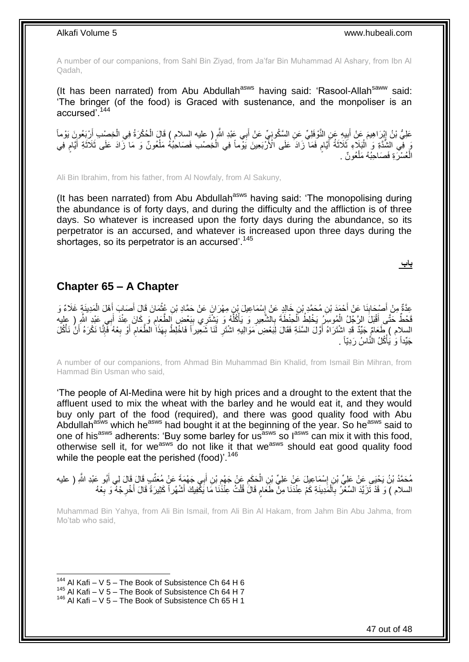A number of our companions, from Sahl Bin Ziyad, from Ja'far Bin Muhammad Al Ashary, from Ibn Al Qadah,

(It has been narrated) from Abu Abdullah<sup>asws</sup> having said: 'Rasool-Allah<sup>saww</sup> said: 'The bringer (of the food) is Graced with sustenance, and the monpoliser is an accursed'.<sup>144</sup>

عَلِيُّ بْنُ إِبْرَاهِيمَ عَنْ أَبِيهِ عَنِ النَّوْفَلِيِّ عَنِ السِّكُونِيِّ عَنْ أَبِي عَبْدِ اللَّهِ ( عليه السلام ) قَالَ الْحُكْرَةُ فِي الْخِصْبِ أَرْبَعُونَ يَوْماً َ **!** َ ِ ْ َ ْ وَ فِي الشُّدَّةِ وَ الْبَلَاءِ ثَلَاثَةُ أَيَّامٍ فَمَا ۖ زَادَ عَلَى الْأَرْبَعِينَ يَوْماً فِي الْخِصْبِ فَصَاحِبُهُ مَلْعُونٌ وَ مَا نَّزَادَ عَلَى ثَلَاثَةِ أَيَّامٍ فِي ْ ْ ٍ َ َ ْ م َ َ الْعُسْرَةِ فَصَاحِبُهُ مَلْعُونٌ . ْ ْ

Ali Bin Ibrahim, from his father, from Al Nowfaly, from Al Sakuny,

(It has been narrated) from Abu Abdullah<sup>asws</sup> having said: 'The monopolising during the abundance is of forty days, and during the difficulty and the affliction is of three days. So whatever is increased upon the forty days during the abundance, so its perpetrator is an accursed, and whatever is increased upon three days during the shortages, so its perpetrator is an accursed'.<sup>145</sup>

**باب**

### <span id="page-46-0"></span>**Chapter 65 – A Chapter**

عِدَّةٌ مِنْ أَصْحَابِذَا عَنْ أَحْمَدَ بْنِ مُحَمَّدٍ بْنِ خَالِدٍ عَنْ إِسْمَاعِيلَ بْنِ مِهْرَانَ عَنْ حَمَّادِ بْنِ عُثْمَانَ قَالَ أَصَابَ أَهْلَ الْمَدِينَةٍ غَلَاءٌ وَ<br>يَمْنُ يَنْ أَصْبَحَابِذَا عَنْ أَحْمَدَ بْنِ م **∣** َ ْ َ َ ْ ∣∣<br>; ِ مَّكُمُّ حَتَّى أَقْبَلَ الرَّجِّلُ الْمُوسِّرُ يَخْلِطُ الْحِنْطَةَ بِالشَّعِيرِ وَ يَأْكُلُّهُ وَ يَشْتَرِي بِبَعْضٍ الطَّعَامِ وَ كَانَ عِنْدَ أَبِي عَيْدِ الشَّرِ ( عليه<br>. يَجْمَعُ حَقَّ مِنْ الرَّجِيلِ الرَّحْمِينِ ا **ِ** ُ ْ **∶** ِ ْ ْ َ َ السلام ) طَعَامٌ جَيِّدٌ قَدِ اشْتَرَاهُ أَوَّلَ السَّنَةِ فَقَالَ لِبَعْضِ مَوَالِيهِ اشْتَرِ لَمَا شَّعِيراً فَاخْلِطْ بِهَذَا الطَّعَامِ أَوْ بِعْهُ فَإِنَّا نَكْرَهُ أَنْ نَأْكُلَ ِ ِ َ ْ َ ا∣<br>ِ∘ ِ َ ِ جَيِّداً وَ يَأْكُلُ النَّاسُ رَدِيّاً . **ٔ** 

A number of our companions, from Ahmad Bin Muhammad Bin Khalid, from Ismail Bin Mihran, from Hammad Bin Usman who said,

'The people of Al-Medina were hit by high prices and a drought to the extent that the affluent used to mix the wheat with the barley and he would eat it, and they would buy only part of the food (required), and there was good quality food with Abu Abdullah<sup>asws</sup> which he<sup>asws</sup> had bought it at the beginning of the year. So he<sup>asws</sup> said to one of his<sup>asws</sup> adherents: 'Buy some barley for us<sup>asws</sup> so l<sup>asws</sup> can mix it with this food, otherwise sell it, for we<sup>asws</sup> do not like it that we<sup>asws</sup> should eat good quality food while the people eat the perished (food)<sup>'.146</sup>

ِ مُحَمَّدُ بْنُ يَحْيَى عَنْ عَلِيِّ بْنِ إِسْمَاعِيلَ عَنْ عَلِيٍّ بْنِ الْحَكَمِ عَنْ جَهْمٍ بْنِ أَبِي جَهْمَةَ عَنْ مُعَتَّبِ قَالَ قَالَ لِي أَبُو عَبْدِ اللَّهِ ( عليه<br>مُحَمَّدُ بْنُ يَحْيَى عَنْ عَلَيِّ بْنِ إِسْمَا ْ ׇ**֓** َ َ ِ السلام ) وَ قَدْ تَزَيَّدَ السِّعْرُ بِاَلْمَدِينَةِ كَمْ عِنْدَنَا مِنْ طَعَام قَالََ قُلْتُ عِنْدَنَا مَا يَكْفِيكَ أَشْهُراً كَثِيرَةً قَالَ أُخْرِجْهُ وَ بِعْهُ َ ْ ֧֖֖֖֧֧֖֧֧֧֧֧ׅ֧֧֧֧֧֚֚֚֚֓֝֝֝֝֟֓֟֓֝֬֝֓֝֓֝֬֟֓֟֓֟֓֟֓֝֬֝֬֝֓֝֬֜֓֝֬֝֓֝֬֝֬֝ ْ **∶ ∶** ِ َ

Muhammad Bin Yahya, from Ali Bin Ismail, from Ali Bin Al Hakam, from Jahm Bin Abu Jahma, from Mo'tab who said,

 $144$  Al Kafi – V 5 – The Book of Subsistence Ch 64 H 6

<sup>145</sup> Al Kafi – V  $5 -$  The Book of Subsistence Ch 64 H 7

<sup>146</sup> Al Kafi – V 5 – The Book of Subsistence Ch 65 H 1